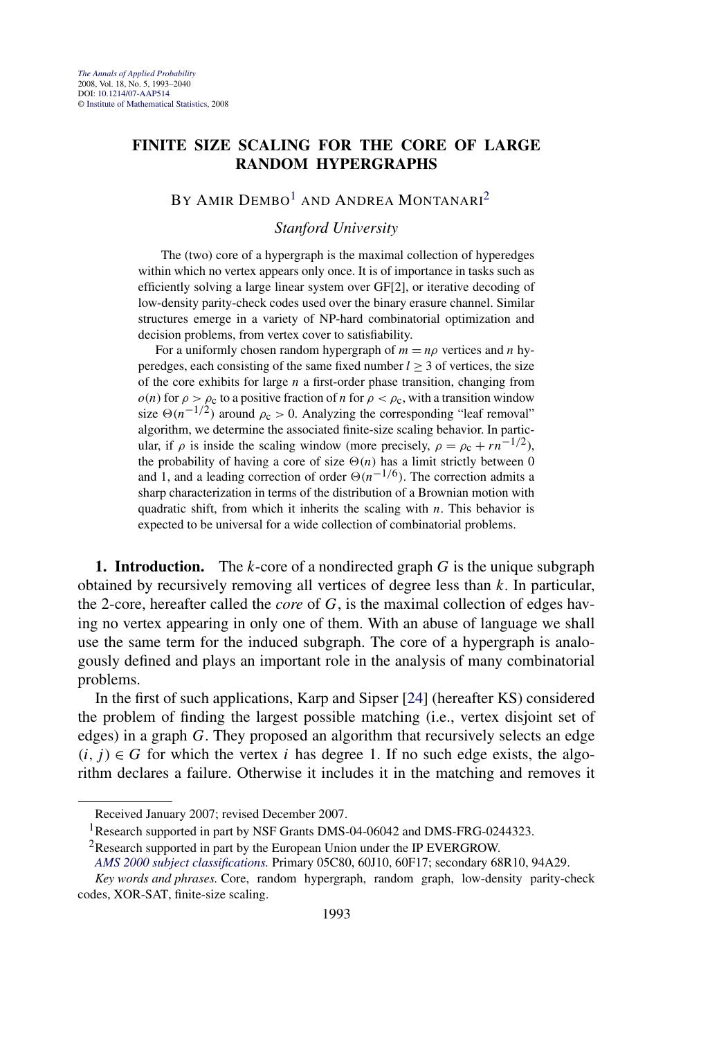# **FINITE SIZE SCALING FOR THE CORE OF LARGE RANDOM HYPERGRAPHS**

## BY AMIR DEMBO<sup>1</sup> AND ANDREA MONTANARI<sup>2</sup>

*Stanford University*

The (two) core of a hypergraph is the maximal collection of hyperedges within which no vertex appears only once. It is of importance in tasks such as efficiently solving a large linear system over GF[2], or iterative decoding of low-density parity-check codes used over the binary erasure channel. Similar structures emerge in a variety of NP-hard combinatorial optimization and decision problems, from vertex cover to satisfiability.

For a uniformly chosen random hypergraph of  $m = n\rho$  vertices and *n* hyperedges, each consisting of the same fixed number  $l \geq 3$  of vertices, the size of the core exhibits for large *n* a first-order phase transition, changing from  $o(n)$  for  $\rho > \rho_c$  to a positive fraction of *n* for  $\rho < \rho_c$ , with a transition window size  $\Theta(n^{-1/2})$  around  $\rho_c > 0$ . Analyzing the corresponding "leaf removal" algorithm, we determine the associated finite-size scaling behavior. In particular, if  $\rho$  is inside the scaling window (more precisely,  $\rho = \rho_c + r n^{-1/2}$ ), the probability of having a core of size  $\Theta(n)$  has a limit strictly between 0 and 1, and a leading correction of order  $\Theta(n^{-1/6})$ . The correction admits a sharp characterization in terms of the distribution of a Brownian motion with quadratic shift, from which it inherits the scaling with *n*. This behavior is expected to be universal for a wide collection of combinatorial problems.

**1. Introduction.** The *k*-core of a nondirected graph *G* is the unique subgraph obtained by recursively removing all vertices of degree less than *k*. In particular, the 2-core, hereafter called the *core* of *G*, is the maximal collection of edges having no vertex appearing in only one of them. With an abuse of language we shall use the same term for the induced subgraph. The core of a hypergraph is analogously defined and plays an important role in the analysis of many combinatorial problems.

In the first of such applications, Karp and Sipser [\[24\]](#page-46-0) (hereafter KS) considered the problem of finding the largest possible matching (i.e., vertex disjoint set of edges) in a graph *G*. They proposed an algorithm that recursively selects an edge  $(i, j) \in G$  for which the vertex *i* has degree 1. If no such edge exists, the algorithm declares a failure. Otherwise it includes it in the matching and removes it

Received January 2007; revised December 2007.

<sup>&</sup>lt;sup>1</sup>Research supported in part by NSF Grants DMS-04-06042 and DMS-FRG-0244323.

<sup>&</sup>lt;sup>2</sup>Research supported in part by the European Union under the IP EVERGROW.

*[AMS 2000 subject classifications.](http://www.ams.org/msc/)* Primary 05C80, 60J10, 60F17; secondary 68R10, 94A29.

*Key words and phrases.* Core, random hypergraph, random graph, low-density parity-check codes, XOR-SAT, finite-size scaling.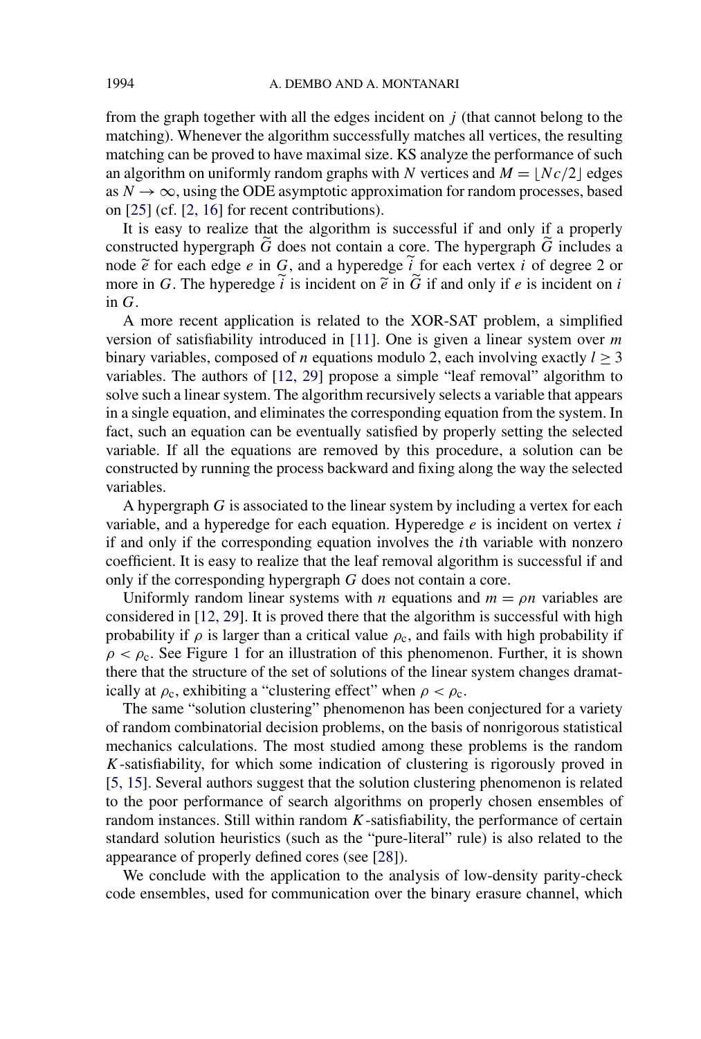from the graph together with all the edges incident on *j* (that cannot belong to the matching). Whenever the algorithm successfully matches all vertices, the resulting matching can be proved to have maximal size. KS analyze the performance of such an algorithm on uniformly random graphs with *N* vertices and  $M = |Nc/2|$  edges as  $N \to \infty$ , using the ODE asymptotic approximation for random processes, based on [\[25\]](#page-46-0) (cf. [\[2, 16\]](#page-45-0) for recent contributions).

It is easy to realize that the algorithm is successful if and only if a properly constructed hypergraph *G*-does not contain a core. The hypergraph *G*-includes a node  $\tilde{e}$  for each edge *e* in *G*, and a hyperedge *i* for each vertex *i* of degree 2 or<br>more in *G*. The hyperedge  $\tilde{i}$  is insident on  $\tilde{e}$  if and only if a is insident on *i* more in *G*. The hyperedge  $\hat{i}$  is incident on  $\tilde{e}$  in  $\tilde{G}$  if and only if  $e$  is incident on  $\hat{i}$ in *G*.

A more recent application is related to the XOR-SAT problem, a simplified version of satisfiability introduced in [\[11\]](#page-46-0). One is given a linear system over *m* binary variables, composed of *n* equations modulo 2, each involving exactly  $l \geq 3$ variables. The authors of [\[12, 29\]](#page-46-0) propose a simple "leaf removal" algorithm to solve such a linear system. The algorithm recursively selects a variable that appears in a single equation, and eliminates the corresponding equation from the system. In fact, such an equation can be eventually satisfied by properly setting the selected variable. If all the equations are removed by this procedure, a solution can be constructed by running the process backward and fixing along the way the selected variables.

A hypergraph *G* is associated to the linear system by including a vertex for each variable, and a hyperedge for each equation. Hyperedge *e* is incident on vertex *i* if and only if the corresponding equation involves the *i*th variable with nonzero coefficient. It is easy to realize that the leaf removal algorithm is successful if and only if the corresponding hypergraph *G* does not contain a core.

Uniformly random linear systems with *n* equations and  $m = \rho n$  variables are considered in [\[12, 29\]](#page-46-0). It is proved there that the algorithm is successful with high probability if  $\rho$  is larger than a critical value  $\rho_c$ , and fails with high probability if  $\rho < \rho_c$ . See Figure [1](#page-2-0) for an illustration of this phenomenon. Further, it is shown there that the structure of the set of solutions of the linear system changes dramatically at  $\rho_c$ , exhibiting a "clustering effect" when  $\rho < \rho_c$ .

The same "solution clustering" phenomenon has been conjectured for a variety of random combinatorial decision problems, on the basis of nonrigorous statistical mechanics calculations. The most studied among these problems is the random *K*-satisfiability, for which some indication of clustering is rigorously proved in [\[5, 15\]](#page-46-0). Several authors suggest that the solution clustering phenomenon is related to the poor performance of search algorithms on properly chosen ensembles of random instances. Still within random *K*-satisfiability, the performance of certain standard solution heuristics (such as the "pure-literal" rule) is also related to the appearance of properly defined cores (see [\[28\]](#page-47-0)).

We conclude with the application to the analysis of low-density parity-check code ensembles, used for communication over the binary erasure channel, which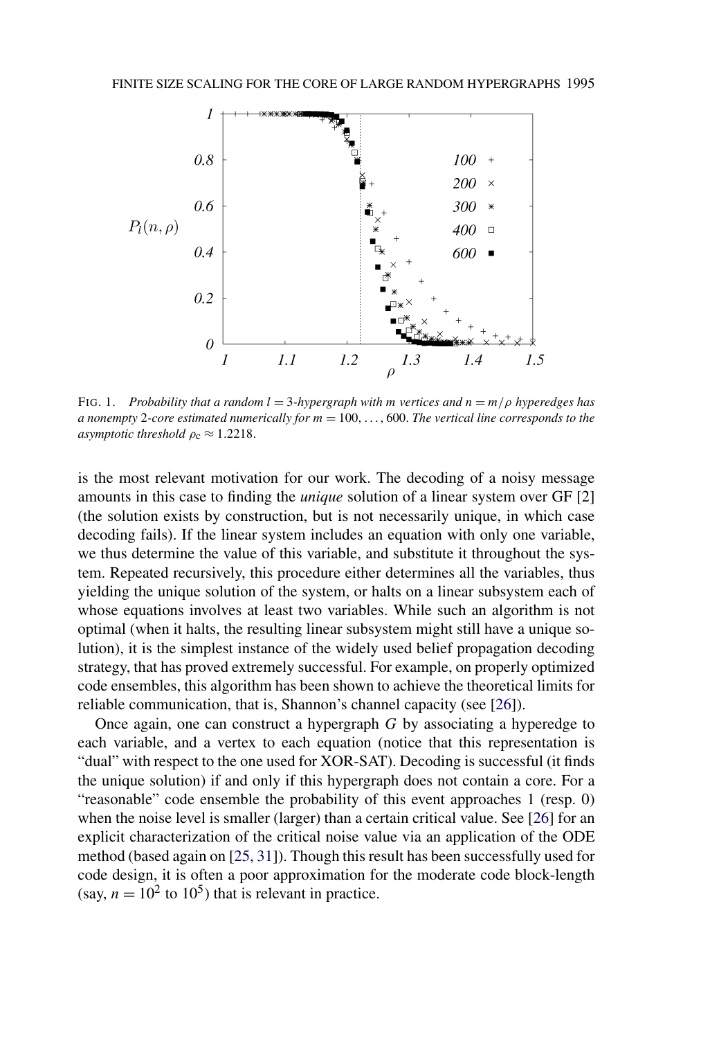<span id="page-2-0"></span>

FIG. 1. *Probability that a random l* = 3*-hypergraph with m vertices and n* = *m/ρ hyperedges has a nonempty* 2*-core estimated numerically for m* = 100*,...,* 600. *The vertical line corresponds to the asymptotic threshold*  $\rho_c \approx 1.2218$ .

is the most relevant motivation for our work. The decoding of a noisy message amounts in this case to finding the *unique* solution of a linear system over GF [2] (the solution exists by construction, but is not necessarily unique, in which case decoding fails). If the linear system includes an equation with only one variable, we thus determine the value of this variable, and substitute it throughout the system. Repeated recursively, this procedure either determines all the variables, thus yielding the unique solution of the system, or halts on a linear subsystem each of whose equations involves at least two variables. While such an algorithm is not optimal (when it halts, the resulting linear subsystem might still have a unique solution), it is the simplest instance of the widely used belief propagation decoding strategy, that has proved extremely successful. For example, on properly optimized code ensembles, this algorithm has been shown to achieve the theoretical limits for reliable communication, that is, Shannon's channel capacity (see [\[26\]](#page-46-0)).

Once again, one can construct a hypergraph *G* by associating a hyperedge to each variable, and a vertex to each equation (notice that this representation is "dual" with respect to the one used for XOR-SAT). Decoding is successful (it finds the unique solution) if and only if this hypergraph does not contain a core. For a "reasonable" code ensemble the probability of this event approaches 1 (resp. 0) when the noise level is smaller (larger) than a certain critical value. See [\[26\]](#page-46-0) for an explicit characterization of the critical noise value via an application of the ODE method (based again on [\[25, 31\]](#page-46-0)). Though this result has been successfully used for code design, it is often a poor approximation for the moderate code block-length (say,  $n = 10^2$  to 10<sup>5</sup>) that is relevant in practice.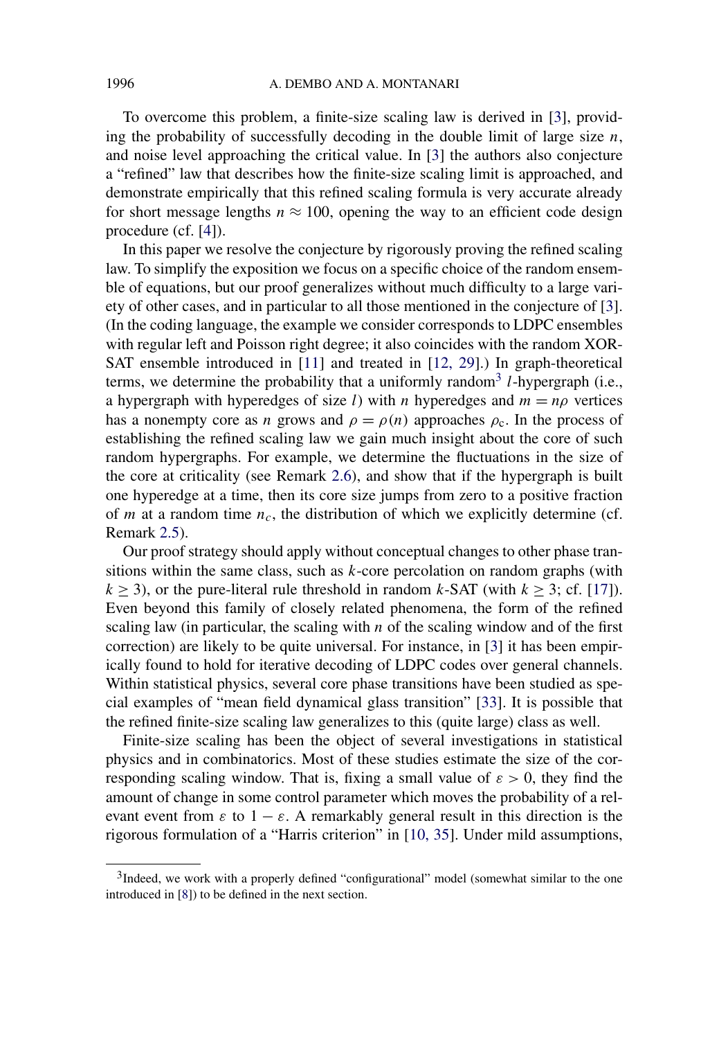To overcome this problem, a finite-size scaling law is derived in [\[3\]](#page-45-0), providing the probability of successfully decoding in the double limit of large size *n*, and noise level approaching the critical value. In [\[3\]](#page-45-0) the authors also conjecture a "refined" law that describes how the finite-size scaling limit is approached, and demonstrate empirically that this refined scaling formula is very accurate already for short message lengths  $n \approx 100$ , opening the way to an efficient code design procedure (cf. [\[4\]](#page-46-0)).

In this paper we resolve the conjecture by rigorously proving the refined scaling law. To simplify the exposition we focus on a specific choice of the random ensemble of equations, but our proof generalizes without much difficulty to a large variety of other cases, and in particular to all those mentioned in the conjecture of [\[3\]](#page-45-0). (In the coding language, the example we consider corresponds to LDPC ensembles with regular left and Poisson right degree; it also coincides with the random XOR-SAT ensemble introduced in [\[11\]](#page-46-0) and treated in [\[12, 29\]](#page-46-0).) In graph-theoretical terms, we determine the probability that a uniformly random<sup>3</sup> *l*-hypergraph (i.e., a hypergraph with hyperedges of size *l*) with *n* hyperedges and  $m = np$  vertices has a nonempty core as *n* grows and  $\rho = \rho(n)$  approaches  $\rho_c$ . In the process of establishing the refined scaling law we gain much insight about the core of such random hypergraphs. For example, we determine the fluctuations in the size of the core at criticality (see Remark [2.6\)](#page-9-0), and show that if the hypergraph is built one hyperedge at a time, then its core size jumps from zero to a positive fraction of  $m$  at a random time  $n_c$ , the distribution of which we explicitly determine (cf. Remark [2.5\)](#page-9-0).

Our proof strategy should apply without conceptual changes to other phase transitions within the same class, such as *k*-core percolation on random graphs (with  $k \ge 3$ ), or the pure-literal rule threshold in random *k*-SAT (with  $k \ge 3$ ; cf. [\[17\]](#page-46-0)). Even beyond this family of closely related phenomena, the form of the refined scaling law (in particular, the scaling with  $n$  of the scaling window and of the first correction) are likely to be quite universal. For instance, in [\[3\]](#page-45-0) it has been empirically found to hold for iterative decoding of LDPC codes over general channels. Within statistical physics, several core phase transitions have been studied as special examples of "mean field dynamical glass transition" [\[33\]](#page-47-0). It is possible that the refined finite-size scaling law generalizes to this (quite large) class as well.

Finite-size scaling has been the object of several investigations in statistical physics and in combinatorics. Most of these studies estimate the size of the corresponding scaling window. That is, fixing a small value of  $\varepsilon > 0$ , they find the amount of change in some control parameter which moves the probability of a relevant event from  $\varepsilon$  to  $1 - \varepsilon$ . A remarkably general result in this direction is the rigorous formulation of a "Harris criterion" in [\[10, 35\]](#page-46-0). Under mild assumptions,

<sup>&</sup>lt;sup>3</sup>Indeed, we work with a properly defined "configurational" model (somewhat similar to the one introduced in [\[8\]](#page-46-0)) to be defined in the next section.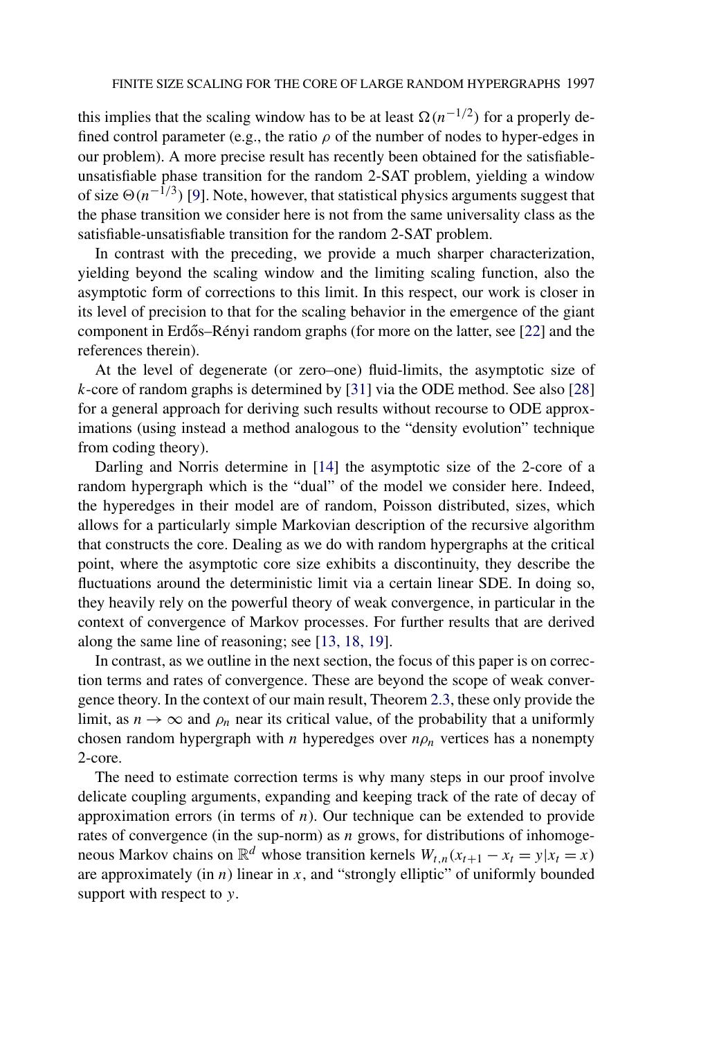this implies that the scaling window has to be at least  $\Omega(n^{-1/2})$  for a properly defined control parameter (e.g., the ratio  $\rho$  of the number of nodes to hyper-edges in our problem). A more precise result has recently been obtained for the satisfiableunsatisfiable phase transition for the random 2-SAT problem, yielding a window of size  $\Theta(n^{-1/3})$  [\[9\]](#page-46-0). Note, however, that statistical physics arguments suggest that the phase transition we consider here is not from the same universality class as the satisfiable-unsatisfiable transition for the random 2-SAT problem.

In contrast with the preceding, we provide a much sharper characterization, yielding beyond the scaling window and the limiting scaling function, also the asymptotic form of corrections to this limit. In this respect, our work is closer in its level of precision to that for the scaling behavior in the emergence of the giant component in Erdős–Rényi random graphs (for more on the latter, see [[22\]](#page-46-0) and the references therein).

At the level of degenerate (or zero–one) fluid-limits, the asymptotic size of *k*-core of random graphs is determined by [\[31\]](#page-47-0) via the ODE method. See also [\[28\]](#page-47-0) for a general approach for deriving such results without recourse to ODE approximations (using instead a method analogous to the "density evolution" technique from coding theory).

Darling and Norris determine in [\[14\]](#page-46-0) the asymptotic size of the 2-core of a random hypergraph which is the "dual" of the model we consider here. Indeed, the hyperedges in their model are of random, Poisson distributed, sizes, which allows for a particularly simple Markovian description of the recursive algorithm that constructs the core. Dealing as we do with random hypergraphs at the critical point, where the asymptotic core size exhibits a discontinuity, they describe the fluctuations around the deterministic limit via a certain linear SDE. In doing so, they heavily rely on the powerful theory of weak convergence, in particular in the context of convergence of Markov processes. For further results that are derived along the same line of reasoning; see [\[13, 18, 19\]](#page-46-0).

In contrast, as we outline in the next section, the focus of this paper is on correction terms and rates of convergence. These are beyond the scope of weak convergence theory. In the context of our main result, Theorem [2.3,](#page-8-0) these only provide the limit, as  $n \to \infty$  and  $\rho_n$  near its critical value, of the probability that a uniformly chosen random hypergraph with *n* hyperedges over  $n\rho_n$  vertices has a nonempty 2-core.

The need to estimate correction terms is why many steps in our proof involve delicate coupling arguments, expanding and keeping track of the rate of decay of approximation errors (in terms of *n*). Our technique can be extended to provide rates of convergence (in the sup-norm) as *n* grows, for distributions of inhomogeneous Markov chains on  $\mathbb{R}^d$  whose transition kernels  $W_{t,n}(x_{t+1} - x_t = y | x_t = x)$ are approximately (in  $n$ ) linear in  $x$ , and "strongly elliptic" of uniformly bounded support with respect to *y*.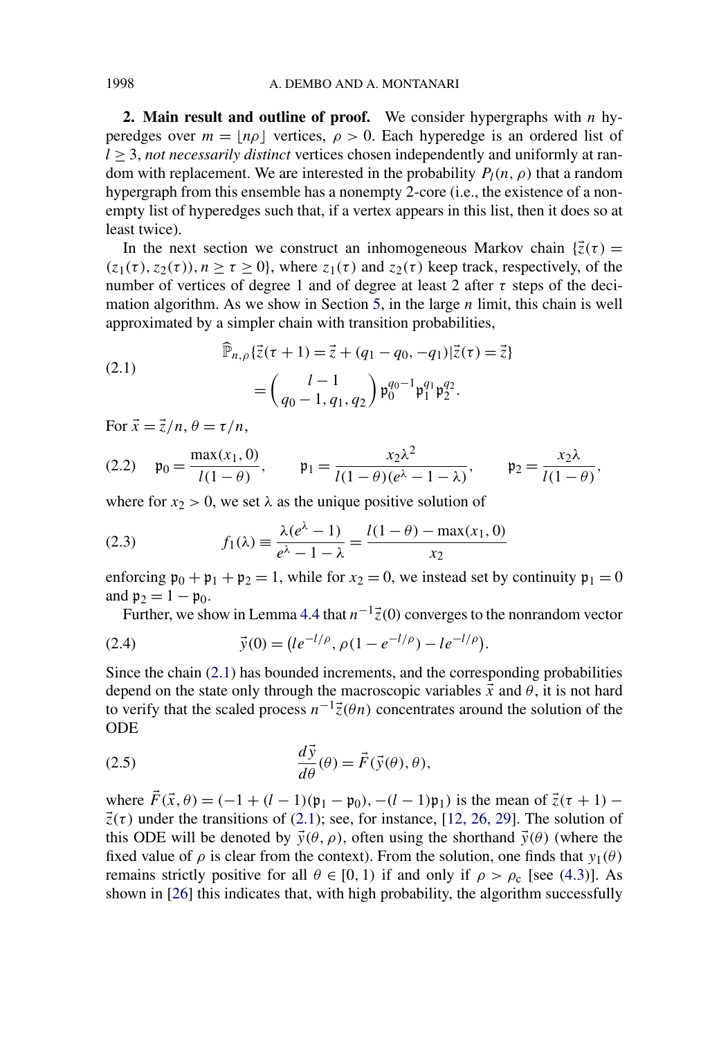**2. Main result and outline of proof.** We consider hypergraphs with *n* hyperedges over  $m = |n\rho|$  vertices,  $\rho > 0$ . Each hyperedge is an ordered list of *l* ≥ 3, *not necessarily distinct* vertices chosen independently and uniformly at random with replacement. We are interested in the probability  $P_l(n, \rho)$  that a random hypergraph from this ensemble has a nonempty 2-core (i.e., the existence of a nonempty list of hyperedges such that, if a vertex appears in this list, then it does so at least twice).

In the next section we construct an inhomogeneous Markov chain  $\{\vec{z}(\tau) =$  $(z_1(\tau), z_2(\tau))$ ,  $n \ge \tau \ge 0$ , where  $z_1(\tau)$  and  $z_2(\tau)$  keep track, respectively, of the number of vertices of degree 1 and of degree at least 2 after *τ* steps of the decimation algorithm. As we show in Section [5,](#page-28-0) in the large *n* limit, this chain is well approximated by a simpler chain with transition probabilities,

(2.1)  
\n
$$
\begin{aligned}\n\widehat{\mathbb{P}}_{n,\rho}\{\vec{z}(\tau+1) = \vec{z} + (q_1 - q_0, -q_1)|\vec{z}(\tau) = \vec{z}\} \\
= \left(\frac{l-1}{q_0 - 1, q_1, q_2}\right) \mathfrak{p}_0^{q_0 - 1} \mathfrak{p}_1^{q_1} \mathfrak{p}_2^{q_2}.\n\end{aligned}
$$

For  $\vec{x} = \vec{z}/n$ ,  $\theta = \tau/n$ ,

(2.2) 
$$
\mathfrak{p}_0 = \frac{\max(x_1, 0)}{l(1 - \theta)}, \qquad \mathfrak{p}_1 = \frac{x_2 \lambda^2}{l(1 - \theta)(e^{\lambda} - 1 - \lambda)}, \qquad \mathfrak{p}_2 = \frac{x_2 \lambda}{l(1 - \theta)},
$$

where for  $x_2 > 0$ , we set  $\lambda$  as the unique positive solution of

(2.3) 
$$
f_1(\lambda) = \frac{\lambda(e^{\lambda} - 1)}{e^{\lambda} - 1 - \lambda} = \frac{l(1 - \theta) - \max(x_1, 0)}{x_2}
$$

enforcing  $\mathfrak{p}_0 + \mathfrak{p}_1 + \mathfrak{p}_2 = 1$ , while for  $x_2 = 0$ , we instead set by continuity  $\mathfrak{p}_1 = 0$ and  $p_2 = 1 - p_0$ .

Further, we show in Lemma [4.4](#page-22-0) that  $n^{-1}\vec{z}(0)$  converges to the nonrandom vector

(2.4) 
$$
\vec{y}(0) = (le^{-l/\rho}, \rho(1 - e^{-l/\rho}) - le^{-l/\rho}).
$$

Since the chain (2.1) has bounded increments, and the corresponding probabilities depend on the state only through the macroscopic variables  $\vec{x}$  and  $\theta$ , it is not hard to verify that the scaled process  $n^{-1}\vec{z}(\theta n)$  concentrates around the solution of the ODE

(2.5) 
$$
\frac{d\vec{y}}{d\theta}(\theta) = \vec{F}(\vec{y}(\theta), \theta),
$$

where  $\vec{F}(\vec{x}, \theta) = (-1 + (l - 1)(\mathfrak{p}_1 - \mathfrak{p}_0), -(l - 1)\mathfrak{p}_1)$  is the mean of  $\vec{z}(\tau + 1)$  –  $\vec{z}(\tau)$  under the transitions of (2.1); see, for instance, [\[12, 26, 29\]](#page-46-0). The solution of this ODE will be denoted by  $\vec{y}(\theta, \rho)$ , often using the shorthand  $\vec{y}(\theta)$  (where the fixed value of  $\rho$  is clear from the context). From the solution, one finds that  $y_1(\theta)$ remains strictly positive for all  $\theta \in [0, 1)$  if and only if  $\rho > \rho_c$  [see [\(4.3\)](#page-16-0)]. As shown in [\[26\]](#page-46-0) this indicates that, with high probability, the algorithm successfully

<span id="page-5-0"></span>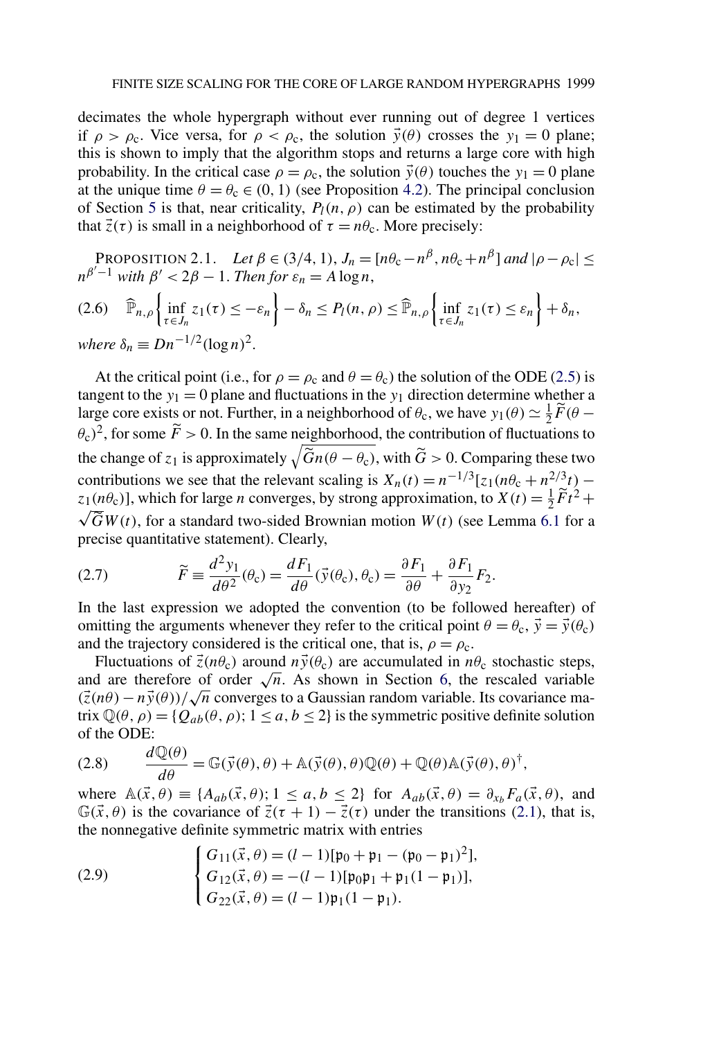<span id="page-6-0"></span>decimates the whole hypergraph without ever running out of degree 1 vertices if  $\rho > \rho_c$ . Vice versa, for  $\rho < \rho_c$ , the solution  $\vec{y}(\theta)$  crosses the  $y_1 = 0$  plane; this is shown to imply that the algorithm stops and returns a large core with high probability. In the critical case  $\rho = \rho_c$ , the solution  $\vec{y}(\theta)$  touches the  $y_1 = 0$  plane at the unique time  $\theta = \theta_c \in (0, 1)$  (see Proposition [4.2\)](#page-16-0). The principal conclusion of Section [5](#page-28-0) is that, near criticality,  $P_l(n, \rho)$  can be estimated by the probability that  $\vec{z}(\tau)$  is small in a neighborhood of  $\tau = n\theta_c$ . More precisely:

PROPOSITION 2.1. *Let*  $\beta \in (3/4, 1)$ ,  $J_n = [n\theta_c - n^{\beta}, n\theta_c + n^{\beta}]$  and  $|\rho - \rho_c| \le$  $n^{\beta'-1}$  *with*  $\beta' < 2\beta - 1$ . *Then for*  $\varepsilon_n = A \log n$ ,  $P_n(\hat{\theta}) = \hat{\mathbb{P}}_{n,\rho} \left\{ \inf_{\tau \in J_n} z_1(\tau) \leq -\varepsilon_n \right\} - \delta_n \leq P_l(n,\rho) \leq \hat{\mathbb{P}}_{n,\rho} \left\{ \inf_{\tau \in J_n} z_1(\tau) \leq \varepsilon_n \right\} + \delta_n,$ *where*  $\delta_n \equiv Dn^{-1/2}(\log n)^2$ .

At the critical point (i.e., for  $\rho = \rho_c$  and  $\theta = \theta_c$ ) the solution of the ODE [\(2.5\)](#page-5-0) is tangent to the  $y_1 = 0$  plane and fluctuations in the  $y_1$  direction determine whether a large core exists or not. Further, in a neighborhood of  $\theta_c$ , we have  $y_1(\theta) \simeq \frac{1}{2}\widetilde{F}(\theta - \theta_c)$  $(\theta_c)^2$ , for some  $\tilde{F} > 0$ . In the same neighborhood, the contribution of fluctuations to the change of  $z_1$  is approximately  $\sqrt{\tilde{G}n(\theta - \theta_c)}$ , with  $\tilde{G} > 0$ . Comparing these two contributions we see that the relevant scaling is  $X_n(t) = n^{-1/3} [z_1(n\theta_c + n^{2/3}t)$  $z_1(n\theta_c)$ ], which for large *n* converges, by strong approximation, to  $X(t) = \frac{1}{2}\tilde{F}t^2 + \tilde{E}t^2 + \tilde{E}t^2 + \tilde{E}t^2$  $GW(t)$ , for a standard two-sided Brownian motion  $W(t)$  (see Lemma [6.1](#page-39-0) for a precise quantitative statement). Clearly,

(2.7) 
$$
\widetilde{F} \equiv \frac{d^2 y_1}{d\theta^2}(\theta_c) = \frac{dF_1}{d\theta}(\vec{y}(\theta_c), \theta_c) = \frac{\partial F_1}{\partial \theta} + \frac{\partial F_1}{\partial y_2}F_2.
$$

In the last expression we adopted the convention (to be followed hereafter) of omitting the arguments whenever they refer to the critical point  $\theta = \theta_c$ ,  $\vec{y} = \vec{y}(\theta_c)$ and the trajectory considered is the critical one, that is,  $\rho = \rho_c$ .

Fluctuations of  $\vec{z}(n\theta_c)$  around  $n\vec{y}(\theta_c)$  are accumulated in  $n\theta_c$  stochastic steps, and are therefore of order  $\sqrt{n}$ . As shown in Section [6,](#page-38-0) the rescaled variable  $(\vec{z}(n\theta) - n\vec{y}(\theta))/\sqrt{n}$  converges to a Gaussian random variable. Its covariance matrix  $\mathbb{Q}(\theta, \rho) = \{Q_{ab}(\theta, \rho); 1 \le a, b \le 2\}$  is the symmetric positive definite solution of the ODE:

(2.8) 
$$
\frac{d\mathbb{Q}(\theta)}{d\theta} = \mathbb{G}(\vec{y}(\theta), \theta) + \mathbb{A}(\vec{y}(\theta), \theta)\mathbb{Q}(\theta) + \mathbb{Q}(\theta)\mathbb{A}(\vec{y}(\theta), \theta)^{\dagger},
$$

where  $\mathbb{A}(\vec{x}, \theta) \equiv \{A_{ab}(\vec{x}, \theta); 1 \le a, b \le 2\}$  for  $A_{ab}(\vec{x}, \theta) = \partial_{x_b}F_a(\vec{x}, \theta)$ , and  $\mathbb{G}(\vec{x},\theta)$  is the covariance of  $\vec{z}(\tau+1) - \vec{z}(\tau)$  under the transitions [\(2.1\)](#page-5-0), that is, the nonnegative definite symmetric matrix with entries

(2.9) 
$$
\begin{cases} G_{11}(\vec{x}, \theta) = (l-1)[\mathfrak{p}_0 + \mathfrak{p}_1 - (\mathfrak{p}_0 - \mathfrak{p}_1)^2], \\ G_{12}(\vec{x}, \theta) = -(l-1)[\mathfrak{p}_0 \mathfrak{p}_1 + \mathfrak{p}_1(1 - \mathfrak{p}_1)], \\ G_{22}(\vec{x}, \theta) = (l-1)\mathfrak{p}_1(1 - \mathfrak{p}_1). \end{cases}
$$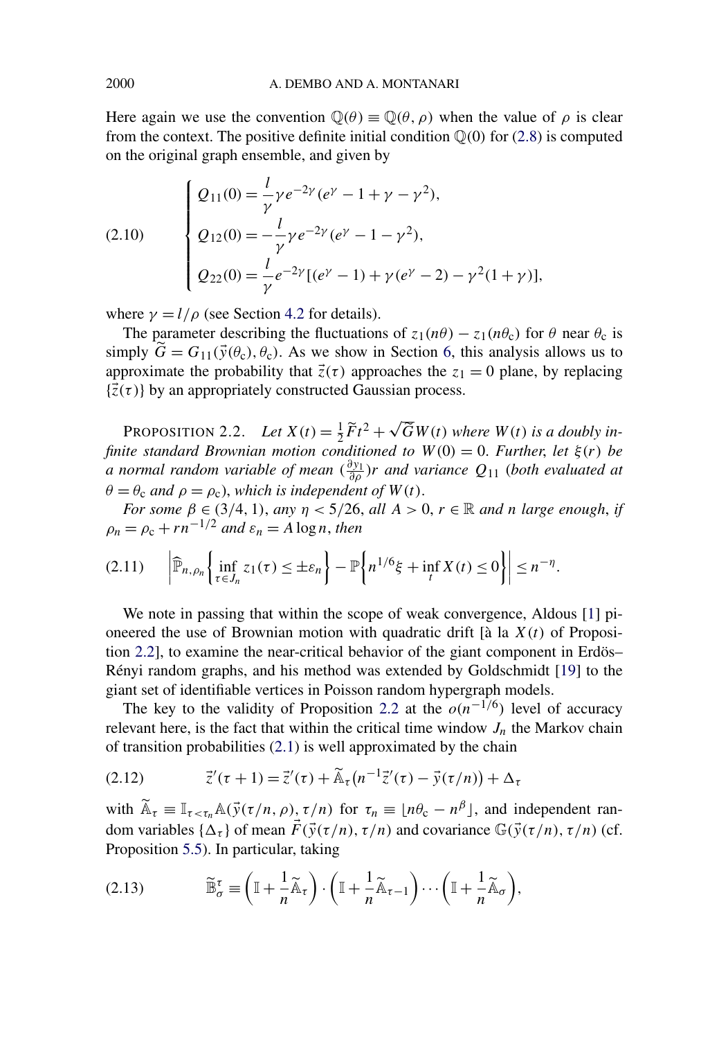Here again we use the convention  $\mathbb{Q}(\theta) \equiv \mathbb{Q}(\theta, \rho)$  when the value of  $\rho$  is clear from the context. The positive definite initial condition  $\mathbb{Q}(0)$  for [\(2.8\)](#page-6-0) is computed on the original graph ensemble, and given by

(2.10) 
$$
\begin{cases} Q_{11}(0) = \frac{l}{\gamma} \gamma e^{-2\gamma} (e^{\gamma} - 1 + \gamma - \gamma^2), \\ Q_{12}(0) = -\frac{l}{\gamma} \gamma e^{-2\gamma} (e^{\gamma} - 1 - \gamma^2), \\ Q_{22}(0) = \frac{l}{\gamma} e^{-2\gamma} [(e^{\gamma} - 1) + \gamma (e^{\gamma} - 2) - \gamma^2 (1 + \gamma)], \end{cases}
$$

where  $\gamma = l/\rho$  (see Section [4.2](#page-22-0) for details).

The parameter describing the fluctuations of  $z_1(n\theta) - z_1(n\theta_c)$  for  $\theta$  near  $\theta_c$  is simply  $\tilde{G} = G_{11}(\vec{y}(\theta_c), \theta_c)$ . As we show in Section [6,](#page-38-0) this analysis allows us to approximate the probability that  $\vec{z}(\tau)$  approaches the  $z_1 = 0$  plane, by replacing  $\{\vec{z}(\tau)\}\$  by an appropriately constructed Gaussian process.

PROPOSITION 2.2. *Let*  $X(t) = \frac{1}{2}\widetilde{F}t^2 + \sqrt{\widetilde{G}}W(t)$  where  $W(t)$  is a doubly in*finite standard Brownian motion conditioned to*  $W(0) = 0$ *. Further, let*  $\xi(r)$  *be a* normal random variable of mean  $(\frac{\partial y_1}{\partial \rho})$ r and variance  $Q_{11}$  (both evaluated at  $\theta = \theta_c$  *and*  $\rho = \rho_c$ , *which is independent of*  $W(t)$ .

*For some*  $\beta \in (3/4, 1)$ , *any*  $\eta < 5/26$ , *all*  $A > 0$ ,  $r \in \mathbb{R}$  *and n large enough*, *if*  $\rho_n = \rho_c + r n^{-1/2}$  *and*  $\varepsilon_n = A \log n$ , *then* 

$$
(2.11) \qquad \left| \widehat{\mathbb{P}}_{n,\rho_n} \left\{ \inf_{\tau \in J_n} z_1(\tau) \leq \pm \varepsilon_n \right\} - \mathbb{P} \left\{ n^{1/6} \xi + \inf_t X(t) \leq 0 \right\} \right| \leq n^{-\eta}.
$$

We note in passing that within the scope of weak convergence, Aldous [\[1\]](#page-45-0) pioneered the use of Brownian motion with quadratic drift [à la *X(t)* of Proposition 2.2], to examine the near-critical behavior of the giant component in Erdös– Rényi random graphs, and his method was extended by Goldschmidt [\[19\]](#page-46-0) to the giant set of identifiable vertices in Poisson random hypergraph models.

The key to the validity of Proposition 2.2 at the  $o(n^{-1/6})$  level of accuracy relevant here, is the fact that within the critical time window  $J_n$  the Markov chain of transition probabilities [\(2.1\)](#page-5-0) is well approximated by the chain

(2.12) 
$$
\vec{z}'(\tau + 1) = \vec{z}'(\tau) + \tilde{A}_{\tau}(n^{-1}\vec{z}'(\tau) - \vec{y}(\tau/n)) + \Delta_{\tau}
$$

with  $\widetilde{A}_{\tau} \equiv \mathbb{I}_{\tau < \tau_n} A(\vec{y}(\tau/n, \rho), \tau/n)$  for  $\tau_n \equiv \lfloor n\theta_c - n^{\beta} \rfloor$ , and independent random variables  $\{\Delta_{\tau}\}\$  of mean  $\vec{F}(\vec{y}(\tau/n), \tau/n)$  and covariance  $\mathbb{G}(\vec{y}(\tau/n), \tau/n)$  (cf. Proposition [5.5\)](#page-36-0). In particular, taking

$$
(2.13) \t\t \widetilde{\mathbb{B}}_{\sigma}^{\tau} \equiv \left(\mathbb{I} + \frac{1}{n}\widetilde{\mathbb{A}}_{\tau}\right) \cdot \left(\mathbb{I} + \frac{1}{n}\widetilde{\mathbb{A}}_{\tau-1}\right) \cdots \left(\mathbb{I} + \frac{1}{n}\widetilde{\mathbb{A}}_{\sigma}\right),
$$

<span id="page-7-0"></span>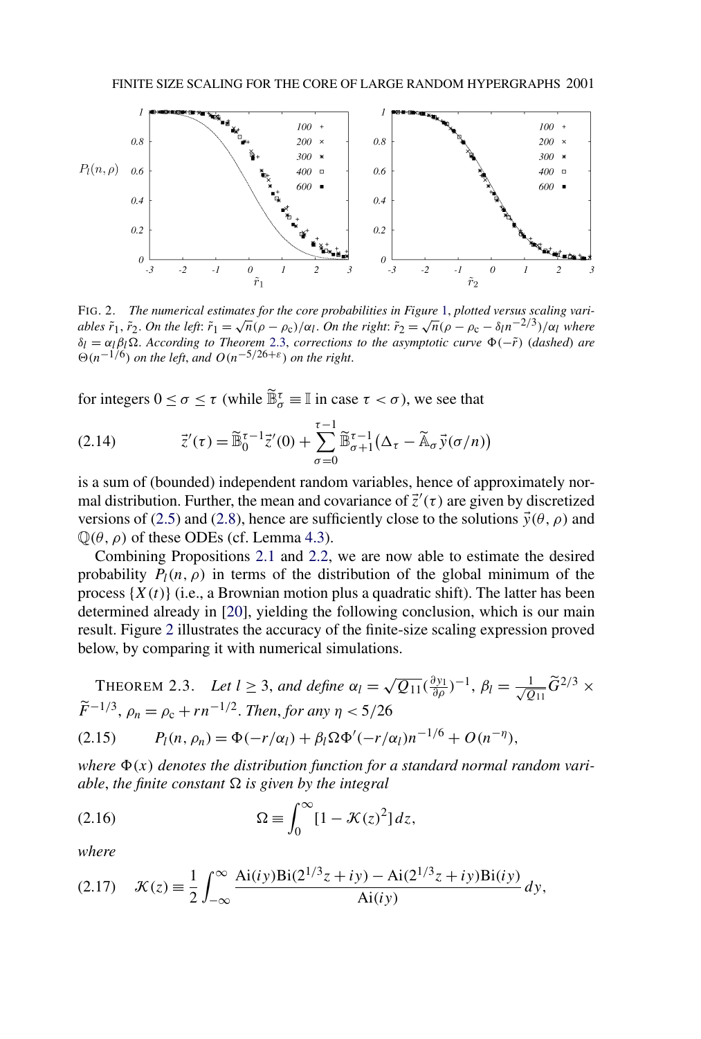<span id="page-8-0"></span>

FIG. 2. *The numerical estimates for the core probabilities in Figure* [1,](#page-2-0) *plotted versus scaling variables*  $\tilde{r}_1$ ,  $\tilde{r}_2$ . *On the left*:  $\tilde{r}_1 = \sqrt{n}(\rho - \rho_c)/\alpha_l$ . *On the right*:  $\tilde{r}_2 = \sqrt{n}(\rho - \rho_c - \delta_l n^{-2/3})/\alpha_l$  where *δ*<sub>*l*</sub> = *α*<sub>*l*</sub>*β*<sub>*l*</sub>Ω. *According to Theorem* 2.3, *corrections to the asymptotic curve* Φ(− $\tilde{r}$ ) (*dashed*) *are*  $\Theta(n^{-1/6})$  *on the left*, *and*  $O(n^{-5/26+\epsilon})$  *on the right.* 

for integers  $0 \le \sigma \le \tau$  (while  $\widetilde{\mathbb{B}}_{\sigma}^{\tau} \equiv \mathbb{I}$  in case  $\tau < \sigma$ ), we see that

(2.14) 
$$
\vec{z}'(\tau) = \widetilde{\mathbb{B}}_0^{\tau-1} \vec{z}'(0) + \sum_{\sigma=0}^{\tau-1} \widetilde{\mathbb{B}}_{\sigma+1}^{\tau-1} (\Delta_{\tau} - \widetilde{\mathbb{A}}_{\sigma} \vec{y}(\sigma/n))
$$

is a sum of (bounded) independent random variables, hence of approximately normal distribution. Further, the mean and covariance of  $\vec{z}'(\tau)$  are given by discretized versions of [\(2.5\)](#page-5-0) and [\(2.8\)](#page-6-0), hence are sufficiently close to the solutions  $\vec{y}(\theta, \rho)$  and  $\mathbb{Q}(\theta, \rho)$  of these ODEs (cf. Lemma [4.3\)](#page-19-0).

Combining Propositions [2.1](#page-6-0) and [2.2,](#page-7-0) we are now able to estimate the desired probability  $P_l(n, \rho)$  in terms of the distribution of the global minimum of the process  $\{X(t)\}\$  (i.e., a Brownian motion plus a quadratic shift). The latter has been determined already in [\[20\]](#page-46-0), yielding the following conclusion, which is our main result. Figure 2 illustrates the accuracy of the finite-size scaling expression proved below, by comparing it with numerical simulations.

THEOREM 2.3. Let 
$$
l \ge 3
$$
, and define  $\alpha_l = \sqrt{Q_{11}}(\frac{\partial y_1}{\partial \rho})^{-1}$ ,  $\beta_l = \frac{1}{\sqrt{Q_{11}}} \tilde{G}^{2/3} \times \tilde{F}^{-1/3}$ ,  $\rho_n = \rho_c + rn^{-1/2}$ . Then, for any  $\eta < 5/26$ 

$$
(2.15) \t Pl(n, \rhon) = \Phi(-r/\alphal) + \betal \Omega \Phi'(-r/\alphal) n^{-1/6} + O(n^{-\eta}),
$$

where  $\Phi(x)$  denotes the distribution function for a standard normal random vari*able, the finite constant*  $\Omega$  *is given by the integral* 

(2.16) 
$$
\Omega \equiv \int_0^\infty [1 - \mathcal{K}(z)^2] dz,
$$

*where*

(2.17) 
$$
\mathcal{K}(z) = \frac{1}{2} \int_{-\infty}^{\infty} \frac{Ai(iy)Bi(2^{1/3}z + iy) - Ai(2^{1/3}z + iy)Bi(iy)}{Ai(iy)} dy,
$$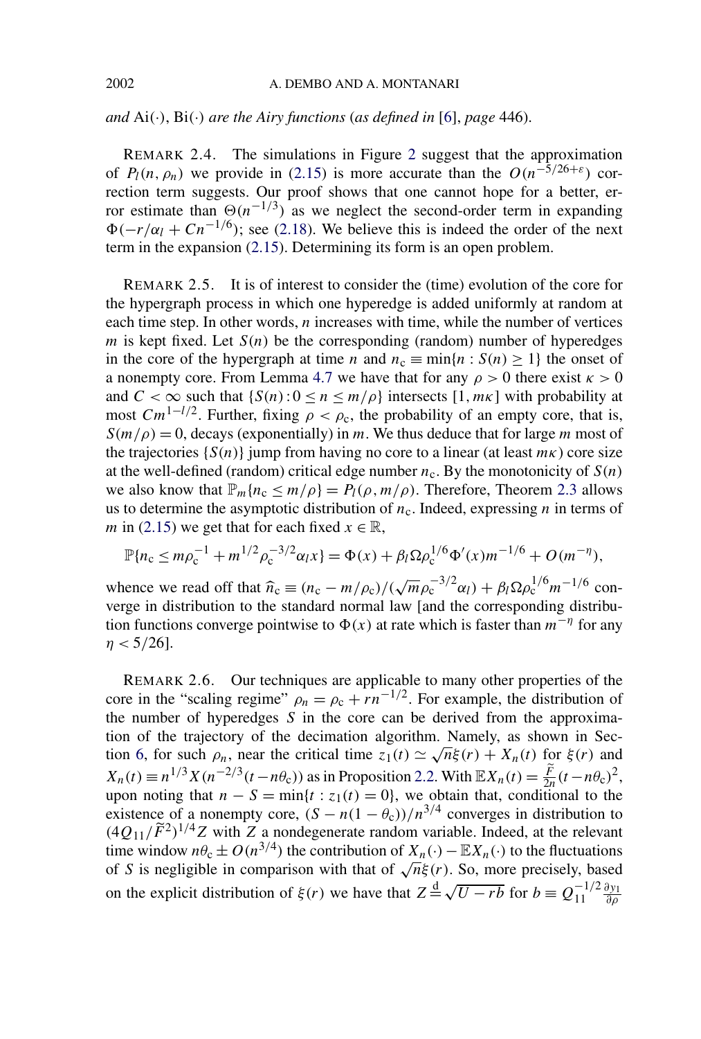<span id="page-9-0"></span>*and*  $Ai(\cdot)$ ,  $Bi(\cdot)$  *are the Airy functions (as defined in* [\[6\]](#page-46-0), *page* 446).

REMARK 2.4. The simulations in Figure [2](#page-8-0) suggest that the approximation of  $P_l(n, \rho_n)$  we provide in [\(2.15\)](#page-8-0) is more accurate than the  $O(n^{-5/26+\epsilon})$  correction term suggests. Our proof shows that one cannot hope for a better, error estimate than  $\Theta(n^{-1/3})$  as we neglect the second-order term in expanding  $\Phi(-r/\alpha_l + Cn^{-1/6})$ ; see [\(2.18\)](#page-10-0). We believe this is indeed the order of the next term in the expansion [\(2.15\)](#page-8-0). Determining its form is an open problem.

REMARK 2.5. It is of interest to consider the (time) evolution of the core for the hypergraph process in which one hyperedge is added uniformly at random at each time step. In other words, *n* increases with time, while the number of vertices *m* is kept fixed. Let  $S(n)$  be the corresponding (random) number of hyperedges in the core of the hypergraph at time *n* and  $n_c \equiv \min\{n : S(n) \ge 1\}$  the onset of a nonempty core. From Lemma [4.7](#page-27-0) we have that for any  $\rho > 0$  there exist  $\kappa > 0$ and  $C < \infty$  such that  $\{S(n): 0 \le n \le m/\rho\}$  intersects  $[1, m\kappa]$  with probability at most  $Cm^{1-l/2}$ . Further, fixing  $\rho < \rho_c$ , the probability of an empty core, that is,  $S(m/\rho) = 0$ , decays (exponentially) in *m*. We thus deduce that for large *m* most of the trajectories {*S(n)*} jump from having no core to a linear (at least *mκ*) core size at the well-defined (random) critical edge number  $n_c$ . By the monotonicity of  $S(n)$ we also know that  $\mathbb{P}_m\{n_c \leq m/\rho\} = P_l(\rho, m/\rho)$ . Therefore, Theorem [2.3](#page-8-0) allows us to determine the asymptotic distribution of  $n_c$ . Indeed, expressing *n* in terms of *m* in [\(2.15\)](#page-8-0) we get that for each fixed  $x \in \mathbb{R}$ ,

$$
\mathbb{P}\{n_{\rm c}\leq m\rho_{\rm c}^{-1}+m^{1/2}\rho_{\rm c}^{-3/2}\alpha_l x\}=\Phi(x)+\beta_l\Omega\rho_{\rm c}^{1/6}\Phi'(x)m^{-1/6}+O(m^{-\eta}),
$$

whence we read off that  $\hat{n}_c \equiv (n_c - m/\rho_c)/(\sqrt{m}\rho_c^{-3/2}\alpha_l) + \beta_l \Omega \rho_c^{1/6} m^{-1/6}$  converge in distribution to the standard normal law [and the corresponding distribution functions converge pointwise to  $\Phi(x)$  at rate which is faster than  $m^{-\eta}$  for any *η <* 5*/*26].

REMARK 2.6. Our techniques are applicable to many other properties of the core in the "scaling regime"  $\rho_n = \rho_c + rn^{-1/2}$ . For example, the distribution of the number of hyperedges *S* in the core can be derived from the approximation of the trajectory of the decimation algorithm. Namely, as shown in Sec-tion [6,](#page-38-0) for such  $\rho_n$ , near the critical time  $z_1(t) \simeq \sqrt{n}\xi(r) + X_n(t)$  for  $\xi(r)$  and  $X_n(t) \equiv n^{1/3} X(n^{-2/3} (t - n\theta_c))$  as in Proposition [2.2.](#page-7-0) With  $\mathbb{E} X_n(t) = \frac{F}{2n} (t - n\theta_c)^2$ , upon noting that  $n - S = \min\{t : z_1(t) = 0\}$ , we obtain that, conditional to the existence of a nonempty core,  $(S - n(1 - \theta_c))/n^{3/4}$  converges in distribution to  $(4Q_{11}/\tilde{F}^2)^{1/4}Z$  with *Z* a nondegenerate random variable. Indeed, at the relevant time window  $n\theta_c \pm O(n^{3/4})$  the contribution of  $X_n(\cdot) - \mathbb{E}X_n(\cdot)$  to the fluctuations of *S* is negligible in comparison with that of  $\sqrt{n}\xi(r)$ . So, more precisely, based on the explicit distribution of  $\xi(r)$  we have that  $Z = \sqrt{U - rb}$  for  $b = Q_{11}^{-1/2} \frac{\partial y_1}{\partial \rho}$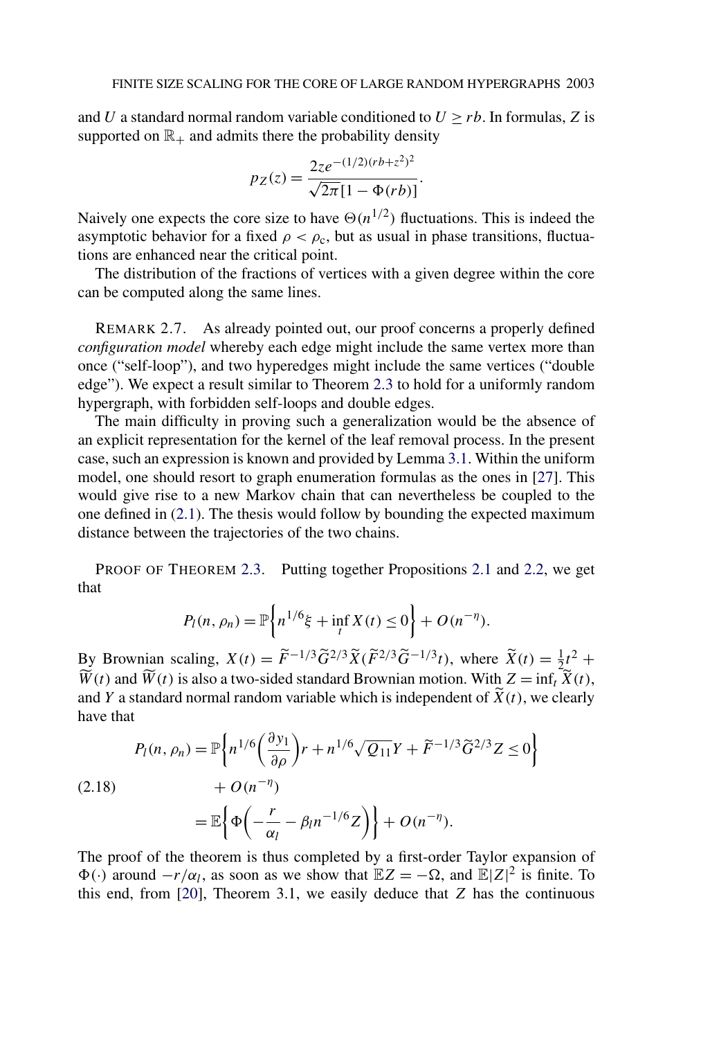<span id="page-10-0"></span>and *U* a standard normal random variable conditioned to  $U \ge rb$ . In formulas, *Z* is supported on  $\mathbb{R}_+$  and admits there the probability density

$$
p_Z(z) = \frac{2ze^{-(1/2)(rb+z^2)^2}}{\sqrt{2\pi}[1-\Phi(rb)]}.
$$

Naively one expects the core size to have  $\Theta(n^{1/2})$  fluctuations. This is indeed the asymptotic behavior for a fixed  $\rho < \rho_c$ , but as usual in phase transitions, fluctuations are enhanced near the critical point.

The distribution of the fractions of vertices with a given degree within the core can be computed along the same lines.

REMARK 2.7. As already pointed out, our proof concerns a properly defined *configuration model* whereby each edge might include the same vertex more than once ("self-loop"), and two hyperedges might include the same vertices ("double edge"). We expect a result similar to Theorem [2.3](#page-8-0) to hold for a uniformly random hypergraph, with forbidden self-loops and double edges.

The main difficulty in proving such a generalization would be the absence of an explicit representation for the kernel of the leaf removal process. In the present case, such an expression is known and provided by Lemma [3.1.](#page-13-0) Within the uniform model, one should resort to graph enumeration formulas as the ones in [\[27\]](#page-47-0). This would give rise to a new Markov chain that can nevertheless be coupled to the one defined in [\(2.1\)](#page-5-0). The thesis would follow by bounding the expected maximum distance between the trajectories of the two chains.

PROOF OF THEOREM [2.3.](#page-8-0) Putting together Propositions [2.1](#page-6-0) and [2.2,](#page-7-0) we get that

$$
P_l(n, \rho_n) = \mathbb{P}\bigg\{ n^{1/6}\xi + \inf_t X(t) \le 0 \bigg\} + O(n^{-\eta}).
$$

By Brownian scaling,  $X(t) = \tilde{F}^{-1/3} \tilde{G}^{2/3} \tilde{X} (\tilde{F}^{2/3} \tilde{G}^{-1/3} t)$ , where  $\tilde{X}(t) = \frac{1}{2} t^2 +$  $\overline{W}(t)$  and  $\overline{W}(t)$  is also a two-sided standard Brownian motion. With  $Z = \inf_t \overline{X}(t)$ , and *Y* a standard normal random variable which is independent of  $X(t)$ , we clearly have that

$$
P_l(n, \rho_n) = \mathbb{P}\left\{ n^{1/6} \left( \frac{\partial y_1}{\partial \rho} \right) r + n^{1/6} \sqrt{Q_{11}} Y + \tilde{F}^{-1/3} \tilde{G}^{2/3} Z \le 0 \right\}
$$
  
(2.18)  

$$
+ O(n^{-\eta})
$$
  

$$
= \mathbb{E}\left\{ \Phi\left( -\frac{r}{\alpha_l} - \beta_l n^{-1/6} Z \right) \right\} + O(n^{-\eta}).
$$

The proof of the theorem is thus completed by a first-order Taylor expansion of  $\Phi(\cdot)$  around  $-r/\alpha_l$ , as soon as we show that  $\mathbb{E}Z = -\Omega$ , and  $\mathbb{E}|Z|^2$  is finite. To this end, from [\[20\]](#page-46-0), Theorem 3.1, we easily deduce that *Z* has the continuous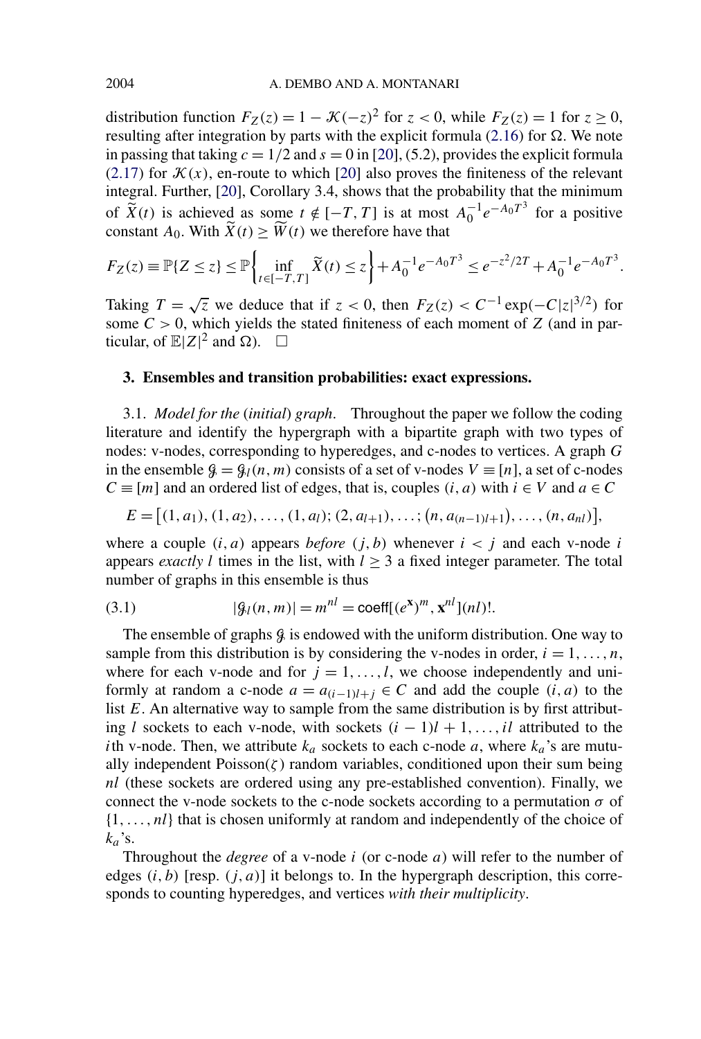<span id="page-11-0"></span>distribution function  $F_Z(z) = 1 - \mathcal{K}(-z)^2$  for  $z < 0$ , while  $F_Z(z) = 1$  for  $z \ge 0$ , resulting after integration by parts with the explicit formula  $(2.16)$  for  $\Omega$ . We note in passing that taking  $c = 1/2$  and  $s = 0$  in [\[20\]](#page-46-0), (5.2), provides the explicit formula [\(2.17\)](#page-8-0) for  $\mathcal{K}(x)$ , en-route to which [\[20\]](#page-46-0) also proves the finiteness of the relevant integral. Further, [\[20\]](#page-46-0), Corollary 3.4, shows that the probability that the minimum of  $\widetilde{X}(t)$  is achieved as some  $t \notin [-T, T]$  is at most  $A_0^{-1}e^{-A_0T^3}$  for a positive constant  $A_0$ . With  $\tilde{X}(t) \geq \tilde{W}(t)$  we therefore have that

$$
F_Z(z) \equiv \mathbb{P}\{Z \le z\} \le \mathbb{P}\left\{\inf_{t \in [-T,T]} \widetilde{X}(t) \le z\right\} + A_0^{-1} e^{-A_0 T^3} \le e^{-z^2/2T} + A_0^{-1} e^{-A_0 T^3}.
$$

Taking  $T = \sqrt{z}$  we deduce that if  $z < 0$ , then  $F_Z(z) < C^{-1} \exp(-C|z|^{3/2})$  for some  $C > 0$ , which yields the stated finiteness of each moment of *Z* (and in particular, of  $\mathbb{E}|Z|^2$  and  $\Omega$ ).  $\Box$ 

### **3. Ensembles and transition probabilities: exact expressions.**

3.1. *Model for the* (*initial*) *graph*. Throughout the paper we follow the coding literature and identify the hypergraph with a bipartite graph with two types of nodes: v-nodes, corresponding to hyperedges, and c-nodes to vertices. A graph *G* in the ensemble  $\mathcal{G} = \mathcal{G}_l(n, m)$  consists of a set of v-nodes  $V \equiv [n]$ , a set of c-nodes  $C \equiv [m]$  and an ordered list of edges, that is, couples  $(i, a)$  with  $i \in V$  and  $a \in C$ 

$$
E = [(1, a_1), (1, a_2), \ldots, (1, a_l); (2, a_{l+1}), \ldots; (n, a_{(n-1)l+1}), \ldots, (n, a_{nl})],
$$

where a couple  $(i, a)$  appears *before*  $(i, b)$  whenever  $i < j$  and each v-node *i* appears *exactly l* times in the list, with  $l > 3$  a fixed integer parameter. The total number of graphs in this ensemble is thus

(3.1) 
$$
|\mathcal{G}_l(n,m)| = m^{nl} = \text{coeff}[(e^x)^m, x^{nl}](nl)!.
$$

The ensemble of graphs  $\beta$  is endowed with the uniform distribution. One way to sample from this distribution is by considering the v-nodes in order,  $i = 1, \ldots, n$ , where for each v-node and for  $j = 1, \ldots, l$ , we choose independently and uniformly at random a c-node  $a = a_{(i-1)l+j} \in C$  and add the couple  $(i, a)$  to the list *E*. An alternative way to sample from the same distribution is by first attributing *l* sockets to each v-node, with sockets  $(i - 1)l + 1, \ldots, il$  attributed to the *i*th v-node. Then, we attribute  $k_a$  sockets to each c-node  $a$ , where  $k_a$ 's are mutually independent  $Poisson(\zeta)$  random variables, conditioned upon their sum being *nl* (these sockets are ordered using any pre-established convention). Finally, we connect the v-node sockets to the c-node sockets according to a permutation  $\sigma$  of {1*, . . . , nl*} that is chosen uniformly at random and independently of the choice of *ka*'s.

Throughout the *degree* of a v-node *i* (or c-node *a*) will refer to the number of edges  $(i, b)$  [resp.  $(j, a)$ ] it belongs to. In the hypergraph description, this corresponds to counting hyperedges, and vertices *with their multiplicity*.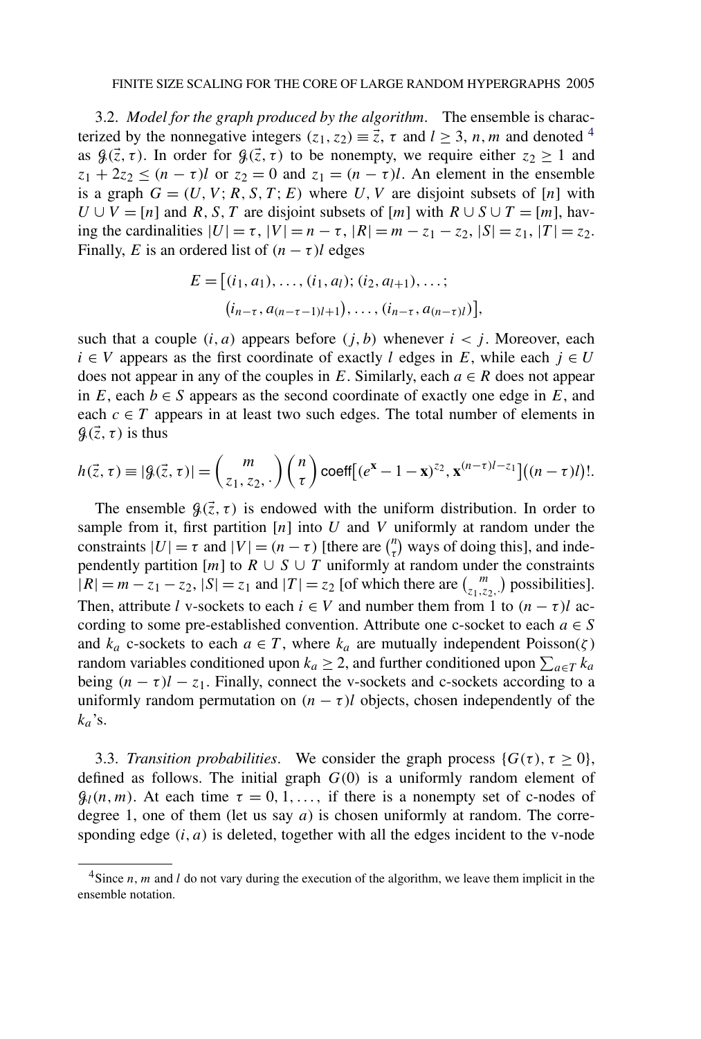3.2. *Model for the graph produced by the algorithm*. The ensemble is characterized by the nonnegative integers  $(z_1, z_2) \equiv \vec{z}$ ,  $\tau$  and  $l > 3$ , *n*, *m* and denoted <sup>4</sup> as  $\mathcal{G}(\vec{z}, \tau)$ . In order for  $\mathcal{G}(\vec{z}, \tau)$  to be nonempty, we require either  $z_2 \geq 1$  and  $z_1 + 2z_2 \leq (n - \tau)l$  or  $z_2 = 0$  and  $z_1 = (n - \tau)l$ . An element in the ensemble is a graph  $G = (U, V; R, S, T; E)$  where U, V are disjoint subsets of [n] with  $U \cup V = [n]$  and *R, S, T* are disjoint subsets of [*m*] with  $R \cup S \cup T = [m]$ , having the cardinalities  $|U| = \tau$ ,  $|V| = n - \tau$ ,  $|R| = m - z_1 - z_2$ ,  $|S| = z_1$ ,  $|T| = z_2$ . Finally, *E* is an ordered list of  $(n - \tau)$ *l* edges

$$
E = [(i_1, a_1), \dots, (i_1, a_l); (i_2, a_{l+1}), \dots; (i_{n-\tau}, a_{(n-\tau-1)l+1}), \dots, (i_{n-\tau}, a_{(n-\tau)l})],
$$

such that a couple  $(i, a)$  appears before  $(j, b)$  whenever  $i < j$ . Moreover, each  $i \in V$  appears as the first coordinate of exactly *l* edges in *E*, while each  $j \in U$ does not appear in any of the couples in  $E$ . Similarly, each  $a \in R$  does not appear in  $E$ , each  $b \in S$  appears as the second coordinate of exactly one edge in  $E$ , and each  $c \in T$  appears in at least two such edges. The total number of elements in  $\mathcal{G}(\vec{z}, \tau)$  is thus

$$
h(\vec{z}, \tau) \equiv |\mathcal{G}(\vec{z}, \tau)| = {m \choose z_1, z_2, .} {n \choose \tau} \text{coeff}[(e^x - 1 - x)^{z_2}, x^{(n-\tau)l-z_1}]((n-\tau)l)!.
$$

The ensemble  $\mathcal{G}(\vec{z}, \tau)$  is endowed with the uniform distribution. In order to sample from it, first partition [*n*] into *U* and *V* uniformly at random under the constraints  $|U| = \tau$  and  $|V| = (n - \tau)$  [there are  $\binom{n}{\tau}$  ways of doing this], and independently partition  $[m]$  to  $R \cup S \cup T$  uniformly at random under the constraints  $|R| = m - z_1 - z_2$ ,  $|S| = z_1$  and  $|T| = z_2$  [of which there are  $\binom{m}{z_1, z_2}$ , possibilities]. Then, attribute *l* v-sockets to each  $i \in V$  and number them from 1 to  $(n - \tau)l$  according to some pre-established convention. Attribute one c-socket to each  $a \in S$ and  $k_a$  c-sockets to each  $a \in T$ , where  $k_a$  are mutually independent Poisson( $\zeta$ ) random variables conditioned upon  $k_a \geq 2$ , and further conditioned upon  $\sum_{a \in T} k_a$ being  $(n - \tau)l - z_1$ . Finally, connect the v-sockets and c-sockets according to a uniformly random permutation on  $(n - \tau)$ *l* objects, chosen independently of the  $k_a$ 's.

3.3. *Transition probabilities*. We consider the graph process  $\{G(\tau), \tau \geq 0\}$ , defined as follows. The initial graph *G(*0*)* is a uniformly random element of  $\mathcal{G}_l(n,m)$ . At each time  $\tau = 0, 1, \ldots$ , if there is a nonempty set of c-nodes of degree 1, one of them (let us say *a*) is chosen uniformly at random. The corresponding edge *(i, a)* is deleted, together with all the edges incident to the v-node

<sup>4</sup>Since *n*, *m* and *l* do not vary during the execution of the algorithm, we leave them implicit in the ensemble notation.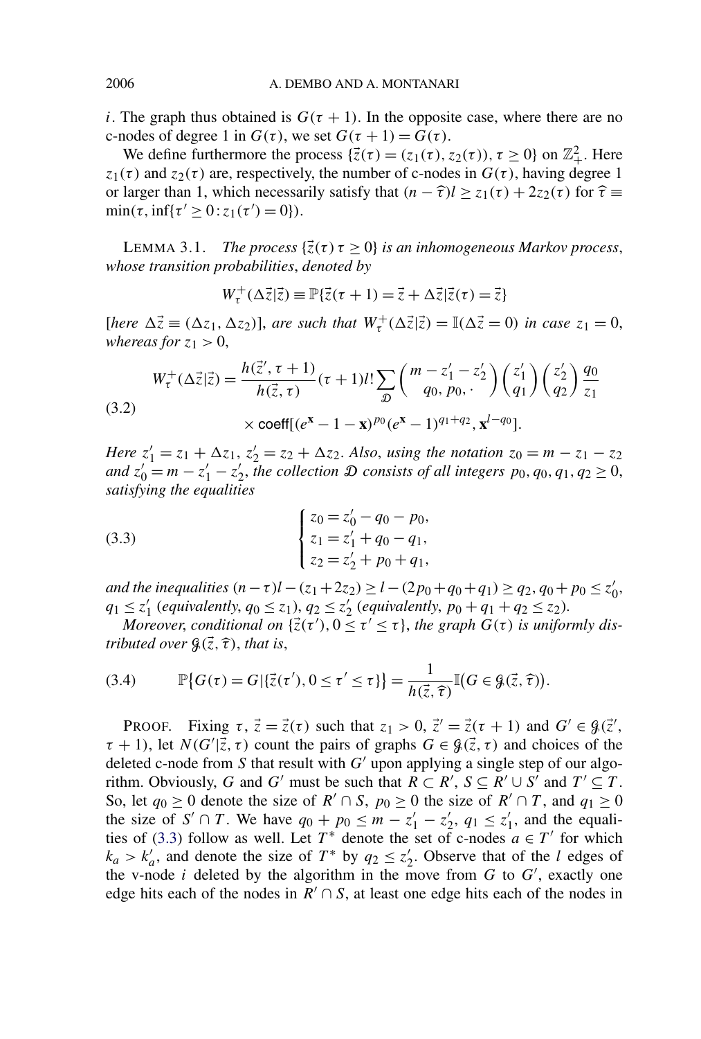<span id="page-13-0"></span>*i*. The graph thus obtained is  $G(\tau + 1)$ . In the opposite case, where there are no c-nodes of degree 1 in  $G(\tau)$ , we set  $G(\tau + 1) = G(\tau)$ .

We define furthermore the process  $\{\vec{z}(\tau) = (z_1(\tau), z_2(\tau)), \tau \ge 0\}$  on  $\mathbb{Z}_+^2$ . Here *z*<sub>1</sub>( $\tau$ ) and *z*<sub>2</sub>( $\tau$ ) are, respectively, the number of c-nodes in  $G(\tau)$ , having degree 1 or larger than 1, which necessarily satisfy that  $(n - \hat{\tau})l \ge z_1(\tau) + 2z_2(\tau)$  for  $\hat{\tau} \equiv$  $\min(\tau, \inf\{\tau' \geq 0 : z_1(\tau') = 0\}).$ 

LEMMA 3.1. *The process*  $\{\overline{z}(\tau) \tau \geq 0\}$  *is an inhomogeneous Markov process, whose transition probabilities*, *denoted by*

$$
W_{\tau}^{+}(\Delta \vec{z}|\vec{z}) \equiv \mathbb{P}\{\vec{z}(\tau + 1) = \vec{z} + \Delta \vec{z}|\vec{z}(\tau) = \vec{z}\}\
$$

 $[here \Delta \vec{z} \equiv (\Delta z_1, \Delta z_2)]$ , *are such that*  $W^+_t(\Delta \vec{z}|\vec{z}) = \mathbb{I}(\Delta \vec{z} = 0)$  *in case*  $z_1 = 0$ , *whereas for*  $z_1 > 0$ ,

$$
W_{\tau}^{+}(\Delta \vec{z}|\vec{z}) = \frac{h(\vec{z}', \tau + 1)}{h(\vec{z}, \tau)}(\tau + 1)l! \sum_{\mathcal{D}} \binom{m - z'_{1} - z'_{2}}{q_{0}, p_{0}, \tau} \binom{z'_{1}}{q_{1}} \binom{z'_{2}}{q_{2}} \frac{q_{0}}{z_{1}}
$$
  
(3.2)  

$$
\times \text{coeff}[(e^{\mathbf{x}} - 1 - \mathbf{x})^{p_{0}}(e^{\mathbf{x}} - 1)^{q_{1} + q_{2}}, \mathbf{x}^{l - q_{0}}].
$$

*Here*  $z'_1 = z_1 + \Delta z_1$ ,  $z'_2 = z_2 + \Delta z_2$ . *Also*, *using the notation*  $z_0 = m - z_1 - z_2$ *and*  $z'_0 = m - z'_1 - z'_2$ , the collection  $\mathcal D$  consists of all integers  $p_0, q_0, q_1, q_2 \ge 0$ , *satisfying the equalities*

(3.3) 
$$
\begin{cases} z_0 = z'_0 - q_0 - p_0, \\ z_1 = z'_1 + q_0 - q_1, \\ z_2 = z'_2 + p_0 + q_1, \end{cases}
$$

*and the inequalities*  $(n - \tau)l - (z_1 + 2z_2) \geq l - (2p_0 + q_0 + q_1) \geq q_2$ ,  $q_0 + p_0 \leq z'_0$ ,  $q_1 \leq z_1'$  (*equivalently*,  $q_0 \leq z_1$ ),  $q_2 \leq z_2'$  (*equivalently*,  $p_0 + q_1 + q_2 \leq z_2$ ).

*Moreover, conditional on*  $\{ \vec{z}(\tau'), 0 \leq \tau' \leq \tau \}$ , the graph  $G(\tau)$  is uniformly dis*tributed over*  $\mathcal{G}(\vec{z}, \hat{\tau})$ *, that is,* 

(3.4) 
$$
\mathbb{P}\{G(\tau) = G | \{\vec{z}(\tau'), 0 \leq \tau' \leq \tau\}\} = \frac{1}{h(\vec{z}, \hat{\tau})}\mathbb{I}(G \in \mathcal{G}(\vec{z}, \hat{\tau})).
$$

PROOF. Fixing  $\tau$ ,  $\vec{z} = \vec{z}(\tau)$  such that  $z_1 > 0$ ,  $\vec{z}' = \vec{z}(\tau + 1)$  and  $G' \in \mathcal{G}(\vec{z}')$ ,  $\tau + 1$ ), let  $N(G'|\vec{z}, \tau)$  count the pairs of graphs  $G \in \mathcal{G}(\vec{z}, \tau)$  and choices of the deleted c-node from  $S$  that result with  $G'$  upon applying a single step of our algorithm. Obviously, *G* and *G'* must be such that  $R \subset R'$ ,  $S \subseteq R' \cup S'$  and  $T' \subseteq T$ . So, let  $q_0 \ge 0$  denote the size of  $R' \cap S$ ,  $p_0 \ge 0$  the size of  $R' \cap T$ , and  $q_1 \ge 0$ the size of  $S' \cap T$ . We have  $q_0 + p_0 \le m - z'_1 - z'_2$ ,  $q_1 \le z'_1$ , and the equalities of (3.3) follow as well. Let  $T^*$  denote the set of c-nodes  $a \in T'$  for which  $k_a > k'_a$ , and denote the size of  $T^*$  by  $q_2 \leq z'_2$ . Observe that of the *l* edges of the v-node *i* deleted by the algorithm in the move from  $G$  to  $G'$ , exactly one edge hits each of the nodes in  $R' \cap S$ , at least one edge hits each of the nodes in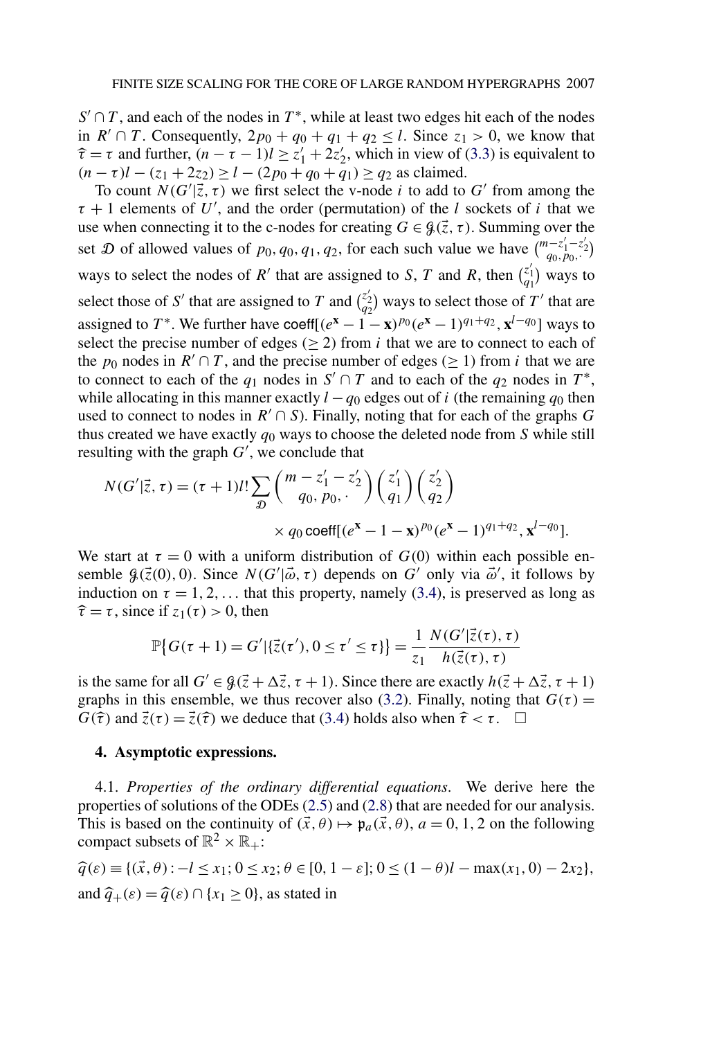$S' \cap T$ , and each of the nodes in  $T^*$ , while at least two edges hit each of the nodes in  $R' \cap T$ . Consequently,  $2p_0 + q_0 + q_1 + q_2 \leq l$ . Since  $z_1 > 0$ , we know that  $\hat{\tau} = \tau$  and further,  $(n - \tau - 1)l \ge z'_1 + 2z'_2$ , which in view of [\(3.3\)](#page-13-0) is equivalent to *(n* − *τ*)*l* −  $(z_1 + 2z_2) \ge l$  −  $(2p_0 + q_0 + q_1) \ge q_2$  as claimed.

To count  $N(G'|\vec{z}, \tau)$  we first select the v-node *i* to add to G' from among the  $\tau + 1$  elements of U', and the order (permutation) of the *l* sockets of *i* that we use when connecting it to the c-nodes for creating  $G \in \mathcal{G}(\vec{z}, \tau)$ . Summing over the set  $\mathcal D$  of allowed values of  $p_0, q_0, q_1, q_2$ , for each such value we have  $\binom{m-z'_1-z'_2}{q_0, p_0, \cdots}$ ways to select the nodes of *R'* that are assigned to *S*, *T* and *R*, then  $\begin{pmatrix} z'_1 \\ q_1 \end{pmatrix}$  ways to select those of S' that are assigned to T and  $\binom{z_2}{q_2}$  ways to select those of T' that are assigned to *T*<sup>\*</sup>. We further have coeff[ $(e^{x} - 1 - x)^{p_0}(e^{x} - 1)^{q_1+q_2}$ ,  $x^{l-q_0}$ ] ways to select the precise number of edges ( $\geq$  2) from *i* that we are to connect to each of the  $p_0$  nodes in  $R' \cap T$ , and the precise number of edges ( $\geq 1$ ) from *i* that we are to connect to each of the  $q_1$  nodes in  $S' \cap T$  and to each of the  $q_2$  nodes in  $T^*$ , while allocating in this manner exactly  $l - q_0$  edges out of *i* (the remaining  $q_0$  then used to connect to nodes in  $R' \cap S$ ). Finally, noting that for each of the graphs *G* thus created we have exactly *q*<sup>0</sup> ways to choose the deleted node from *S* while still resulting with the graph  $G'$ , we conclude that

$$
N(G'|\vec{z}, \tau) = (\tau + 1)l! \sum_{\mathcal{D}} \binom{m - z_1' - z_2'}{q_0, p_0, \cdot} \binom{z_1'}{q_1} \binom{z_2'}{q_2} \times q_0 \text{coeff}[(e^x - 1 - x)^{p_0}(e^x - 1)^{q_1 + q_2}, x^{l - q_0}].
$$

We start at  $\tau = 0$  with a uniform distribution of  $G(0)$  within each possible ensemble  $\mathcal{G}(\vec{z}(0),0)$ . Since  $N(G'|\vec{\omega}, \tau)$  depends on  $G'$  only via  $\vec{\omega}'$ , it follows by induction on  $\tau = 1, 2, \ldots$  that this property, namely [\(3.4\)](#page-13-0), is preserved as long as  $\hat{\tau} = \tau$ , since if  $z_1(\tau) > 0$ , then

$$
\mathbb{P}\{G(\tau+1) = G' | \{\vec{z}(\tau'), 0 \le \tau' \le \tau\}\} = \frac{1}{z_1} \frac{N(G' | \vec{z}(\tau), \tau)}{h(\vec{z}(\tau), \tau)}
$$

is the same for all  $G' \in \mathcal{G}(\vec{z} + \Delta \vec{z}, \tau + 1)$ . Since there are exactly  $h(\vec{z} + \Delta \vec{z}, \tau + 1)$ graphs in this ensemble, we thus recover also [\(3.2\)](#page-13-0). Finally, noting that  $G(\tau)$  = *G*( $\hat{\tau}$ ) and  $\vec{z}(\tau) = \vec{z}(\hat{\tau})$  we deduce that [\(3.4\)](#page-13-0) holds also when  $\hat{\tau} < \tau$ .  $\Box$ 

## **4. Asymptotic expressions.**

4.1. *Properties of the ordinary differential equations*. We derive here the properties of solutions of the ODEs [\(2.5\)](#page-5-0) and [\(2.8\)](#page-6-0) that are needed for our analysis. This is based on the continuity of  $(\vec{x}, \theta) \mapsto \mathfrak{p}_a(\vec{x}, \theta)$ ,  $a = 0, 1, 2$  on the following compact subsets of  $\mathbb{R}^2 \times \mathbb{R}_+$ :

$$
\begin{aligned} \n\widehat{q}(\varepsilon) &= \{(\vec{x}, \theta) : -l \le x_1; 0 \le x_2; \theta \in [0, 1 - \varepsilon]; 0 \le (1 - \theta)l - \max(x_1, 0) - 2x_2\}, \\ \n\text{and } \n\widehat{q}_+(\varepsilon) &= \widehat{q}(\varepsilon) \cap \{x_1 \ge 0\}, \n\text{as stated in} \n\end{aligned}
$$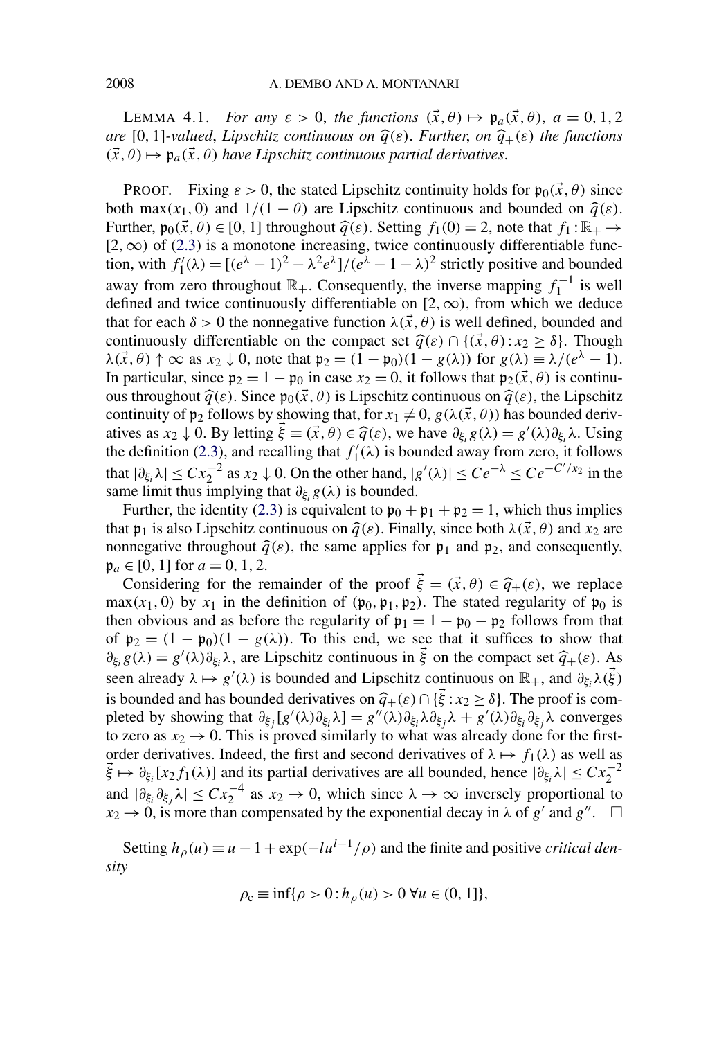<span id="page-15-0"></span>LEMMA 4.1. *For any*  $\varepsilon > 0$ , the functions  $(\vec{x}, \theta) \mapsto \mathfrak{p}_a(\vec{x}, \theta)$ ,  $a = 0, 1, 2$ *are* [0, 1]-valued, *Lipschitz continuous on*  $\hat{q}(\varepsilon)$ . *Further, on*  $\hat{q}_{+}(\varepsilon)$  *the functions*  $(\vec{x}, \theta) \mapsto \mathfrak{p}_a(\vec{x}, \theta)$  *have Lipschitz continuous partial derivatives.* 

PROOF. Fixing  $\varepsilon > 0$ , the stated Lipschitz continuity holds for  $\mathfrak{p}_0(\vec{x}, \theta)$  since both max $(x_1, 0)$  and  $1/(1 - \theta)$  are Lipschitz continuous and bounded on  $\hat{q}(\varepsilon)$ . Further,  $\mathfrak{p}_0(\vec{x},\theta) \in [0,1]$  throughout  $\hat{q}(\varepsilon)$ . Setting  $f_1(0) = 2$ , note that  $f_1 : \mathbb{R}_+ \to$ [2*,*∞*)* of [\(2.3\)](#page-5-0) is a monotone increasing, twice continuously differentiable function, with  $f'_1(\lambda) = [(\mathbf{e}^{\lambda} - 1)^2 - \lambda^2 \mathbf{e}^{\lambda}] / (\mathbf{e}^{\lambda} - 1 - \lambda)^2$  strictly positive and bounded away from zero throughout  $\mathbb{R}_+$ . Consequently, the inverse mapping  $f_1^{-1}$  is well defined and twice continuously differentiable on  $[2, \infty)$ , from which we deduce that for each  $\delta > 0$  the nonnegative function  $\lambda(\vec{x}, \theta)$  is well defined, bounded and continuously differentiable on the compact set  $\hat{q}(\varepsilon) \cap \{(\vec{x}, \theta) : x_2 \ge \delta\}$ . Though  $\lambda(\vec{x}, \theta) \uparrow \infty$  as  $x_2 \downarrow 0$ , note that  $\mathfrak{p}_2 = (1 - \mathfrak{p}_0)(1 - g(\lambda))$  for  $g(\lambda) \equiv \lambda/(e^{\lambda} - 1)$ . In particular, since  $p_2 = 1 - p_0$  in case  $x_2 = 0$ , it follows that  $p_2(\vec{x}, \theta)$  is continuous throughout  $\hat{q}(\varepsilon)$ . Since  $\mathfrak{p}_0(\vec{x},\theta)$  is Lipschitz continuous on  $\hat{q}(\varepsilon)$ , the Lipschitz continuity of  $\mathfrak{p}_2$  follows by showing that, for  $x_1 \neq 0$ ,  $g(\lambda(\vec{x}, \theta))$  has bounded derivatives as  $x_2 \downarrow 0$ . By letting  $\vec{\xi} \equiv (\vec{x}, \theta) \in \hat{q}(\varepsilon)$ , we have  $\partial_{\xi_i} g(\lambda) = g'(\lambda) \partial_{\xi_i} \lambda$ . Using the definition (2.3) and recalling that  $f'(1)$  is hounded away from zero, it follows the definition [\(2.3\)](#page-5-0), and recalling that  $f'_1(\lambda)$  is bounded away from zero, it follows that  $|\partial_{\xi_i}\lambda| \leq C x_2^{-2}$  as  $x_2 \downarrow 0$ . On the other hand,  $|g'(\lambda)| \leq Ce^{-\lambda} \leq Ce^{-C'/x_2}$  in the same limit thus implying that  $\partial_{\xi_i} g(\lambda)$  is bounded.

Further, the identity [\(2.3\)](#page-5-0) is equivalent to  $\mathfrak{p}_0 + \mathfrak{p}_1 + \mathfrak{p}_2 = 1$ , which thus implies that  $\mathfrak{p}_1$  is also Lipschitz continuous on  $\hat{q}(\varepsilon)$ . Finally, since both  $\lambda(\vec{x}, \theta)$  and  $x_2$  are nonnegative throughout  $\hat{q}(\varepsilon)$ , the same applies for  $\mathfrak{p}_1$  and  $\mathfrak{p}_2$ , and consequently,  $\mathfrak{p}_a \in [0, 1]$  for  $a = 0, 1, 2$ .

Considering for the remainder of the proof  $\vec{\xi} = (\vec{x}, \theta) \in \hat{q}_+( \varepsilon),$  we replace  $max(x_1, 0)$  by  $x_1$  in the definition of  $(p_0, p_1, p_2)$ . The stated regularity of  $p_0$  is then obvious and as before the regularity of  $\mathfrak{p}_1 = 1 - \mathfrak{p}_0 - \mathfrak{p}_2$  follows from that of  $p_2 = (1 - p_0)(1 - g(\lambda))$ . To this end, we see that it suffices to show that  $\partial_{\xi_i} g(\lambda) = g'(\lambda) \partial_{\xi_i} \lambda$ , are Lipschitz continuous in  $\vec{\xi}$  on the compact set  $\hat{q}_+(\varepsilon)$ . As seen already  $\lambda \mapsto g'(\lambda)$  is bounded and Lipschitz continuous on  $\mathbb{R}_+$ , and  $\partial_{\xi_i}\lambda(\vec{\xi})$ is bounded and has bounded derivatives on  $\hat{q}_+(\varepsilon) \cap {\{\vec{\xi}} : x_2 \ge \delta\}$ . The proof is completed by showing that  $\partial_{\xi_j}[g'(\lambda)\partial_{\xi_i}\lambda] = g''(\lambda)\partial_{\xi_i}\lambda\partial_{\xi_j}\lambda + g'(\lambda)\partial_{\xi_i}\partial_{\xi_j}\lambda$  converges to zero as  $x_2 \rightarrow 0$ . This is proved similarly to what was already done for the firstorder derivatives. Indeed, the first and second derivatives of  $\lambda \mapsto f_1(\lambda)$  as well as  $\vec{\xi} \mapsto \partial_{\xi_i}[x_2 f_1(\lambda)]$  and its partial derivatives are all bounded, hence  $|\partial_{\xi_i}\lambda| \leq Cx_2^{-2}$ and  $|\partial_{\xi_i}\partial_{\xi_j}\lambda| \leq Cx_2^{-4}$  as  $x_2 \to 0$ , which since  $\lambda \to \infty$  inversely proportional to  $x_2 \rightarrow 0$ , is more than compensated by the exponential decay in  $\lambda$  of  $g'$  and  $g''$ .  $\Box$ 

Setting  $h_\rho(u) \equiv u - 1 + \exp(-\frac{lu^{l-1}}{\rho})$  and the finite and positive *critical density*

$$
\rho_{\rm c} \equiv \inf \{ \rho > 0 : h_{\rho}(u) > 0 \,\forall u \in (0, 1] \},\
$$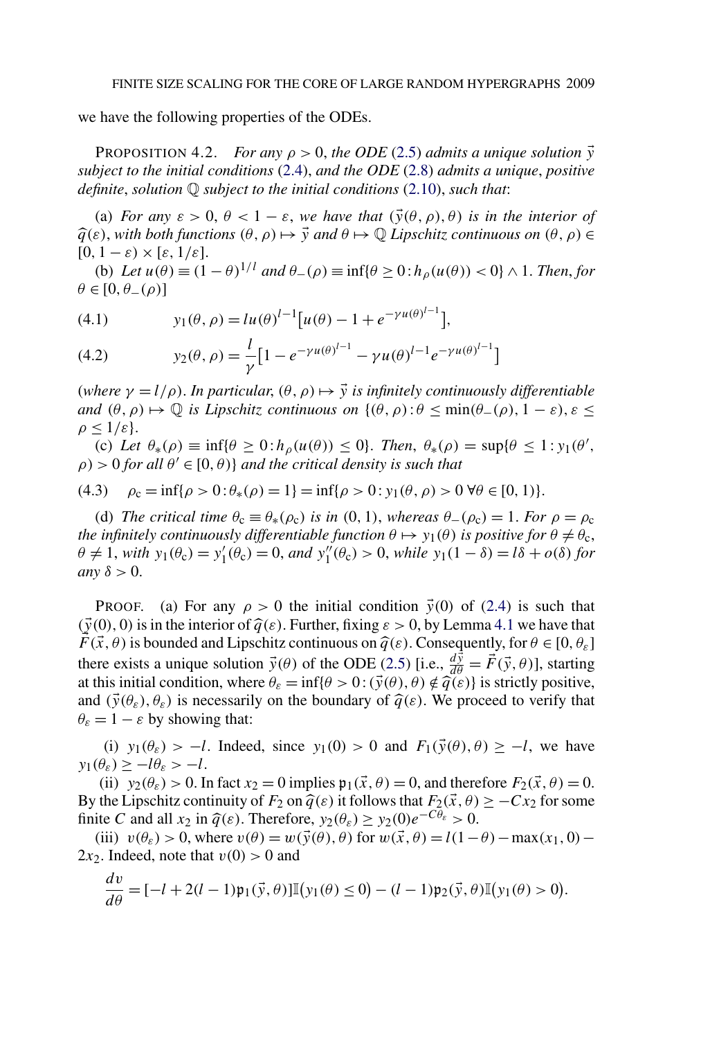<span id="page-16-0"></span>we have the following properties of the ODEs.

**PROPOSITION 4.2.** *For any*  $\rho > 0$ , the ODE [\(2.5\)](#page-5-0) admits a unique solution  $\vec{y}$ *subject to the initial conditions* [\(2.4\)](#page-5-0), *and the ODE* [\(2.8\)](#page-6-0) *admits a unique*, *positive definite*, *solution* Q *subject to the initial conditions* [\(2.10\)](#page-7-0), *such that*:

(a) *For any*  $\varepsilon > 0$ ,  $\theta < 1 - \varepsilon$ , *we have that*  $(\vec{y}(\theta, \rho), \theta)$  *is in the interior of*  $\hat{q}(\varepsilon)$ , with both functions  $(\theta, \rho) \mapsto \vec{y}$  and  $\theta \mapsto \mathbb{Q}$  *Lipschitz continuous on*  $(\theta, \rho) \in$  $[0, 1-\varepsilon) \times [\varepsilon, 1/\varepsilon].$ 

(b) *Let*  $u(\theta) \equiv (1 - \theta)^{1/l}$  *and*  $\theta_-(\rho) \equiv \inf{\theta > 0 : h_o(u(\theta)) < 0} \land 1$ . *Then, for*  $\theta \in [0, \theta_-(\rho)]$ 

(4.1) 
$$
y_1(\theta, \rho) = lu(\theta)^{l-1}[u(\theta) - 1 + e^{-\gamma u(\theta)^{l-1}}],
$$

(4.2) 
$$
y_2(\theta, \rho) = \frac{l}{\gamma} \left[ 1 - e^{-\gamma u(\theta)^{l-1}} - \gamma u(\theta)^{l-1} e^{-\gamma u(\theta)^{l-1}} \right]
$$

(*where*  $\gamma = l/\rho$ ). In particular,  $(\theta, \rho) \mapsto \vec{y}$  is infinitely continuously differentiable *and*  $(\theta, \rho) \mapsto \mathbb{Q}$  *is Lipschitz continuous on*  $\{(\theta, \rho) : \theta \le \min(\theta_-(\rho), 1 - \varepsilon), \varepsilon \le \varepsilon \}$  $\rho \leq 1/\varepsilon$ .

(c) Let  $\theta_*(\rho) \equiv \inf \{ \theta \geq 0 : h_\rho(u(\theta)) \leq 0 \}$ . Then,  $\theta_*(\rho) = \sup \{ \theta \leq 1 : y_1(\theta), \theta \leq 0 \}$ .  $\rho$ ) > 0 *for all*  $\theta' \in [0, \theta)$ } *and the critical density is such that* 

(4.3) 
$$
\rho_{\rm c} = \inf \{ \rho > 0 : \theta_*(\rho) = 1 \} = \inf \{ \rho > 0 : y_1(\theta, \rho) > 0 \ \forall \theta \in [0, 1) \}.
$$

(d) *The critical time*  $\theta_c \equiv \theta_*(\rho_c)$  *is in* (0, 1), *whereas*  $\theta_-(\rho_c) = 1$ . *For*  $\rho = \rho_c$ *the infinitely continuously differentiable function*  $\theta \mapsto y_1(\theta)$  *is positive for*  $\theta \neq \theta_c$ ,  $\theta \neq 1$ , *with*  $y_1(\theta_c) = y'_1(\theta_c) = 0$ , *and*  $y''_1(\theta_c) > 0$ , *while*  $y_1(1 - \delta) = l\delta + o(\delta)$  *for any*  $\delta$  > 0.

**PROOF.** (a) For any  $\rho > 0$  the initial condition  $\vec{y}(0)$  of [\(2.4\)](#page-5-0) is such that  $(\vec{y}(0), 0)$  is in the interior of  $\hat{q}(\varepsilon)$ . Further, fixing  $\varepsilon > 0$ , by Lemma [4.1](#page-15-0) we have that *F* ( $\vec{x}$ ,  $\theta$ ) is bounded and Lipschitz continuous on  $\hat{q}(\varepsilon)$ . Consequently, for  $\theta \in [0, \theta_{\varepsilon}]$ there exists a unique solution  $\vec{y}(\theta)$  of the ODE [\(2.5\)](#page-5-0) [i.e.,  $\frac{d\vec{y}}{d\theta} = \vec{F}(\vec{y}, \theta)$ ], starting at this initial condition, where  $\theta_{\varepsilon} = \inf \{ \theta > 0 : (\vec{y}(\theta), \theta) \notin \tilde{q}(\varepsilon) \}$  is strictly positive, and  $(\vec{y}(\theta_{\varepsilon}), \theta_{\varepsilon})$  is necessarily on the boundary of  $\hat{q}(\varepsilon)$ . We proceed to verify that  $\theta_{\varepsilon} = 1 - \varepsilon$  by showing that:

(i)  $y_1(\theta_\varepsilon) > -l$ . Indeed, since  $y_1(0) > 0$  and  $F_1(\vec{y}(\theta), \theta) \ge -l$ , we have  $y_1(\theta_{\varepsilon}) > -l\theta_{\varepsilon} > -l$ .

(ii)  $y_2(\theta_\varepsilon) > 0$ . In fact  $x_2 = 0$  implies  $\mathfrak{p}_1(\vec{x}, \theta) = 0$ , and therefore  $F_2(\vec{x}, \theta) = 0$ . By the Lipschitz continuity of  $F_2$  on  $\hat{q}(\varepsilon)$  it follows that  $F_2(\vec{x}, \theta) \geq -Cx_2$  for some finite *C* and all  $x_2$  in  $\hat{q}(\varepsilon)$ . Therefore,  $y_2(\theta_{\varepsilon}) \ge y_2(0)e^{-C\theta_{\varepsilon}} > 0$ .

(iii)  $v(\theta_{\varepsilon}) > 0$ , where  $v(\theta) = w(\vec{y}(\theta), \theta)$  for  $w(\vec{x}, \theta) = l(1-\theta) - \max(x_1, 0) -$ 2 $x_2$ . Indeed, note that  $v(0) > 0$  and

$$
\frac{dv}{d\theta} = [-l+2(l-1)\mathfrak{p}_1(\vec{y},\theta)]\mathbb{I}(y_1(\theta)\leq 0) - (l-1)\mathfrak{p}_2(\vec{y},\theta)\mathbb{I}(y_1(\theta)>0).
$$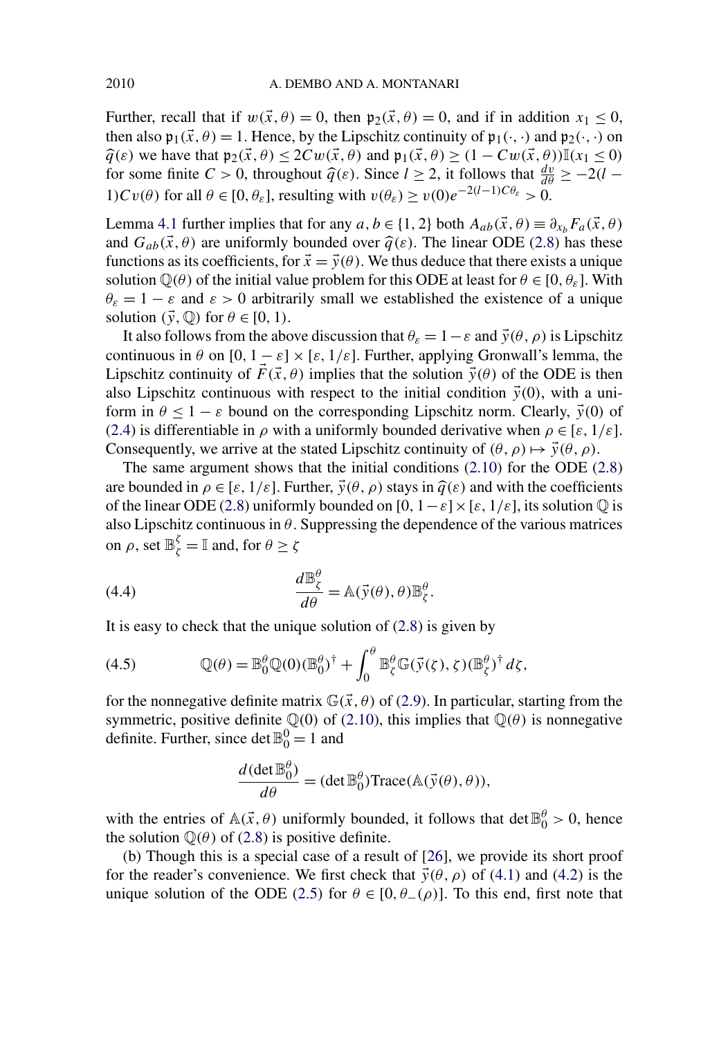<span id="page-17-0"></span>Further, recall that if  $w(\vec{x}, \theta) = 0$ , then  $\mathfrak{p}_2(\vec{x}, \theta) = 0$ , and if in addition  $x_1 \leq 0$ , then also  $\mathfrak{p}_1(\vec{x}, \theta) = 1$ . Hence, by the Lipschitz continuity of  $\mathfrak{p}_1(\cdot, \cdot)$  and  $\mathfrak{p}_2(\cdot, \cdot)$  on  $\hat{q}(\varepsilon)$  we have that  $\mathfrak{p}_2(\vec{x}, \theta) \le 2Cw(\vec{x}, \theta)$  and  $\mathfrak{p}_1(\vec{x}, \theta) \ge (1 - Cw(\vec{x}, \theta))\mathbb{I}(\mathbf{x}_1 \le 0)$ for some finite  $C > 0$ , throughout  $\hat{q}(\varepsilon)$ . Since  $l \ge 2$ , it follows that  $\frac{dv}{d\theta} \ge -2(l-1)C\theta$ 1)Cv( $\theta$ ) for all  $\theta \in [0, \theta_{\varepsilon}]$ , resulting with  $v(\theta_{\varepsilon}) \ge v(0)e^{-2(l-1)C\theta_{\varepsilon}} > 0$ .

Lemma [4.1](#page-15-0) further implies that for any *a*, *b* ∈ {1, 2} both  $A_{ab}(\vec{x}, \theta) \equiv \partial_{x_b} F_a(\vec{x}, \theta)$ and  $G_{ab}(\vec{x}, \theta)$  are uniformly bounded over  $\hat{q}(\varepsilon)$ . The linear ODE [\(2.8\)](#page-6-0) has these functions as its coefficients, for  $\vec{x} = \vec{y}(\theta)$ . We thus deduce that there exists a unique solution  $\mathbb{Q}(\theta)$  of the initial value problem for this ODE at least for  $\theta \in [0, \theta_{\varepsilon}]$ . With  $\theta_{\varepsilon} = 1 - \varepsilon$  and  $\varepsilon > 0$  arbitrarily small we established the existence of a unique solution  $(\vec{y}, \mathbb{Q})$  for  $\theta \in [0, 1)$ .

It also follows from the above discussion that  $\theta_{\varepsilon} = 1 - \varepsilon$  and  $\vec{y}(\theta, \rho)$  is Lipschitz continuous in  $\theta$  on  $[0, 1 - \varepsilon] \times [\varepsilon, 1/\varepsilon]$ . Further, applying Gronwall's lemma, the Lipschitz continuity of  $\vec{F}(\vec{x}, \theta)$  implies that the solution  $\vec{y}(\theta)$  of the ODE is then also Lipschitz continuous with respect to the initial condition  $\vec{y}(0)$ , with a uniform in  $\theta \leq 1 - \varepsilon$  bound on the corresponding Lipschitz norm. Clearly,  $\vec{y}(0)$  of [\(2.4\)](#page-5-0) is differentiable in  $\rho$  with a uniformly bounded derivative when  $\rho \in [\varepsilon, 1/\varepsilon]$ . Consequently, we arrive at the stated Lipschitz continuity of  $(\theta, \rho) \mapsto \vec{y}(\theta, \rho)$ .

The same argument shows that the initial conditions [\(2.10\)](#page-7-0) for the ODE [\(2.8\)](#page-6-0) are bounded in  $\rho \in [\varepsilon, 1/\varepsilon]$ . Further,  $\vec{y}(\theta, \rho)$  stays in  $\hat{q}(\varepsilon)$  and with the coefficients of the linear ODE [\(2.8\)](#page-6-0) uniformly bounded on  $[0, 1-\varepsilon] \times [\varepsilon, 1/\varepsilon]$ , its solution  $\mathbb Q$  is also Lipschitz continuous in  $\theta$ . Suppressing the dependence of the various matrices on  $\rho$ , set  $\mathbb{B}_{\zeta}^{\zeta} = \mathbb{I}$  and, for  $\theta \geq \zeta$ 

(4.4) 
$$
\frac{d\mathbb{B}_{\zeta}^{\theta}}{d\theta} = \mathbb{A}(\vec{y}(\theta), \theta) \mathbb{B}_{\zeta}^{\theta}.
$$

It is easy to check that the unique solution of  $(2.8)$  is given by

(4.5) 
$$
\mathbb{Q}(\theta) = \mathbb{B}_{0}^{\theta} \mathbb{Q}(0) (\mathbb{B}_{0}^{\theta})^{\dagger} + \int_{0}^{\theta} \mathbb{B}_{\zeta}^{\theta} \mathbb{G}(\vec{y}(\zeta), \zeta) (\mathbb{B}_{\zeta}^{\theta})^{\dagger} d\zeta,
$$

for the nonnegative definite matrix  $\mathbb{G}(\vec{x}, \theta)$  of [\(2.9\)](#page-6-0). In particular, starting from the symmetric, positive definite  $\mathbb{Q}(0)$  of [\(2.10\)](#page-7-0), this implies that  $\mathbb{Q}(\theta)$  is nonnegative definite. Further, since det  $\mathbb{B}_0^0 = 1$  and

$$
\frac{d(\det \mathbb{B}_0^{\theta})}{d\theta} = (\det \mathbb{B}_0^{\theta}) \text{Trace}(\mathbb{A}(\vec{y}(\theta), \theta)),
$$

with the entries of  $\mathbb{A}(\vec{x}, \theta)$  uniformly bounded, it follows that det  $\mathbb{B}^{\theta}_{0} > 0$ , hence the solution  $\mathbb{Q}(\theta)$  of [\(2.8\)](#page-6-0) is positive definite.

(b) Though this is a special case of a result of [\[26\]](#page-46-0), we provide its short proof for the reader's convenience. We first check that  $\vec{y}(\theta, \rho)$  of [\(4.1\)](#page-16-0) and [\(4.2\)](#page-16-0) is the unique solution of the ODE [\(2.5\)](#page-5-0) for  $\theta \in [0, \theta_-(\rho)]$ . To this end, first note that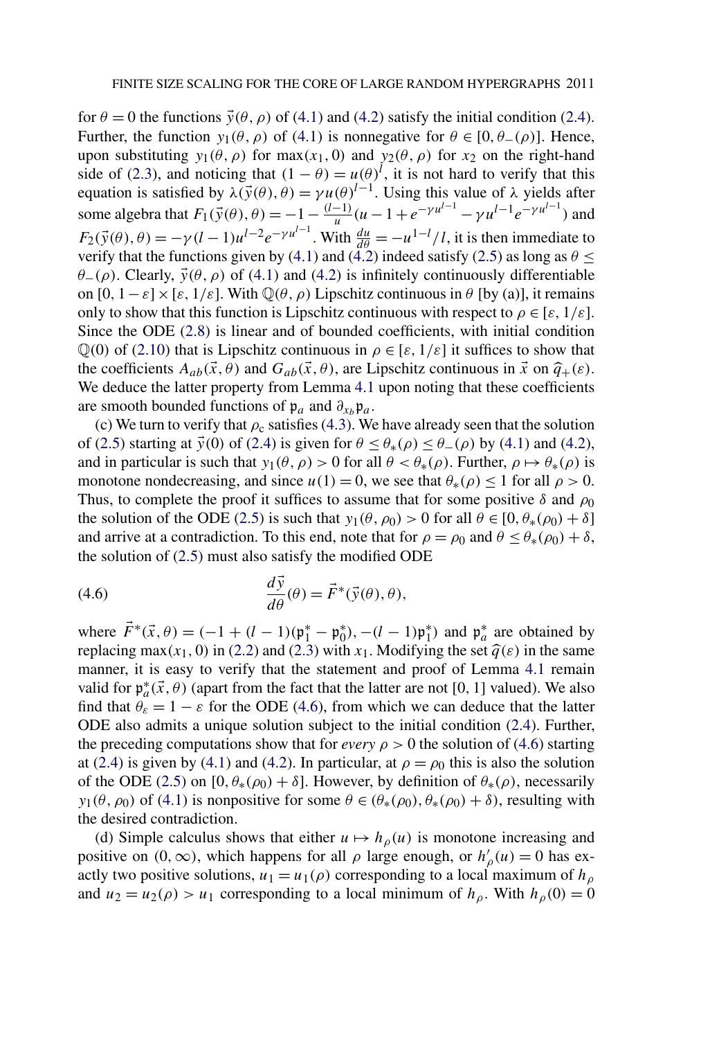for  $\theta = 0$  the functions  $\vec{y}(\theta, \rho)$  of [\(4.1\)](#page-16-0) and [\(4.2\)](#page-16-0) satisfy the initial condition [\(2.4\)](#page-5-0). Further, the function  $y_1(\theta, \rho)$  of [\(4.1\)](#page-16-0) is nonnegative for  $\theta \in [0, \theta_-(\rho)]$ . Hence, upon substituting  $y_1(\theta, \rho)$  for max $(x_1, 0)$  and  $y_2(\theta, \rho)$  for  $x_2$  on the right-hand side of [\(2.3\)](#page-5-0), and noticing that  $(1 - \theta) = u(\theta)^l$ , it is not hard to verify that this equation is satisfied by  $\lambda(\vec{y}(\theta), \theta) = \gamma u(\theta)^{l-1}$ . Using this value of  $\lambda$  yields after some algebra that  $F_1(\vec{y}(\theta), \theta) = -1 - \frac{(l-1)}{u}(u-1+e^{-\gamma u^{l-1}} - \gamma u^{l-1}e^{-\gamma u^{l-1}})$  and  $F_2(\vec{y}(\theta), \theta) = -\gamma (l-1)u^{l-2}e^{-\gamma u^{l-1}}$ . With  $\frac{du}{d\theta} = -\frac{u^{1-l}}{l}$ , it is then immediate to verify that the functions given by [\(4.1\)](#page-16-0) and [\(4.2\)](#page-16-0) indeed satisfy [\(2.5\)](#page-5-0) as long as  $\theta \leq$  $\theta$ −*(ρ)*. Clearly,  $\vec{y}(\theta, \rho)$  of [\(4.1\)](#page-16-0) and [\(4.2\)](#page-16-0) is infinitely continuously differentiable on  $[0, 1-\varepsilon] \times [\varepsilon, 1/\varepsilon]$ . With  $\mathbb{Q}(\theta, \rho)$  Lipschitz continuous in  $\theta$  [by (a)], it remains only to show that this function is Lipschitz continuous with respect to  $\rho \in [\varepsilon, 1/\varepsilon]$ . Since the ODE [\(2.8\)](#page-6-0) is linear and of bounded coefficients, with initial condition  $\mathbb{Q}(0)$  of [\(2.10\)](#page-7-0) that is Lipschitz continuous in  $\rho \in [\varepsilon, 1/\varepsilon]$  it suffices to show that the coefficients  $A_{ab}(\vec{x}, \theta)$  and  $G_{ab}(\vec{x}, \theta)$ , are Lipschitz continuous in  $\vec{x}$  on  $\hat{q}_+(\varepsilon)$ . We deduce the latter property from Lemma [4.1](#page-15-0) upon noting that these coefficients are smooth bounded functions of  $\mathfrak{p}_a$  and  $\partial_{x_b}\mathfrak{p}_a$ .

(c) We turn to verify that  $\rho_c$  satisfies [\(4.3\)](#page-16-0). We have already seen that the solution of [\(2.5\)](#page-5-0) starting at  $\vec{y}(0)$  of [\(2.4\)](#page-5-0) is given for  $\theta \leq \theta_*(\rho) \leq \theta_-(\rho)$  by [\(4.1\)](#page-16-0) and [\(4.2\)](#page-16-0), and in particular is such that  $y_1(\theta, \rho) > 0$  for all  $\theta < \theta_*(\rho)$ . Further,  $\rho \mapsto \theta_*(\rho)$  is monotone nondecreasing, and since  $u(1) = 0$ , we see that  $\theta_*(\rho) \le 1$  for all  $\rho > 0$ . Thus, to complete the proof it suffices to assume that for some positive  $\delta$  and  $\rho_0$ the solution of the ODE [\(2.5\)](#page-5-0) is such that  $y_1(\theta, \rho_0) > 0$  for all  $\theta \in [0, \theta_*(\rho_0) + \delta]$ and arrive at a contradiction. To this end, note that for  $\rho = \rho_0$  and  $\theta \le \theta_*(\rho_0) + \delta$ , the solution of [\(2.5\)](#page-5-0) must also satisfy the modified ODE

(4.6) 
$$
\frac{d\vec{y}}{d\theta}(\theta) = \vec{F}^*(\vec{y}(\theta), \theta),
$$

where  $\vec{F}^*(\vec{x}, \theta) = (-1 + (l - 1)(\mathfrak{p}_1^* - \mathfrak{p}_0^*), -(l - 1)\mathfrak{p}_1^*$  and  $\mathfrak{p}_a^*$  are obtained by replacing max $(x_1, 0)$  in [\(2.2\)](#page-5-0) and [\(2.3\)](#page-5-0) with  $x_1$ . Modifying the set  $\hat{q}(\varepsilon)$  in the same manner, it is easy to verify that the statement and proof of Lemma [4.1](#page-15-0) remain valid for  $\varphi_a^*(\vec{x}, \theta)$  (apart from the fact that the latter are not [0, 1] valued). We also find that  $\theta_{\varepsilon} = 1 - \varepsilon$  for the ODE (4.6), from which we can deduce that the latter ODE also admits a unique solution subject to the initial condition [\(2.4\)](#page-5-0). Further, the preceding computations show that for *every*  $\rho > 0$  the solution of (4.6) starting at [\(2.4\)](#page-5-0) is given by [\(4.1\)](#page-16-0) and [\(4.2\)](#page-16-0). In particular, at  $\rho = \rho_0$  this is also the solution of the ODE [\(2.5\)](#page-5-0) on  $[0, \theta_*(\rho_0) + \delta]$ . However, by definition of  $\theta_*(\rho)$ , necessarily *y*<sub>1</sub>( $\theta$ ,  $\rho$ <sub>0</sub>) of [\(4.1\)](#page-16-0) is nonpositive for some  $\theta \in (\theta_*(\rho_0), \theta_*(\rho_0) + \delta)$ , resulting with the desired contradiction.

(d) Simple calculus shows that either  $u \mapsto h_{\rho}(u)$  is monotone increasing and positive on  $(0, \infty)$ , which happens for all  $\rho$  large enough, or  $h'_{\rho}(u) = 0$  has exactly two positive solutions,  $u_1 = u_1(\rho)$  corresponding to a local maximum of  $h_\rho$ and  $u_2 = u_2(\rho) > u_1$  corresponding to a local minimum of  $h_\rho$ . With  $h_\rho(0) = 0$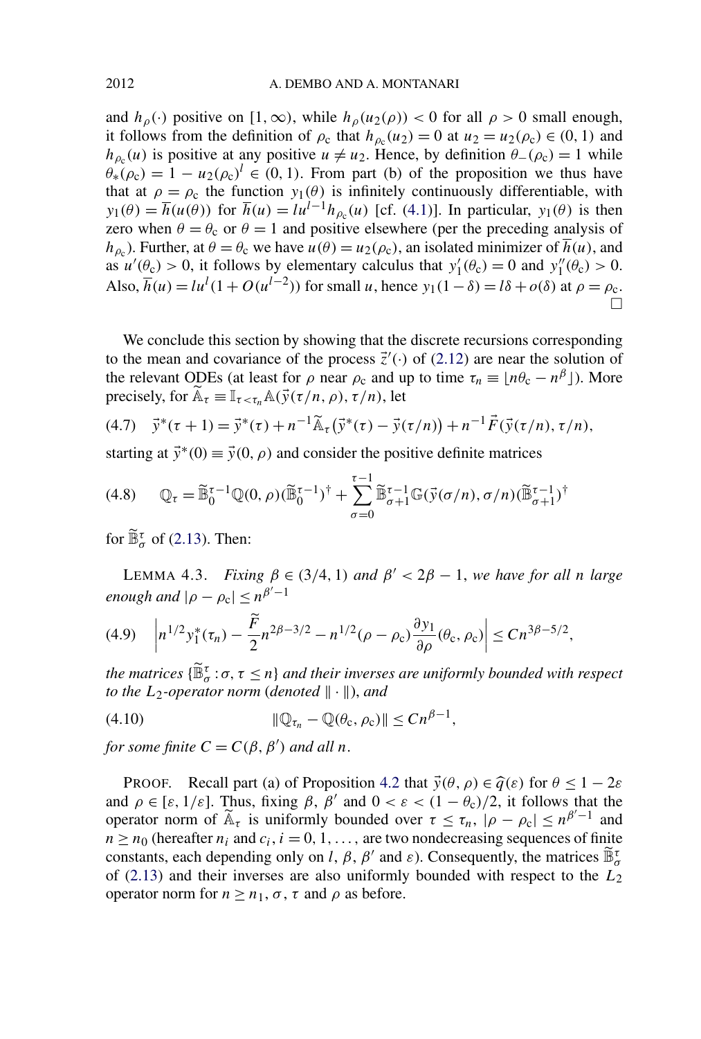<span id="page-19-0"></span>and  $h_\rho(\cdot)$  positive on  $[1,\infty)$ , while  $h_\rho(u_2(\rho)) < 0$  for all  $\rho > 0$  small enough, it follows from the definition of  $\rho_c$  that  $h_{\rho_c}(u_2) = 0$  at  $u_2 = u_2(\rho_c) \in (0, 1)$  and *h*<sub>*p*c</sub>(*u*) is positive at any positive *u*  $\neq u_2$ . Hence, by definition  $\theta$ −*(* $\rho$ <sub>c</sub> $)$  = 1 while  $\theta^{\prime}_{*}(\rho_c) = 1 - u_2(\rho_c)^l \in (0, 1)$ . From part (b) of the proposition we thus have that at  $\rho = \rho_c$  the function  $y_1(\theta)$  is infinitely continuously differentiable, with *y*<sub>1</sub>( $\theta$ ) =  $\overline{h}(u(\theta))$  for  $\overline{h}(u) = l u^{l-1} h_{\rho_c}(u)$  [cf. [\(4.1\)](#page-16-0)]. In particular, *y*<sub>1</sub>( $\theta$ ) is then zero when  $\theta = \theta_c$  or  $\theta = 1$  and positive elsewhere (per the preceding analysis of *h*<sub>ρc</sub>). Further, at  $\theta = \theta_c$  we have  $u(\theta) = u_2(\rho_c)$ , an isolated minimizer of  $\overline{h}(u)$ , and as  $u'(\theta_c) > 0$ , it follows by elementary calculus that  $y'_1(\theta_c) = 0$  and  $y''_1(\theta_c) > 0$ . Also,  $\overline{h}(u) = l u^{l} (1 + O(u^{l-2}))$  for small *u*, hence  $y_1(1 - \delta) = l\delta + o(\delta)$  at  $\rho = \rho_c$ .  $\Box$ 

We conclude this section by showing that the discrete recursions corresponding to the mean and covariance of the process  $\vec{z}'(\cdot)$  of [\(2.12\)](#page-7-0) are near the solution of the relevant ODEs (at least for  $\rho$  near  $\rho_c$  and up to time  $\tau_n \equiv \lfloor n\theta_c - n^{\beta} \rfloor$ ). More precisely, for  $\mathbb{A}_{\tau} \equiv \mathbb{I}_{\tau < \tau_n} \mathbb{A}(\vec{y}(\tau/n, \rho), \tau/n)$ , let

(4.7) 
$$
\vec{y}^*(\tau+1) = \vec{y}^*(\tau) + n^{-1}\widetilde{\mathbb{A}}_{\tau}(\vec{y}^*(\tau) - \vec{y}(\tau/n)) + n^{-1}\vec{F}(\vec{y}(\tau/n), \tau/n),
$$

starting at  $\vec{v}$ <sup>\*</sup>(0)  $\equiv \vec{v}$ (0*,*  $\rho$ ) and consider the positive definite matrices

$$
(4.8) \qquad \mathbb{Q}_{\tau} = \widetilde{\mathbb{B}}_{0}^{\tau-1} \mathbb{Q}(0,\rho) (\widetilde{\mathbb{B}}_{0}^{\tau-1})^{\dagger} + \sum_{\sigma=0}^{\tau-1} \widetilde{\mathbb{B}}_{\sigma+1}^{\tau-1} \mathbb{G}(\vec{y}(\sigma/n), \sigma/n) (\widetilde{\mathbb{B}}_{\sigma+1}^{\tau-1})^{\dagger}
$$

for  $\widetilde{\mathbb{B}}_{\sigma}^{\tau}$  of [\(2.13\)](#page-7-0). Then:

LEMMA 4.3. *Fixing*  $β ∈ (3/4, 1)$  *and*  $β' < 2β - 1$ *, we have for all n large enough and*  $|\rho - \rho_c| \leq n^{\beta'-1}$ 

$$
(4.9) \quad \left|n^{1/2}y_1^*(\tau_n) - \frac{\widetilde{F}}{2}n^{2\beta - 3/2} - n^{1/2}(\rho - \rho_c)\frac{\partial y_1}{\partial \rho}(\theta_c, \rho_c)\right| \leq C n^{3\beta - 5/2},
$$

*the matrices*  $\{\mathbb{B}^{\tau}_{\sigma} : \sigma, \tau \leq n\}$  *and their inverses are uniformly bounded with respect to the*  $L_2$ -operator norm (*denoted*  $\|\cdot\|$ *)*, and

$$
(4.10) \t\t\t\t\t \|\mathbb{Q}_{\tau_n}-\mathbb{Q}(\theta_c,\rho_c)\|\leq C n^{\beta-1},
$$

*for some finite*  $C = C(\beta, \beta')$  *and all n*.

**PROOF.** Recall part (a) of Proposition [4.2](#page-16-0) that  $\vec{y}(\theta, \rho) \in \hat{q}(\varepsilon)$  for  $\theta < 1 - 2\varepsilon$ and  $\rho \in [\varepsilon, 1/\varepsilon]$ . Thus, fixing  $\beta$ ,  $\beta'$  and  $0 < \varepsilon < (1 - \theta_c)/2$ , it follows that the operator norm of  $\widetilde{A}_{\tau}$  is uniformly bounded over  $\tau \leq \tau_n$ ,  $|\rho - \rho_c| \leq n^{\beta'-1}$  and  $n \ge n_0$  (hereafter  $n_i$  and  $c_i$ ,  $i = 0, 1, \ldots$ , are two nondecreasing sequences of finite  $n \ge n_0$ constants, each depending only on *l*,  $\beta$ ,  $\beta'$  and  $\varepsilon$ ). Consequently, the matrices  $\tilde{\mathbb{B}}_{\sigma}^{\tau}$ of [\(2.13\)](#page-7-0) and their inverses are also uniformly bounded with respect to the *L*<sup>2</sup> operator norm for  $n \geq n_1$ ,  $\sigma$ ,  $\tau$  and  $\rho$  as before.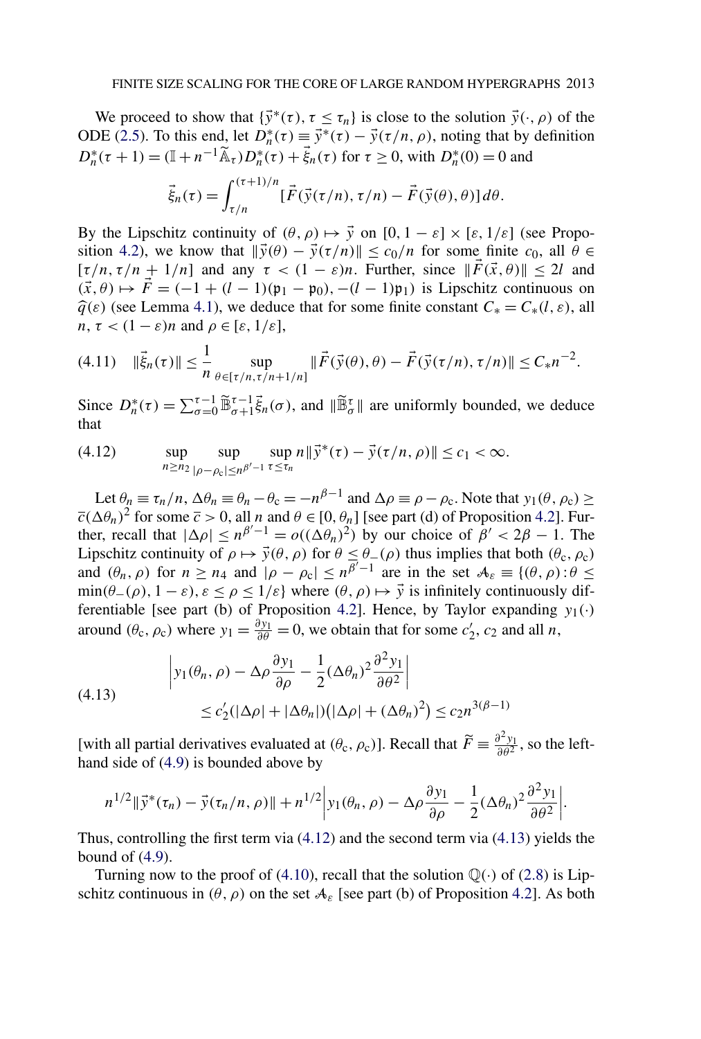<span id="page-20-0"></span>We proceed to show that  $\{\vec{y}^*(\tau), \tau \leq \tau_n\}$  is close to the solution  $\vec{y}(\cdot, \rho)$  of the ODE [\(2.5\)](#page-5-0). To this end, let  $D_n^*(\tau) \equiv \vec{y}^*(\tau) - \vec{y}(\tau/n, \rho)$ , noting that by definition  $D_n^*(\tau + 1) = (\mathbb{I} + n^{-1}\tilde{\mathbb{A}}_{\tau})D_n^*(\tau) + \vec{\xi}_n(\tau)$  for  $\tau \ge 0$ , with  $D_n^*(0) = 0$  and

$$
\vec{\xi}_n(\tau) = \int_{\tau/n}^{(\tau+1)/n} [\vec{F}(\vec{y}(\tau/n), \tau/n) - \vec{F}(\vec{y}(\theta), \theta)] d\theta.
$$

By the Lipschitz continuity of  $(\theta, \rho) \mapsto \vec{y}$  on  $[0, 1 - \varepsilon] \times [\varepsilon, 1/\varepsilon]$  (see Propo-sition [4.2\)](#page-16-0), we know that  $\|\vec{y}(\theta) - \vec{y}(\tau/n)\| \le c_0/n$  for some finite  $c_0$ , all  $\theta \in$  $[\tau/n, \tau/n + 1/n]$  and any  $\tau < (1 - \varepsilon)n$ . Further, since  $\|\vec{F}(\vec{x}, \theta)\| \le 2l$  and  $(\vec{x}, \theta) \mapsto \vec{F} = (-1 + (l-1)(\mathfrak{p}_1 - \mathfrak{p}_0), -(l-1)\mathfrak{p}_1)$  is Lipschitz continuous on  $\hat{q}(\varepsilon)$  (see Lemma [4.1\)](#page-15-0), we deduce that for some finite constant  $C_* = C_*(l, \varepsilon)$ , all  $n, \tau < (1 - \varepsilon)n$  and  $\rho \in [\varepsilon, 1/\varepsilon],$ 

$$
(4.11) \quad \|\vec{\xi}_n(\tau)\| \le \frac{1}{n} \sup_{\theta \in [\tau/n, \tau/n + 1/n]} \|\vec{F}(\vec{y}(\theta), \theta) - \vec{F}(\vec{y}(\tau/n), \tau/n)\| \le C_* n^{-2}.
$$

Since  $D_n^*(\tau) = \sum_{\sigma=0}^{\tau-1} \tilde{\mathbb{B}}_{\sigma+1}^{\tau-1} \tilde{\xi}_n(\sigma)$ , and  $\|\tilde{\mathbb{B}}_{\sigma}^{\tau}\|$  are uniformly bounded, we deduce that

(4.12) 
$$
\sup_{n \ge n_2} \sup_{|\rho - \rho_c| \le n^{\beta'-1}} \sup_{\tau \le \tau_n} n \|\vec{y}^*(\tau) - \vec{y}(\tau/n, \rho)\| \le c_1 < \infty.
$$

Let  $\theta_n \equiv \tau_n/n$ ,  $\Delta \theta_n \equiv \theta_n - \theta_c = -n^{\beta-1}$  and  $\Delta \rho \equiv \rho - \rho_c$ . Note that  $y_1(\theta, \rho_c) \ge$  $\overline{c}(\Delta\theta_n)^2$  for some  $\overline{c} > 0$ , all *n* and  $\theta \in [0, \theta_n]$  [see part (d) of Proposition [4.2\]](#page-16-0). Further, recall that  $|\Delta \rho| \le n^{\beta'-1} = o((\Delta \theta_n)^2)$  by our choice of  $\beta' < 2\beta - 1$ . The Lipschitz continuity of  $\rho \mapsto \vec{y}(\theta, \rho)$  for  $\theta \leq \theta_-(\rho)$  thus implies that both  $(\theta_c, \rho_c)$ and  $(\theta_n, \rho)$  for  $n \ge n_4$  and  $|\rho - \rho_c| \le n^{\overline{\beta'}-1}$  are in the set  $A_{\varepsilon} \equiv \{(\theta, \rho): \theta \le$  $\min(\theta_-(\rho), 1-\varepsilon), \varepsilon \leq \rho \leq 1/\varepsilon$  where  $(\theta, \rho) \mapsto \vec{y}$  is infinitely continuously dif-ferentiable [see part (b) of Proposition [4.2\]](#page-16-0). Hence, by Taylor expanding  $y_1(\cdot)$ around  $(\theta_c, \rho_c)$  where  $y_1 = \frac{\partial y_1}{\partial \theta} = 0$ , we obtain that for some  $c'_2$ ,  $c_2$  and all *n*,

(4.13) 
$$
\begin{aligned} \left| y_1(\theta_n, \rho) - \Delta \rho \frac{\partial y_1}{\partial \rho} - \frac{1}{2} (\Delta \theta_n)^2 \frac{\partial^2 y_1}{\partial \theta^2} \right| \\ &\leq c_2' (|\Delta \rho| + |\Delta \theta_n|) (|\Delta \rho| + (\Delta \theta_n)^2) \leq c_2 n^{3(\beta - 1)} \end{aligned}
$$

[with all partial derivatives evaluated at  $(\theta_c, \rho_c)$ ]. Recall that  $\widetilde{F} \equiv \frac{\partial^2 y_1}{\partial \theta^2}$ , so the lefthand side of [\(4.9\)](#page-19-0) is bounded above by

$$
n^{1/2} \|\vec{y}^*(\tau_n) - \vec{y}(\tau_n/n, \rho)\| + n^{1/2} \Big| y_1(\theta_n, \rho) - \Delta \rho \frac{\partial y_1}{\partial \rho} - \frac{1}{2} (\Delta \theta_n)^2 \frac{\partial^2 y_1}{\partial \theta^2} \Big|.
$$

Thus, controlling the first term via (4.12) and the second term via (4.13) yields the bound of  $(4.9)$ .

Turning now to the proof of [\(4.10\)](#page-19-0), recall that the solution  $\mathbb{Q}(\cdot)$  of [\(2.8\)](#page-6-0) is Lipschitz continuous in  $(\theta, \rho)$  on the set  $A_{\varepsilon}$  [see part (b) of Proposition [4.2\]](#page-16-0). As both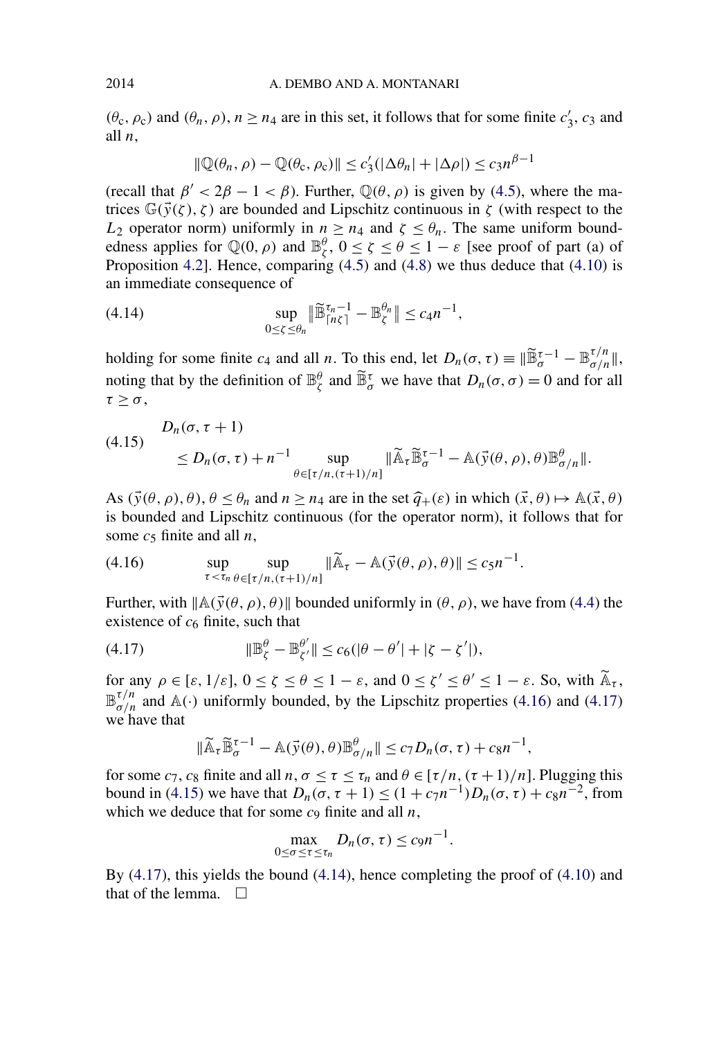$(\theta_c, \rho_c)$  and  $(\theta_n, \rho)$ ,  $n \ge n_4$  are in this set, it follows that for some finite  $c'_3$ ,  $c_3$  and all *n*,

$$
\|\mathbb{Q}(\theta_n,\rho)-\mathbb{Q}(\theta_c,\rho_c)\| \le c_3'(|\Delta \theta_n|+|\Delta \rho|) \le c_3 n^{\beta-1}
$$

(recall that  $\beta' < 2\beta - 1 < \beta$ ). Further,  $\mathbb{Q}(\theta, \rho)$  is given by [\(4.5\)](#page-17-0), where the matrices  $\mathbb{G}(\vec{y}(\zeta), \zeta)$  are bounded and Lipschitz continuous in  $\zeta$  (with respect to the *L*<sub>2</sub> operator norm) uniformly in  $n \geq n_4$  and  $\zeta \leq \theta_n$ . The same uniform boundedness applies for  $\mathbb{Q}(0, \rho)$  and  $\mathbb{B}_{\zeta}^{\theta}$ ,  $0 \le \zeta \le \theta \le 1 - \varepsilon$  [see proof of part (a) of Proposition [4.2\]](#page-16-0). Hence, comparing [\(4.5\)](#page-17-0) and [\(4.8\)](#page-19-0) we thus deduce that [\(4.10\)](#page-19-0) is an immediate consequence of

(4.14) 
$$
\sup_{0 \le \zeta \le \theta_n} \|\widetilde{\mathbb{B}}_{\lceil n \zeta \rceil}^{\tau_n - 1} - \mathbb{B}_{\zeta}^{\theta_n}\| \le c_4 n^{-1},
$$

holding for some finite  $c_4$  and all *n*. To this end, let  $D_n(\sigma, \tau) \equiv ||\widetilde{\mathbb{B}}_{\sigma}^{\tau-1} - \mathbb{B}_{\sigma/n}^{\tau/n}||$ , noting that by the definition of  $\mathbb{B}_{\zeta}^{\theta}$  and  $\widetilde{\mathbb{B}}_{\sigma}^{\tau}$  we have that  $D_n(\sigma,\sigma) = 0$  and for all *τ* ≥ *σ* ,

$$
(4.15) \quad D_n(\sigma, \tau+1) \leq D_n(\sigma, \tau) + n^{-1} \sup_{\theta \in [\tau/n, (\tau+1)/n]} \|\widetilde{\mathbb{A}}_{\tau} \widetilde{\mathbb{B}}_{\sigma}^{\tau-1} - \mathbb{A}(\vec{y}(\theta, \rho), \theta) \mathbb{B}_{\sigma/n}^{\theta}\|.
$$

As  $(\vec{y}(\theta, \rho), \theta), \theta \le \theta_n$  and  $n \ge n_4$  are in the set  $\hat{q}_+(\varepsilon)$  in which  $(\vec{x}, \theta) \mapsto \mathbb{A}(\vec{x}, \theta)$ is bounded and Lipschitz continuous (for the operator norm), it follows that for some  $c_5$  finite and all  $n$ ,

(4.16) 
$$
\sup_{\tau < \tau_n} \sup_{\theta \in [\tau/n, (\tau+1)/n]} \|\widetilde{\mathbb{A}}_{\tau} - \mathbb{A}(\vec{y}(\theta, \rho), \theta)\| \leq c_5 n^{-1}.
$$

Further, with  $\|\mathbb{A}(\vec{y}(\theta, \rho), \theta)\|$  bounded uniformly in  $(\theta, \rho)$ , we have from [\(4.4\)](#page-17-0) the existence of  $c_6$  finite, such that

(4.17) 
$$
\|\mathbb{B}_{\zeta}^{\theta}-\mathbb{B}_{\zeta}^{\theta'}\| \leq c_6(|\theta-\theta'|+|\zeta-\zeta'|),
$$

for any  $\rho \in [\varepsilon, 1/\varepsilon], 0 \le \zeta \le \theta \le 1 - \varepsilon$ , and  $0 \le \zeta' \le \theta' \le 1 - \varepsilon$ . So, with  $\widetilde{A}_{\tau}$ ,  $\mathbb{B}_{\sigma/n}^{\tau/n}$  and A(·) uniformly bounded, by the Lipschitz properties (4.16) and (4.17) we have that

$$
\|\widetilde{\mathbb{A}}_{\tau}\widetilde{\mathbb{B}}_{\sigma}^{\tau-1} - \mathbb{A}(\vec{y}(\theta), \theta)\mathbb{B}_{\sigma/n}^{\theta}\| \le c_7 D_n(\sigma, \tau) + c_8 n^{-1},
$$

for some  $c_7$ ,  $c_8$  finite and all  $n, \sigma \le \tau \le \tau_n$  and  $\theta \in [\tau/n, (\tau+1)/n]$ . Plugging this bound in (4.15) we have that *D<sub>n</sub>*(*σ*, *τ* + 1) ≤ (1 + *c*<sub>7</sub>*n*<sup>-1</sup>)*D<sub>n</sub>*(*σ*, *τ*) + *c*<sub>8</sub>*n*<sup>-2</sup>, from which we deduce that for some  $c_9$  finite and all  $n$ ,

$$
\max_{0\leq \sigma\leq \tau\leq \tau_n} D_n(\sigma,\tau)\leq c_9n^{-1}.
$$

By  $(4.17)$ , this yields the bound  $(4.14)$ , hence completing the proof of  $(4.10)$  and that of the lemma.  $\Box$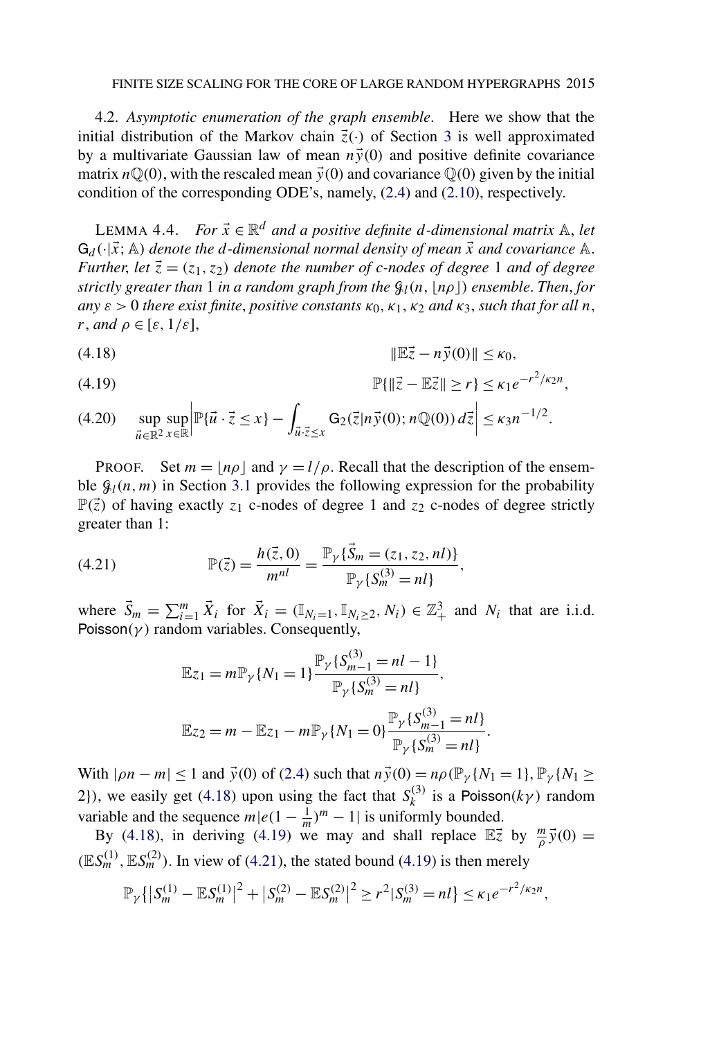<span id="page-22-0"></span>4.2. *Asymptotic enumeration of the graph ensemble*. Here we show that the initial distribution of the Markov chain  $\vec{z}(\cdot)$  of Section [3](#page-11-0) is well approximated by a multivariate Gaussian law of mean  $n\vec{v}(0)$  and positive definite covariance matrix  $n\mathbb{Q}(0)$ , with the rescaled mean  $\vec{y}(0)$  and covariance  $\mathbb{Q}(0)$  given by the initial condition of the corresponding ODE's, namely, [\(2.4\)](#page-5-0) and [\(2.10\)](#page-7-0), respectively.

LEMMA 4.4. *For*  $\vec{x} \in \mathbb{R}^d$  *and a positive definite d-dimensional matrix*  $\mathbb{A}$ *, let*  $G_d(\cdot|\vec{x};A)$  *denote the d-dimensional normal density of mean*  $\vec{x}$  *and covariance* A. *Further, let*  $\vec{z} = (z_1, z_2)$  *denote the number of c-nodes of degree* 1 *and of degree strictly greater than* 1 *in a random graph from the* G*l(n, nρ) ensemble*. *Then*, *for*  $a_n \in \mathcal{E}$  *s* 0 *there exist finite, positive constants*  $\kappa_0, \kappa_1, \kappa_2$  *and*  $\kappa_3$ *, such that for all n*, *r*, *and*  $\rho \in [\varepsilon, 1/\varepsilon]$ ,

$$
||\mathbb{E}\vec{z} - n\vec{y}(0)|| \le \kappa_0,
$$

(4.19) 
$$
\mathbb{P}\{\|\vec{z} - \mathbb{E}\vec{z}\| \ge r\} \le \kappa_1 e^{-r^2/\kappa_2 n},
$$

sup  $\vec{u} \in \mathbb{R}^2$ sup *x*∈R  $\begin{array}{c} \begin{array}{c} \begin{array}{c} \end{array} \\ \begin{array}{c} \end{array} \end{array} \end{array}$  $\mathbb{P}\{\vec{u}\cdot\vec{z}\leq x\}$  - $\int_{\vec{u}\cdot\vec{z}\leq x} G_2(\vec{z}|n\vec{y}(0); n\mathbb{Q}(0)) d\vec{z}$  $(4.20)$   $\sup \sup \left| \mathbb{P} \{ \vec{u} \cdot \vec{z} \leq x \} - \int_{\vec{u}} \mathbb{G}_2(\vec{z} | n \vec{y}(0); n \mathbb{Q}(0)) d\vec{z} \right| \leq \kappa_3 n^{-1/2}.$ 

PROOF. Set  $m = |n\rho|$  and  $\gamma = l/\rho$ . Recall that the description of the ensemble  $\mathcal{G}_l(n,m)$  in Section [3.1](#page-11-0) provides the following expression for the probability  $\mathbb{P}(\vec{z})$  of having exactly  $z_1$  c-nodes of degree 1 and  $z_2$  c-nodes of degree strictly greater than 1:

(4.21) 
$$
\mathbb{P}(\vec{z}) = \frac{h(\vec{z},0)}{m^{nl}} = \frac{\mathbb{P}_{\gamma}\{\vec{S}_m = (z_1, z_2, nl)\}}{\mathbb{P}_{\gamma}\{S_m^{(3)} = nl\}},
$$

where  $\vec{S}_m = \sum_{i=1}^m \vec{X}_i$  for  $\vec{X}_i = (\mathbb{I}_{N_i=1}, \mathbb{I}_{N_i\geq 2}, N_i) \in \mathbb{Z}_+^3$  and  $N_i$  that are i.i.d. Poisson( $\gamma$ ) random variables. Consequently,

$$
\mathbb{E}z_1 = m\mathbb{P}_{\gamma} \{N_1 = 1\} \frac{\mathbb{P}_{\gamma} \{S_{m-1}^{(3)} = nl - 1\}}{\mathbb{P}_{\gamma} \{S_m^{(3)} = nl\}},
$$
  

$$
\mathbb{E}z_2 = m - \mathbb{E}z_1 - m\mathbb{P}_{\gamma} \{N_1 = 0\} \frac{\mathbb{P}_{\gamma} \{S_{m-1}^{(3)} = nl\}}{\mathbb{P}_{\gamma} \{S_m^{(3)} = nl\}}
$$

*.*

With  $| \rho n - m | \le 1$  and  $\vec{y}(0)$  of [\(2.4\)](#page-5-0) such that  $n\vec{y}(0) = n\rho(\mathbb{P}_{\gamma}\{N_1 = 1\}, \mathbb{P}_{\gamma}\{N_1 \ge 0\})$ 2}), we easily get (4.18) upon using the fact that  $S_k^{(3)}$  is a Poisson( $k\gamma$ ) random variable and the sequence  $m|e(1 - \frac{1}{m})^m - 1|$  is uniformly bounded.

By (4.18), in deriving (4.19) we may and shall replace  $\mathbb{E} \vec{z}$  by  $\frac{m}{\rho} \vec{y}(0) =$  $(ES_m^{(1)}, ES_m^{(2)})$ . In view of (4.21), the stated bound (4.19) is then merely

$$
\mathbb{P}_{\gamma}\{|S_m^{(1)} - \mathbb{E}S_m^{(1)}|^2 + |S_m^{(2)} - \mathbb{E}S_m^{(2)}|^2 \ge r^2|S_m^{(3)} = nl\} \le \kappa_1 e^{-r^2/\kappa_2 n},
$$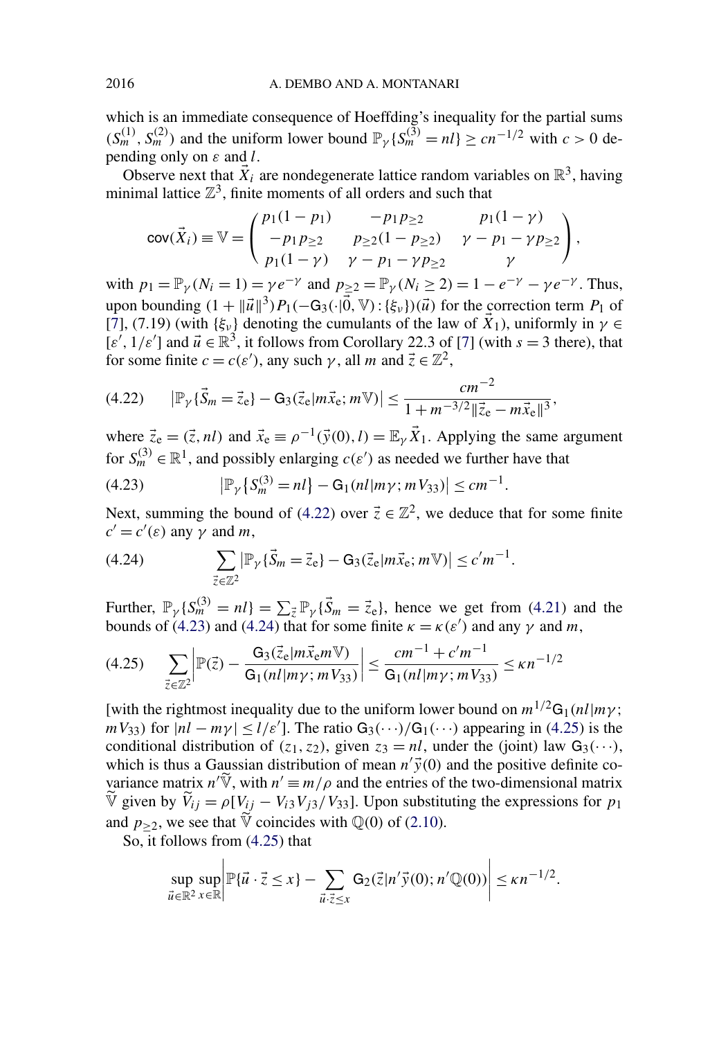which is an immediate consequence of Hoeffding's inequality for the partial sums  $(S_m^{(1)}, S_m^{(2)})$  and the uniform lower bound  $\mathbb{P}_{\gamma} \{S_m^{(\mathfrak{I})} = n \} \ge cn^{-1/2}$  with  $c > 0$  depending only on *ε* and *l*.

Observe next that  $\vec{X}_i$  are nondegenerate lattice random variables on  $\mathbb{R}^3$ , having minimal lattice  $\mathbb{Z}^3$ , finite moments of all orders and such that

$$
cov(\vec{X}_i) \equiv \mathbb{V} = \begin{pmatrix} p_1(1-p_1) & -p_1p_{\geq 2} & p_1(1-\gamma) \\ -p_1p_{\geq 2} & p_{\geq 2}(1-p_{\geq 2}) & \gamma - p_1 - \gamma p_{\geq 2} \\ p_1(1-\gamma) & \gamma - p_1 - \gamma p_{\geq 2} & \gamma \end{pmatrix},
$$

with  $p_1 = \mathbb{P}_{\gamma}(N_i = 1) = \gamma e^{-\gamma}$  and  $p_{>2} = \mathbb{P}_{\gamma}(N_i \ge 2) = 1 - e^{-\gamma} - \gamma e^{-\gamma}$ . Thus, upon bounding  $(1 + ||\vec{u}||^3)P_1(-G_3(\cdot|\vec{0}, V) : {\xi_v}) (\vec{u})$  for the correction term  $P_1$  of [\[7\]](#page-46-0), (7.19) (with  $\{\xi_\nu\}$  denoting the cumulants of the law of  $\vec{X}_1$ ), uniformly in  $\gamma \in$  $[\varepsilon', 1/\varepsilon']$  and  $\vec{u} \in \mathbb{R}^3$ , it follows from Corollary 22.3 of [\[7\]](#page-46-0) (with  $s = 3$  there), that for some finite  $c = c(\varepsilon')$ , any such  $\gamma$ , all *m* and  $\vec{z} \in \mathbb{Z}^2$ ,

$$
(4.22) \qquad |\mathbb{P}_{\gamma} {\{\vec{S}_m = \vec{z}_{e}\} - G_3(\vec{z}_{e} | m\vec{x}_{e}; m\mathbb{V})} | \leq \frac{cm^{-2}}{1 + m^{-3/2} ||\vec{z}_{e} - m\vec{x}_{e}||^3},
$$

where  $\vec{z}_e = (\vec{z}, n_l)$  and  $\vec{x}_e \equiv \rho^{-1}(\vec{y}(0), l) = \mathbb{E}_{\gamma} \vec{X}_1$ . Applying the same argument for  $S_m^{(3)} \in \mathbb{R}^1$ , and possibly enlarging  $c(\varepsilon')$  as needed we further have that

(4.23) 
$$
|\mathbb{P}_{\gamma}\{S_m^{(3)}=nl\}-G_1(nl|m\gamma;mV_{33})|\leq cm^{-1}.
$$

Next, summing the bound of (4.22) over  $\vec{z} \in \mathbb{Z}^2$ , we deduce that for some finite  $c' = c'(\varepsilon)$  any  $\gamma$  and *m*,

(4.24) 
$$
\sum_{\vec{z}\in\mathbb{Z}^2} |\mathbb{P}_{\gamma} {\{\vec{S}_m = \vec{z}_e\} - G_3(\vec{z}_e | m\vec{x}_e; m\mathbb{V})} | \leq c'm^{-1}.
$$

Further,  $\mathbb{P}_{\gamma} \{ S_m^{(3)} = n \} = \sum_{\vec{z}} \mathbb{P}_{\gamma} \{ \vec{S}_m = \vec{z}_e \}$ , hence we get from [\(4.21\)](#page-22-0) and the bounds of (4.23) and (4.24) that for some finite  $\kappa = \kappa(\varepsilon')$  and any  $\gamma$  and *m*,

$$
(4.25) \qquad \sum_{\vec{z}\in\mathbb{Z}^2} \left| \mathbb{P}(\vec{z}) - \frac{G_3(\vec{z}_e|m\vec{x}_e m\mathbb{V})}{G_1(nl|m\gamma; mV_{33})} \right| \le \frac{cm^{-1} + c'm^{-1}}{G_1(nl|m\gamma; mV_{33})} \le \kappa n^{-1/2}
$$

[with the rightmost inequality due to the uniform lower bound on  $m^{1/2}G_1(nl|m\gamma)$ ;  $mV_{33}$ ) for  $|nl - m\gamma| \le l/\varepsilon'$ . The ratio G<sub>3</sub>(···)/G<sub>1</sub>(···) appearing in (4.25) is the conditional distribution of  $(z_1, z_2)$ , given  $z_3 = nl$ , under the (joint) law  $G_3(\cdots)$ , which is thus a Gaussian distribution of mean  $n'\vec{y}(0)$  and the positive definite covariance matrix  $n' \widetilde{\mathbb{V}}$ , with  $n' \equiv m/\rho$  and the entries of the two-dimensional matrix  $\overline{V}$  given by  $\overline{V}_{ij} = \rho [V_{jj} - V_{i3}V_{j3}/V_{33}]$ . Upon substituting the expressions for  $p_1$ and  $p_{\geq 2}$ , we see that  $\nabla$  coincides with  $\mathbb{Q}(0)$  of [\(2.10\)](#page-7-0).

So, it follows from (4.25) that

$$
\sup_{\vec{u}\in\mathbb{R}^2}\sup_{x\in\mathbb{R}}\left|\mathbb{P}\{\vec{u}\cdot\vec{z}\leq x\}-\sum_{\vec{u}\cdot\vec{z}\leq x}\mathsf{G}_2(\vec{z}|n'\vec{y}(0);n'\mathbb{Q}(0))\right|\leq\kappa n^{-1/2}.
$$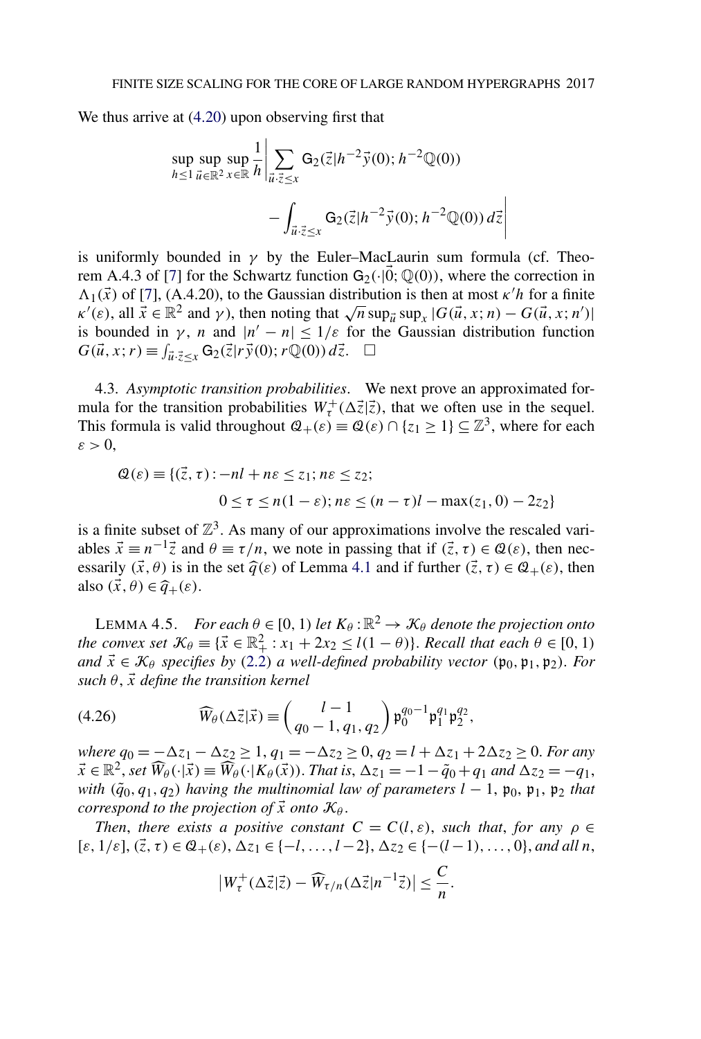<span id="page-24-0"></span>We thus arrive at  $(4.20)$  upon observing first that

$$
\sup_{h \le 1} \sup_{\vec{u} \in \mathbb{R}^2} \sup_{x \in \mathbb{R}} \frac{1}{h} \left| \sum_{\vec{u} \cdot \vec{z} \le x} G_2(\vec{z}|h^{-2}\vec{y}(0); h^{-2} \mathbb{Q}(0)) - \int_{\vec{u} \cdot \vec{z} \le x} G_2(\vec{z}|h^{-2}\vec{y}(0); h^{-2} \mathbb{Q}(0)) d\vec{z} \right|
$$

 $\overline{\phantom{a}}$  $\overline{\phantom{a}}$  $\overline{\phantom{a}}$  $\overline{\phantom{a}}$  $\overline{1}$ 

is uniformly bounded in  $\gamma$  by the Euler–MacLaurin sum formula (cf. Theo-rem A.4.3 of [\[7\]](#page-46-0) for the Schwartz function  $G_2(\cdot|0; \mathbb{Q}(0))$ , where the correction in  $\Lambda_1(\vec{x})$  of [\[7\]](#page-46-0), (A.4.20), to the Gaussian distribution is then at most  $\kappa' h$  for a finite  $\kappa'(\varepsilon)$ , all  $\vec{x} \in \mathbb{R}^2$  and *γ*), then noting that  $\sqrt{n} \sup_{\vec{u}} \sup_x |G(\vec{u}, x; n) - G(\vec{u}, x; n')|$ is bounded in *γ*, *n* and  $|n'-n| \leq 1/\varepsilon$  for the Gaussian distribution function  $G(\vec{u}, x; r) \equiv \int_{\vec{u} \cdot \vec{z} \leq x} \mathsf{G}_2(\vec{z}|r\vec{y}(0); r\mathbb{Q}(0)) d\vec{z}$ .  $\Box$ 

4.3. *Asymptotic transition probabilities*. We next prove an approximated formula for the transition probabilities  $W^+_{\tau}(\Delta \vec{z}|\vec{z})$ , that we often use in the sequel. This formula is valid throughout  $\mathcal{Q}_+(\varepsilon) \equiv \mathcal{Q}(\varepsilon) \cap \{z_1 \geq 1\} \subseteq \mathbb{Z}^3$ , where for each  $\varepsilon > 0$ ,

$$
\mathcal{Q}(\varepsilon) \equiv \{(\vec{z}, \tau) : -nl + n\varepsilon \le z_1; n\varepsilon \le z_2; 0 \le \tau \le n(1 - \varepsilon); n\varepsilon \le (n - \tau)l - \max(z_1, 0) - 2z_2\}
$$

is a finite subset of  $\mathbb{Z}^3$ . As many of our approximations involve the rescaled variables  $\vec{x} \equiv n^{-1}\vec{z}$  and  $\theta \equiv \tau/n$ , we note in passing that if  $(\vec{z}, \tau) \in \mathcal{Q}(\varepsilon)$ , then necessarily  $(\vec{x}, \theta)$  is in the set  $\hat{q}(\varepsilon)$  of Lemma [4.1](#page-15-0) and if further  $(\vec{z}, \tau) \in \mathcal{Q}_+(\varepsilon)$ , then also  $(\vec{x}, \theta) \in \hat{q}_{+}(\varepsilon)$ .

LEMMA 4.5. *For each*  $\theta \in [0, 1)$  *let*  $K_{\theta} : \mathbb{R}^2 \to \mathcal{K}_{\theta}$  *denote the projection onto the convex set*  $K_{\theta} \equiv {\{\vec{x} \in \mathbb{R}^2_+ : x_1 + 2x_2 \le l(1 - \theta)\}}$ . *Recall that each*  $\theta \in [0, 1)$ *and*  $\vec{x} \in \mathcal{K}_{\theta}$  *specifies by* [\(2.2\)](#page-5-0) *a well-defined probability vector* (p<sub>0</sub>, p<sub>1</sub>, p<sub>2</sub>). *For*  $such \theta$ ,  $\vec{x}$  *define the transition kernel* 

(4.26) 
$$
\widehat{W}_{\theta}(\Delta \vec{z} | \vec{x}) \equiv \begin{pmatrix} l-1 \\ q_0-1, q_1, q_2 \end{pmatrix} \mathfrak{p}_0^{q_0-1} \mathfrak{p}_1^{q_1} \mathfrak{p}_2^{q_2},
$$

*where*  $q_0 = -\Delta z_1 - \Delta z_2 \ge 1$ ,  $q_1 = -\Delta z_2 \ge 0$ ,  $q_2 = l + \Delta z_1 + 2\Delta z_2 \ge 0$ . *For any*  $\vec{x} \in \mathbb{R}^2$ , *set*  $\widehat{W}_{\theta}(\cdot|\vec{x}) \equiv \widehat{W}_{\theta}(\cdot|K_{\theta}(\vec{x}))$ . *That is*,  $\Delta z_1 = -1 - \tilde{q}_0 + q_1$  *and*  $\Delta z_2 = -q_1$ , *with*  $(\tilde{q}_0, q_1, q_2)$  *having the multinomial law of parameters*  $l - 1$ ,  $\mathfrak{p}_0$ ,  $\mathfrak{p}_1$ ,  $\mathfrak{p}_2$  *that correspond to the projection of*  $\vec{x}$  *onto*  $\mathcal{K}_{\theta}$ *.* 

*Then, there exists a positive constant*  $C = C(l, \varepsilon)$ *, such that, for any*  $\rho \in$  $[\varepsilon, 1/\varepsilon], (\vec{z}, \tau) \in \mathcal{Q}_+(\varepsilon), \Delta z_1 \in \{-l, \ldots, l-2\}, \Delta z_2 \in \{- (l-1), \ldots, 0\},$  and all *n*,

$$
\left|W_{\tau}^{+}(\Delta \vec{z}|\vec{z}) - \widehat{W}_{\tau/n}(\Delta \vec{z}|n^{-1}\vec{z})\right| \leq \frac{C}{n}.
$$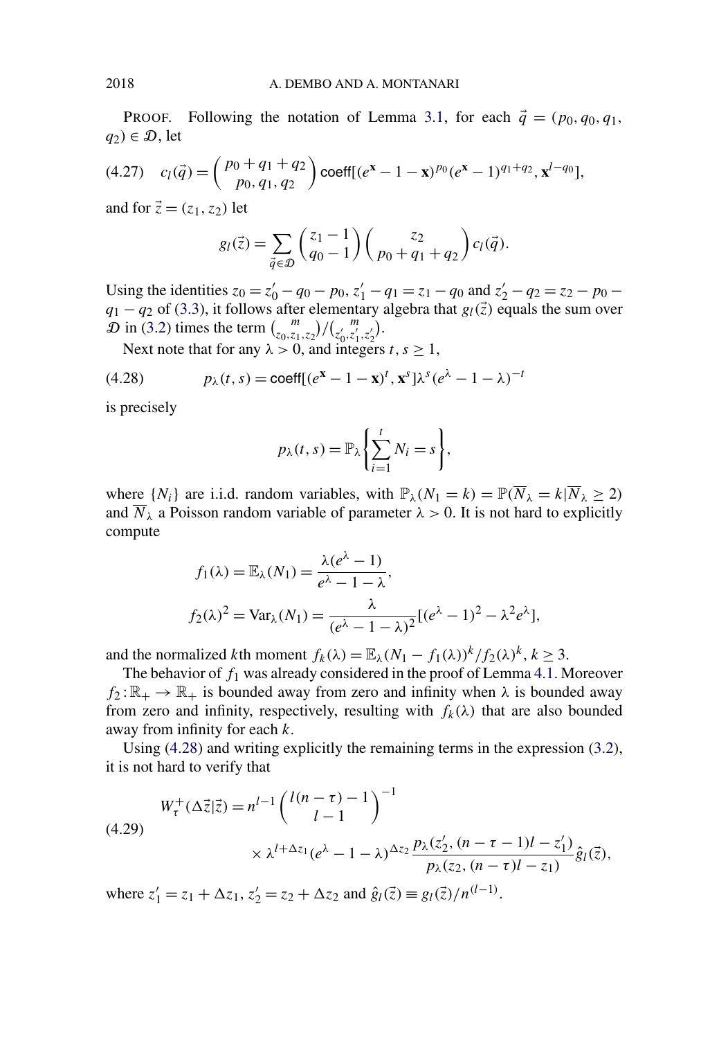PROOF. Following the notation of Lemma [3.1,](#page-13-0) for each *q* = *(p*0*, q*0*, q*1*,*  $q_2$ *)*  $\in \mathcal{D}$ , let

$$
(4.27) \quad c_l(\vec{q}) = {p_0 + q_1 + q_2 \choose p_0, q_1, q_2} \operatorname{coeff}[(e^x - 1 - x)^{p_0}(e^x - 1)^{q_1 + q_2}, x^{l - q_0}],
$$

and for  $\vec{z} = (z_1, z_2)$  let

$$
g_l(\vec{z}) = \sum_{\vec{q} \in \mathcal{D}} \binom{z_1 - 1}{q_0 - 1} \binom{z_2}{p_0 + q_1 + q_2} c_l(\vec{q}).
$$

Using the identities  $z_0 = z'_0 - q_0 - p_0$ ,  $z'_1 - q_1 = z_1 - q_0$  and  $z'_2 - q_2 = z_2 - p_0$  $q_1 - q_2$  of [\(3.3\)](#page-13-0), it follows after elementary algebra that  $g_l(\vec{z})$  equals the sum over  $\mathcal{D}$  in [\(3.2\)](#page-13-0) times the term  $\binom{m}{z_0, z_1, z_2} / \binom{m}{z'_0, z'_1, z'_2}$ .

Next note that for any  $\lambda > 0$ , and integers  $t, s \ge 1$ ,

(4.28) 
$$
p_{\lambda}(t,s) = \text{coeff}[(e^{x} - 1 - x)^{t}, x^{s}] \lambda^{s} (e^{\lambda} - 1 - \lambda)^{-t}
$$

is precisely

$$
p_{\lambda}(t,s) = \mathbb{P}_{\lambda}\left\{\sum_{i=1}^{t} N_i = s\right\},\,
$$

where  $\{N_i\}$  are i.i.d. random variables, with  $\mathbb{P}_\lambda(N_1 = k) = \mathbb{P}(\overline{N}_\lambda = k | \overline{N}_\lambda \geq 2)$ and  $\overline{N}_{\lambda}$  a Poisson random variable of parameter  $\lambda > 0$ . It is not hard to explicitly compute

$$
f_1(\lambda) = \mathbb{E}_{\lambda}(N_1) = \frac{\lambda(e^{\lambda} - 1)}{e^{\lambda} - 1 - \lambda},
$$
  

$$
f_2(\lambda)^2 = \text{Var}_{\lambda}(N_1) = \frac{\lambda}{(e^{\lambda} - 1 - \lambda)^2} [(e^{\lambda} - 1)^2 - \lambda^2 e^{\lambda}],
$$

and the normalized *k*th moment  $f_k(\lambda) = \mathbb{E}_{\lambda}(N_1 - f_1(\lambda))^k / f_2(\lambda)^k$ ,  $k \geq 3$ .

The behavior of *f*<sup>1</sup> was already considered in the proof of Lemma [4.1.](#page-15-0) Moreover  $f_2: \mathbb{R}_+ \to \mathbb{R}_+$  is bounded away from zero and infinity when  $\lambda$  is bounded away from zero and infinity, respectively, resulting with  $f_k(\lambda)$  that are also bounded away from infinity for each *k*.

Using (4.28) and writing explicitly the remaining terms in the expression [\(3.2\)](#page-13-0), it is not hard to verify that

$$
(4.29) \t W_{\tau}^{+}(\Delta \vec{z}|\vec{z}) = n^{l-1} \left( \begin{array}{c} l(n-\tau) - 1 \\ l - 1 \end{array} \right)^{-1}
$$
  
 
$$
\times \lambda^{l + \Delta z_1} (e^{\lambda} - 1 - \lambda)^{\Delta z_2} \frac{p_{\lambda}(z'_2, (n-\tau-1)l - z'_1)}{p_{\lambda}(z_2, (n-\tau)l - z_1)} \hat{g}_l(\vec{z}),
$$

where  $z'_1 = z_1 + \Delta z_1$ ,  $z'_2 = z_2 + \Delta z_2$  and  $\hat{g}_l(\vec{z}) \equiv g_l(\vec{z})/n^{(l-1)}$ .

<span id="page-25-0"></span>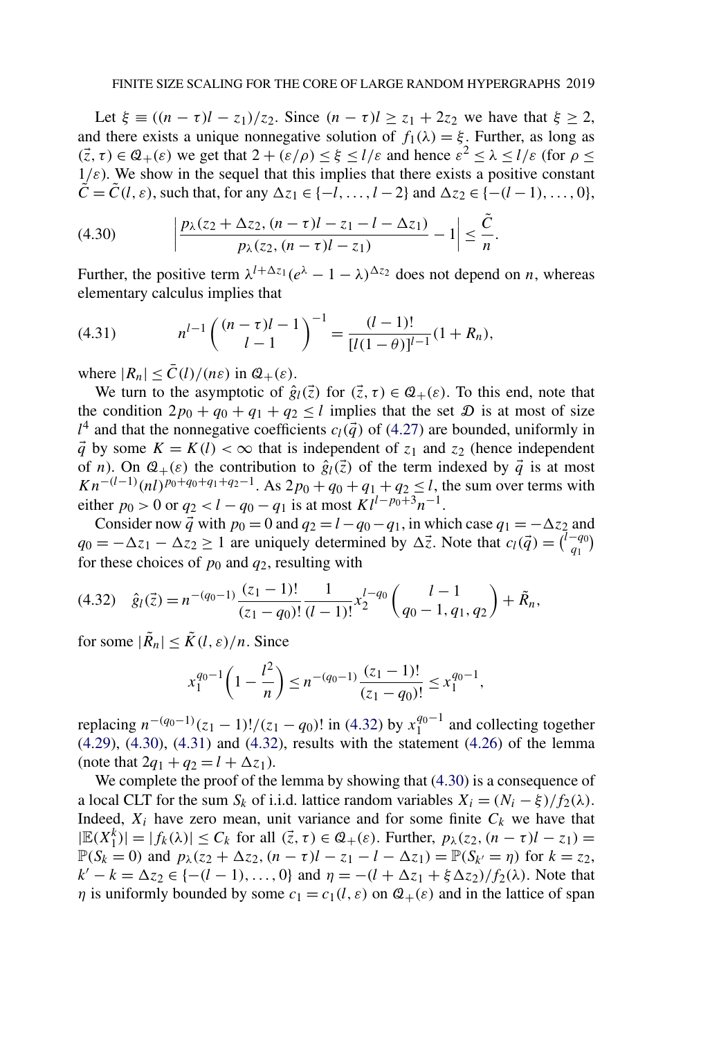<span id="page-26-0"></span>Let  $\xi \equiv ((n - \tau)l - z_1)/z_2$ . Since  $(n - \tau)l \ge z_1 + 2z_2$  we have that  $\xi \ge 2$ , and there exists a unique nonnegative solution of  $f_1(\lambda) = \xi$ . Further, as long as  $(\vec{z}, \tau) \in \mathcal{Q}_+(\varepsilon)$  we get that  $2 + (\varepsilon/\rho) \leq \xi \leq l/\varepsilon$  and hence  $\varepsilon^2 \leq \lambda \leq l/\varepsilon$  (for  $\rho \leq$  $1/\varepsilon$ ). We show in the sequel that this implies that there exists a positive constant  $\tilde{C} = \tilde{C}(l, \varepsilon)$ , such that, for any  $\Delta z_1 \in \{-l, \ldots, l-2\}$  and  $\Delta z_2 \in \{- (l-1), \ldots, 0\}$ ,

$$
(4.30) \qquad \left|\frac{p_{\lambda}(z_2+\Delta z_2,(n-\tau)l-z_1-l-\Delta z_1)}{p_{\lambda}(z_2,(n-\tau)l-z_1)}-1\right|\leq \frac{\tilde{C}}{n}.
$$

Further, the positive term  $\lambda^{l+\Delta z_1} (e^{\lambda} - 1 - \lambda)^{\Delta z_2}$  does not depend on *n*, whereas elementary calculus implies that

(4.31) 
$$
n^{l-1} \binom{(n-\tau)l-1}{l-1}^{-1} = \frac{(l-1)!}{[l(1-\theta)]^{l-1}} (1+R_n),
$$

where  $|R_n| \leq \overline{C}(l)/(n\varepsilon)$  in  $\mathcal{Q}_+(\varepsilon)$ .

We turn to the asymptotic of  $\hat{g}_l(\vec{z})$  for  $(\vec{z}, \tau) \in \mathcal{Q}_+(\varepsilon)$ . To this end, note that the condition  $2p_0 + q_0 + q_1 + q_2 \le l$  implies that the set  $\mathcal D$  is at most of size  $l^4$  and that the nonnegative coefficients  $c_l(\vec{q})$  of [\(4.27\)](#page-25-0) are bounded, uniformly in  $\vec{q}$  by some  $K = K(l) < \infty$  that is independent of  $z_1$  and  $z_2$  (hence independent of *n*). On  $Q_+(\varepsilon)$  the contribution to  $\hat{g}_l(\vec{z})$  of the term indexed by  $\vec{q}$  is at most *Kn*<sup>−(l−1</sup>)(*nl*)<sup>*p*<sub>0</sub>+*q*<sub>0</sub>+*q*<sub>1</sub>+*q*<sub>2</sub><sup>−1</sup>. As 2*p*<sub>0</sub> + *q*<sub>0</sub> + *q*<sub>1</sub> + *q*<sub>2</sub> ≤ *l*, the sum over terms with</sup> either  $p_0 > 0$  or  $q_2 < l - q_0 - q_1$  is at most  $\overline{K}l^{l-p_0+3n-1}$ .

Consider now  $\vec{q}$  with  $p_0 = 0$  and  $q_2 = l - q_0 - q_1$ , in which case  $q_1 = -\Delta z_2$  and  $q_0 = -\Delta z_1 - \Delta z_2 \ge 1$  are uniquely determined by  $\Delta \vec{z}$ . Note that  $c_l(\vec{q}) = \begin{pmatrix} l - q_0 \\ q_1 \end{pmatrix}$ for these choices of  $p_0$  and  $q_2$ , resulting with

$$
(4.32) \quad \hat{g}_l(\vec{z}) = n^{-(q_0-1)} \frac{(z_1-1)!}{(z_1-q_0)!} \frac{1}{(l-1)!} x_2^{l-q_0} \binom{l-1}{q_0-1, q_1, q_2} + \tilde{R}_n,
$$

for some  $|\tilde{R}_n| \leq \tilde{K}(l, \varepsilon)/n$ . Since

$$
x_1^{q_0-1}\left(1-\frac{l^2}{n}\right) \le n^{-(q_0-1)}\frac{(z_1-1)!}{(z_1-q_0)!} \le x_1^{q_0-1},
$$

replacing  $n^{-(q_0-1)}(z_1-1)!/(z_1-q_0)!$  in (4.32) by  $x_1^{q_0-1}$  and collecting together [\(4.29\)](#page-25-0), (4.30), (4.31) and (4.32), results with the statement [\(4.26\)](#page-24-0) of the lemma (note that  $2q_1 + q_2 = l + \Delta z_1$ ).

We complete the proof of the lemma by showing that  $(4.30)$  is a consequence of a local CLT for the sum  $S_k$  of i.i.d. lattice random variables  $X_i = (N_i - \xi)/f_2(\lambda)$ . Indeed,  $X_i$  have zero mean, unit variance and for some finite  $C_k$  we have that  $|\mathbb{E}(X_1^k)| = |f_k(\lambda)| \leq C_k$  for all  $(\vec{z}, \tau) \in \mathcal{Q}_+(\varepsilon)$ . Further,  $p_\lambda(z_2, (n - \tau)l - z_1) =$  $\mathbb{P}(S_k = 0)$  and  $p_\lambda(z_2 + \Delta z_2, (n - \tau)l - z_1 - l - \Delta z_1) = \mathbb{P}(S_{k'} = \eta)$  for  $k = z_2$ , *k'* − *k* =  $\Delta z_2$  ∈ {−*(l* − 1), ..., 0} and  $\eta = -(l + \Delta z_1 + \xi \Delta z_2)/f_2(\lambda)$ . Note that *η* is uniformly bounded by some  $c_1 = c_1(l, \varepsilon)$  on  $\mathcal{Q}_+(\varepsilon)$  and in the lattice of span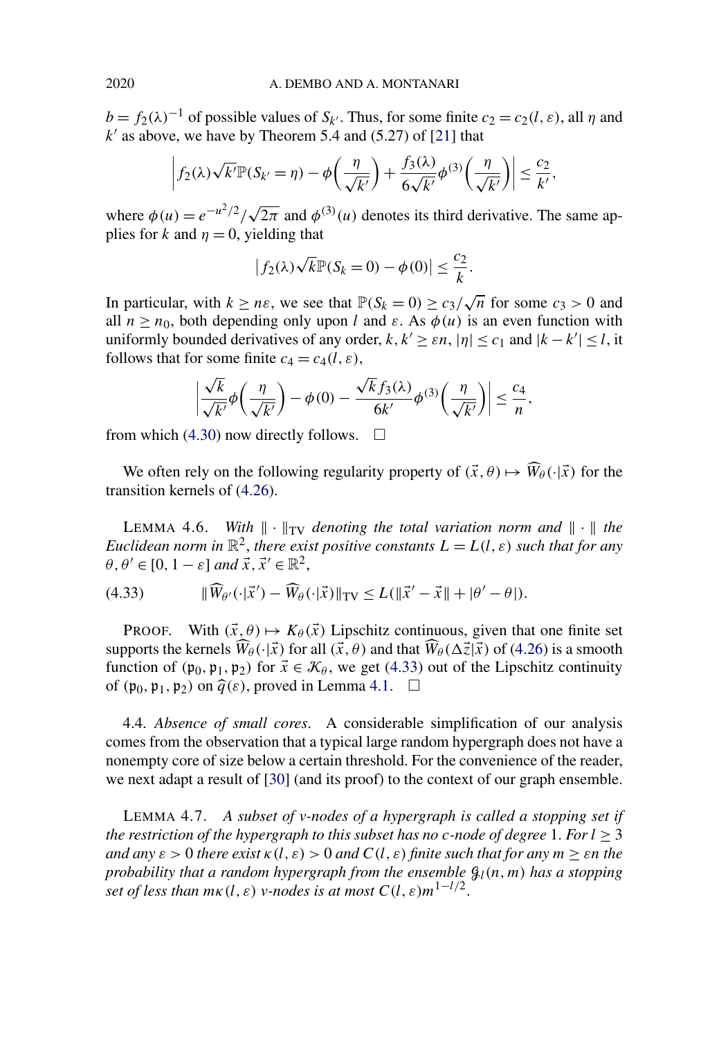<span id="page-27-0"></span> $b = f_2(\lambda)^{-1}$  of possible values of *S<sub>k'</sub>*. Thus, for some finite  $c_2 = c_2(l, \varepsilon)$ , all *η* and  $k'$  as above, we have by Theorem 5.4 and  $(5.27)$  of [\[21\]](#page-46-0) that

$$
\left|f_2(\lambda)\sqrt{k'}\mathbb{P}(S_{k'}=\eta)-\phi\left(\frac{\eta}{\sqrt{k'}}\right)+\frac{f_3(\lambda)}{6\sqrt{k'}}\phi^{(3)}\left(\frac{\eta}{\sqrt{k'}}\right)\right|\leq\frac{c_2}{k'},
$$

where  $\phi(u) = e^{-u^2/2}/\sqrt{2\pi}$  and  $\phi^{(3)}(u)$  denotes its third derivative. The same applies for *k* and  $\eta = 0$ , yielding that

$$
|f_2(\lambda)\sqrt{k}\mathbb{P}(S_k=0)-\phi(0)|\leq \frac{c_2}{k}.
$$

In particular, with  $k \ge n\varepsilon$ , we see that  $\mathbb{P}(S_k = 0) \ge c_3 / \sqrt{n}$  for some  $c_3 > 0$  and all  $n \ge n_0$ , both depending only upon *l* and  $\varepsilon$ . As  $\phi(u)$  is an even function with uniformly bounded derivatives of any order,  $k, k' \ge \varepsilon n$ ,  $|\eta| \le c_1$  and  $|k - k'| \le l$ , it follows that for some finite  $c_4 = c_4(l, \varepsilon)$ ,

$$
\left|\frac{\sqrt{k}}{\sqrt{k'}}\phi\left(\frac{\eta}{\sqrt{k'}}\right)-\phi(0)-\frac{\sqrt{k}f_3(\lambda)}{6k'}\phi^{(3)}\left(\frac{\eta}{\sqrt{k'}}\right)\right|\leq \frac{c_4}{n},
$$

from which [\(4.30\)](#page-26-0) now directly follows.  $\Box$ 

We often rely on the following regularity property of  $(\vec{x}, \theta) \mapsto \widehat{W}_{\theta}(\cdot | \vec{x})$  for the transition kernels of [\(4.26\)](#page-24-0).

LEMMA 4.6. *With*  $\|\cdot\|_{TV}$  *denoting the total variation norm and*  $\|\cdot\|$  *the Euclidean norm in*  $\mathbb{R}^2$ , *there exist positive constants*  $L = L(l, \varepsilon)$  *such that for any*  $\theta, \theta' \in [0, 1-\varepsilon]$  *and*  $\vec{x}, \vec{x}' \in \mathbb{R}^2$ ,

(4.33) 
$$
\|\widehat{W}_{\theta'}(\cdot|\vec{x}') - \widehat{W}_{\theta}(\cdot|\vec{x})\|_{TV} \le L(\|\vec{x}' - \vec{x}\| + |\theta' - \theta|).
$$

PROOF. With  $(\vec{x}, \theta) \mapsto K_{\theta}(\vec{x})$  Lipschitz continuous, given that one finite set supports the kernels  $\widehat{W}_{\theta}(\cdot|\vec{x})$  for all  $(\vec{x},\theta)$  and that  $\widehat{W}_{\theta}(\Delta \vec{z}|\vec{x})$  of [\(4.26\)](#page-24-0) is a smooth function of  $(p_0, p_1, p_2)$  for  $\vec{x} \in \mathcal{K}_{\theta}$ , we get (4.33) out of the Lipschitz continuity of  $(\mathfrak{p}_0, \mathfrak{p}_1, \mathfrak{p}_2)$  on  $\widehat{q}(\varepsilon)$ , proved in Lemma [4.1.](#page-15-0)  $\Box$ 

4.4. *Absence of small cores*. A considerable simplification of our analysis comes from the observation that a typical large random hypergraph does not have a nonempty core of size below a certain threshold. For the convenience of the reader, we next adapt a result of [\[30\]](#page-47-0) (and its proof) to the context of our graph ensemble.

LEMMA 4.7. *A subset of v-nodes of a hypergraph is called a stopping set if the restriction of the hypergraph to this subset has no c-node of degree* 1. *For*  $l \geq 3$ *and any*  $\varepsilon > 0$  *there exist*  $\kappa$  (l,  $\varepsilon$ )  $> 0$  *and*  $C$ (l,  $\varepsilon$ ) *finite such that for any*  $m \geq \varepsilon n$  *the probability that a random hypergraph from the ensemble* G*l(n, m) has a stopping set of less than*  $m \kappa(l, \varepsilon)$  *v*-nodes is at most  $C(l, \varepsilon) m^{1-l/2}$ .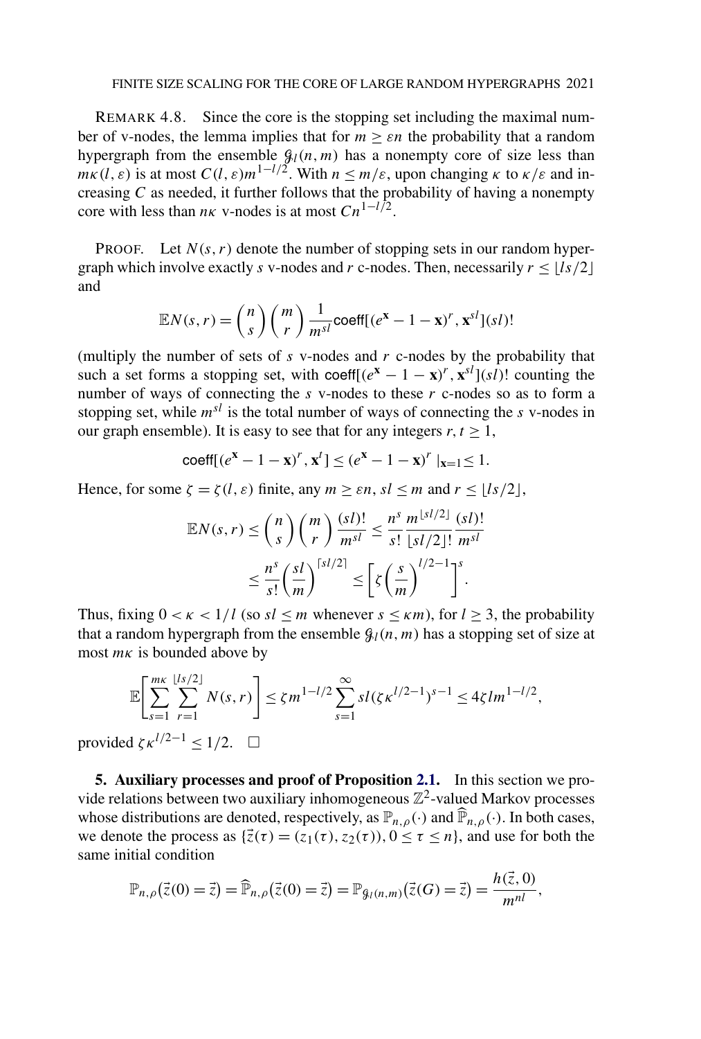#### FINITE SIZE SCALING FOR THE CORE OF LARGE RANDOM HYPERGRAPHS 2021

<span id="page-28-0"></span>REMARK 4.8. Since the core is the stopping set including the maximal number of v-nodes, the lemma implies that for  $m \geq \varepsilon n$  the probability that a random hypergraph from the ensemble  $\mathcal{G}_l(n,m)$  has a nonempty core of size less than *mk*(l,  $\varepsilon$ ) is at most  $C(l, \varepsilon) m^{1-l/2}$ . With  $n \leq m/\varepsilon$ , upon changing  $\kappa$  to  $\kappa/\varepsilon$  and increasing *C* as needed, it further follows that the probability of having a nonempty core with less than  $n \kappa$  v-nodes is at most  $Cn^{1-l/2}$ .

**PROOF.** Let  $N(s, r)$  denote the number of stopping sets in our random hypergraph which involve exactly *s* v-nodes and *r* c-nodes. Then, necessarily  $r \le |I_s/2|$ and

$$
\mathbb{E}N(s,r) = {n \choose s} {m \choose r} \frac{1}{m^{sl}} \text{coeff}[(e^{\mathbf{x}} - 1 - \mathbf{x})^r, \mathbf{x}^{sl}](sI)!
$$

(multiply the number of sets of *s* v-nodes and *r* c-nodes by the probability that such a set forms a stopping set, with coeff $[(e^{\mathbf{x}} - 1 - \mathbf{x})^r, \mathbf{x}^{sl}](s\bar{l})$ ! counting the number of ways of connecting the *s* v-nodes to these *r* c-nodes so as to form a stopping set, while *msl* is the total number of ways of connecting the *s* v-nodes in our graph ensemble). It is easy to see that for any integers  $r, t > 1$ ,

$$
\text{coeff}[(e^{\mathbf{x}} - 1 - \mathbf{x})^r, \mathbf{x}^t] \le (e^{\mathbf{x}} - 1 - \mathbf{x})^r \mid_{\mathbf{x} = 1} \le 1.
$$

Hence, for some  $\zeta = \zeta(l, \varepsilon)$  finite, any  $m \geq \varepsilon n$ ,  $sl \leq m$  and  $r \leq \lfloor ls/2 \rfloor$ ,

$$
\mathbb{E}N(s,r) \leq {n \choose s} {m \choose r} \frac{(sl)!}{m^{sl}} \leq \frac{n^s}{s!} \frac{m^{\lfloor sl/2 \rfloor}}{\lfloor sl/2 \rfloor!} \frac{(sl)!}{m^{sl}}
$$

$$
\leq \frac{n^s}{s!} \left(\frac{sl}{m}\right)^{\lceil sl/2 \rceil} \leq \left[\zeta \left(\frac{s}{m}\right)^{l/2-1}\right]^s.
$$

Thus, fixing  $0 < \kappa < 1/l$  (so  $sl \le m$  whenever  $s \le \kappa m$ ), for  $l \ge 3$ , the probability that a random hypergraph from the ensemble  $\mathcal{G}_l(n, m)$  has a stopping set of size at most *mκ* is bounded above by

$$
\mathbb{E}\left[\sum_{s=1}^{m\kappa}\sum_{r=1}^{\lfloor ls/2\rfloor} N(s,r)\right] \leq \zeta m^{1-l/2} \sum_{s=1}^{\infty} sl(\zeta \kappa^{l/2-1})^{s-1} \leq 4\zeta lm^{1-l/2},
$$

provided  $\zeta \kappa^{l/2-1} \leq 1/2$ .  $\Box$ 

**5. Auxiliary processes and proof of Proposition [2.1.](#page-6-0)** In this section we provide relations between two auxiliary inhomogeneous  $\mathbb{Z}^2$ -valued Markov processes whose distributions are denoted, respectively, as  $\mathbb{P}_{n,\rho}(\cdot)$  and  $\widehat{\mathbb{P}}_{n,\rho}(\cdot)$ . In both cases, we denote the process as  $\{\vec{z}(\tau) = (z_1(\tau), z_2(\tau)), 0 \le \tau \le n\}$ , and use for both the same initial condition

$$
\mathbb{P}_{n,\rho}(\vec{z}(0)=\vec{z})=\widehat{\mathbb{P}}_{n,\rho}(\vec{z}(0)=\vec{z})=\mathbb{P}_{\mathcal{G}_{l}(n,m)}(\vec{z}(G)=\vec{z})=\frac{h(\vec{z},0)}{m^{nl}},
$$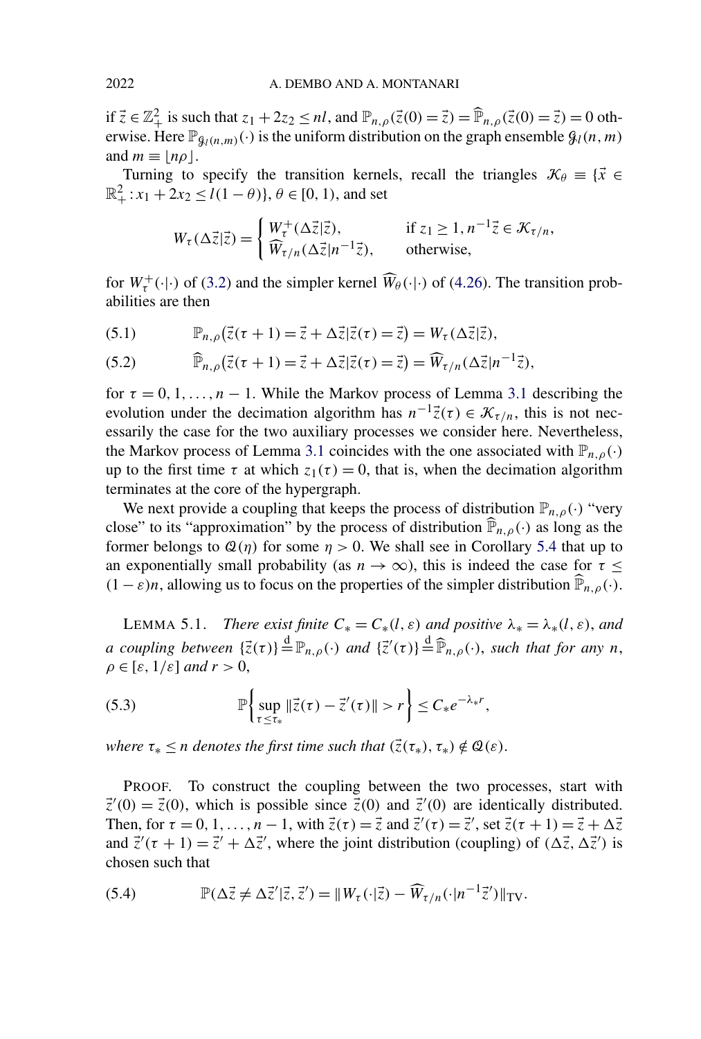<span id="page-29-0"></span>if  $\vec{z} \in \mathbb{Z}_+^2$  is such that  $z_1 + 2z_2 \le n\hat{l}$ , and  $\mathbb{P}_{n,\rho}(\vec{z}(0) = \vec{z}) = \hat{\mathbb{P}}_{n,\rho}(\vec{z}(0) = \vec{z}) = 0$  otherwise. Here  $\mathbb{P}_{\mathcal{G}_l(n,m)}(\cdot)$  is the uniform distribution on the graph ensemble  $\mathcal{G}_l(n,m)$ and  $m \equiv |n\rho|$ .

Turning to specify the transition kernels, recall the triangles  $\mathcal{K}_{\theta} \equiv \{ \vec{x} \in \mathcal{K} \}$  $\mathbb{R}^2_+$ :  $x_1 + 2x_2 \le l(1 - \theta)$ ,  $\theta \in [0, 1)$ , and set

$$
W_{\tau}(\Delta \vec{z}|\vec{z}) = \begin{cases} W_{\tau}^{+}(\Delta \vec{z}|\vec{z}), & \text{if } z_1 \geq 1, n^{-1}\vec{z} \in \mathcal{K}_{\tau/n}, \\ \widehat{W}_{\tau/n}(\Delta \vec{z}|n^{-1}\vec{z}), & \text{otherwise}, \end{cases}
$$

for  $W_{\tau}^{+}(\cdot|\cdot)$  of [\(3.2\)](#page-13-0) and the simpler kernel  $\widehat{W}_{\theta}(\cdot|\cdot)$  of [\(4.26\)](#page-24-0). The transition probabilities are then

(5.1)  $\mathbb{P}_{n,p}(\vec{z}(\tau+1)) = \vec{z} + \Delta \vec{z} | \vec{z}(\tau) = \vec{z} \Rightarrow W_{\tau}(\Delta \vec{z} | \vec{z}),$ 

(5.2) 
$$
\widehat{\mathbb{P}}_{n,\rho}(\vec{z}(\tau+1)) = \vec{z} + \Delta \vec{z} | \vec{z}(\tau) = \vec{z} \big) = \widehat{W}_{\tau/n}(\Delta \vec{z} | n^{-1} \vec{z}),
$$

for  $\tau = 0, 1, \ldots, n - 1$ . While the Markov process of Lemma [3.1](#page-13-0) describing the evolution under the decimation algorithm has  $n^{-1}\vec{z}(\tau) \in \mathcal{K}_{\tau/n}$ , this is not necessarily the case for the two auxiliary processes we consider here. Nevertheless, the Markov process of Lemma [3.1](#page-13-0) coincides with the one associated with  $\mathbb{P}_{n,q}(\cdot)$ up to the first time  $\tau$  at which  $z_1(\tau) = 0$ , that is, when the decimation algorithm terminates at the core of the hypergraph.

We next provide a coupling that keeps the process of distribution  $\mathbb{P}_{n,\rho}(\cdot)$  "very close" to its "approximation" by the process of distribution  $\widehat{P}_{n,\rho}(\cdot)$  as long as the former belongs to  $\mathcal{Q}(\eta)$  for some  $\eta > 0$ . We shall see in Corollary [5.4](#page-34-0) that up to an exponentially small probability (as  $n \to \infty$ ), this is indeed the case for  $\tau \leq$  $(1 - \varepsilon)n$ , allowing us to focus on the properties of the simpler distribution  $\mathbb{P}_{n,\rho}(\cdot)$ .

**LEMMA 5.1.** *There exist finite*  $C_* = C_*(l, \varepsilon)$  *and positive*  $\lambda_* = \lambda_*(l, \varepsilon)$ *, and a* coupling between  $\{\vec{z}(\tau)\} \stackrel{d}{=} \mathbb{P}_{n,\rho}(\cdot)$  and  $\{\vec{z}'(\tau)\} \stackrel{d}{=} \widehat{\mathbb{P}}_{n,\rho}(\cdot)$ , such that for any *n*,  $\rho \in [\varepsilon, 1/\varepsilon]$  *and*  $r > 0$ ,

(5.3) 
$$
\mathbb{P}\left\{\sup_{\tau\leq\tau_*}\|\vec{z}(\tau)-\vec{z}'(\tau)\|>r\right\}\leq C_*e^{-\lambda_*r},
$$

*where*  $\tau_* \leq n$  *denotes the first time such that*  $(\vec{z}(\tau_*) , \tau_*) \notin \mathcal{Q}(\varepsilon)$ .

PROOF. To construct the coupling between the two processes, start with  $\vec{z}'(0) = \vec{z}(0)$ , which is possible since  $\vec{z}(0)$  and  $\vec{z}'(0)$  are identically distributed. Then, for  $\tau = 0, 1, \ldots, n - 1$ , with  $\vec{z}(\tau) = \vec{z}$  and  $\vec{z}'(\tau) = \vec{z}'$ , set  $\vec{z}(\tau + 1) = \vec{z} + \Delta \vec{z}$ and  $\vec{z}'(\tau + 1) = \vec{z}' + \Delta \vec{z}'$ , where the joint distribution (coupling) of  $(\Delta \vec{z}, \Delta \vec{z}')$  is chosen such that

(5.4) 
$$
\mathbb{P}(\Delta \vec{z} \neq \Delta \vec{z}' | \vec{z}, \vec{z}') = \|W_{\tau}(\cdot|\vec{z}) - \widehat{W}_{\tau/n}(\cdot|n^{-1}\vec{z}')\|_{\text{TV}}.
$$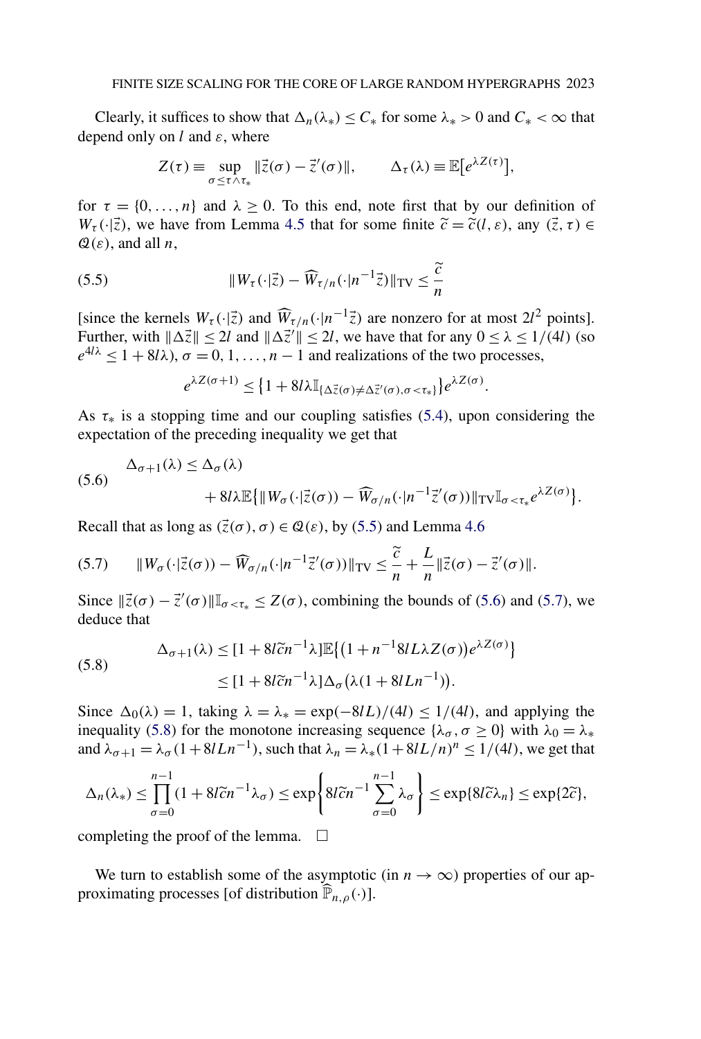Clearly, it suffices to show that  $\Delta_n(\lambda_*) \leq C_*$  for some  $\lambda_* > 0$  and  $C_* < \infty$  that depend only on *l* and *ε*, where

$$
Z(\tau) \equiv \sup_{\sigma \leq \tau \wedge \tau_*} ||\vec{z}(\sigma) - \vec{z}'(\sigma)||, \qquad \Delta_{\tau}(\lambda) \equiv \mathbb{E}\big[e^{\lambda Z(\tau)}\big],
$$

for  $\tau = \{0, \ldots, n\}$  and  $\lambda > 0$ . To this end, note first that by our definition of  $W_{\tau}(\cdot|\vec{z})$ , we have from Lemma [4.5](#page-24-0) that for some finite  $\tilde{c} = \tilde{c}(l, \varepsilon)$ , any  $(\vec{z}, \tau) \in$  $\mathcal{Q}(\varepsilon)$ , and all *n*,

(5.5) 
$$
\|W_{\tau}(\cdot|\vec{z}) - \widehat{W}_{\tau/n}(\cdot|n^{-1}\vec{z})\|_{\text{TV}} \leq \frac{\widetilde{c}}{n}
$$

[since the kernels  $W_{\tau}(\cdot|\vec{z})$  and  $\widehat{W}_{\tau/n}(\cdot|n^{-1}\vec{z})$  are nonzero for at most  $2l^2$  points]. Further, with  $\|\Delta \vec{z}\| \leq 2l$  and  $\|\Delta \vec{z}'\| \leq 2l$ , we have that for any  $0 \leq \lambda \leq 1/(4l)$  (so  $e^{4/\lambda} \leq 1 + 8/\lambda$ ,  $\sigma = 0, 1, \ldots, n-1$  and realizations of the two processes,

$$
e^{\lambda Z(\sigma+1)} \leq \left\{1 + 8l\lambda \mathbb{I}_{\{\Delta_z^{\gamma}(\sigma) \neq \Delta_z^{\gamma'}(\sigma), \sigma < \tau_*\}}\right\} e^{\lambda Z(\sigma)}.
$$

As  $\tau_*$  is a stopping time and our coupling satisfies [\(5.4\)](#page-29-0), upon considering the expectation of the preceding inequality we get that

(5.6) 
$$
\Delta_{\sigma+1}(\lambda) \leq \Delta_{\sigma}(\lambda) + 8l\lambda \mathbb{E}\{||W_{\sigma}(\cdot|\vec{z}(\sigma)) - \widehat{W}_{\sigma/n}(\cdot|n^{-1}\vec{z}'(\sigma))||_{TV}\mathbb{I}_{\sigma < \tau_*}e^{\lambda Z(\sigma)}\}.
$$

Recall that as long as  $(\vec{z}(\sigma), \sigma) \in \mathcal{Q}(\varepsilon)$ , by (5.5) and Lemma [4.6](#page-27-0)

$$
(5.7) \qquad \|W_{\sigma}(\cdot|\vec{z}(\sigma)) - \widehat{W}_{\sigma/n}(\cdot|n^{-1}\vec{z}'(\sigma))\|_{\text{TV}} \leq \frac{\widetilde{c}}{n} + \frac{L}{n} \|\vec{z}(\sigma) - \vec{z}'(\sigma)\|.
$$

Since  $\|\vec{z}(\sigma) - \vec{z}'(\sigma)\|\mathbb{I}_{\sigma \leq \tau_*} \leq Z(\sigma)$ , combining the bounds of (5.6) and (5.7), we deduce that

(5.8) 
$$
\Delta_{\sigma+1}(\lambda) \leq [1 + 8l\tilde{c}n^{-1}\lambda] \mathbb{E}\left\{ (1 + n^{-1}8lL\lambda Z(\sigma))e^{\lambda Z(\sigma)} \right\}
$$

$$
\leq [1 + 8l\tilde{c}n^{-1}\lambda] \Delta_{\sigma} (\lambda (1 + 8lLn^{-1})).
$$

Since  $\Delta_0(\lambda) = 1$ , taking  $\lambda = \lambda_* = \exp(-8lL)/(4l) \le 1/(4l)$ , and applying the inequality (5.8) for the monotone increasing sequence { $\lambda_{\sigma}$ ,  $\sigma \ge 0$ } with  $\lambda_0 = \lambda_*$ and  $\lambda_{\sigma+1} = \lambda_{\sigma} (1 + 8lLn^{-1})$ , such that  $\lambda_n = \lambda_{*} (1 + 8lL/n)^n \le 1/(4l)$ , we get that

$$
\Delta_n(\lambda_*) \le \prod_{\sigma=0}^{n-1} (1 + 8l\tilde{c}n^{-1}\lambda_\sigma) \le \exp\left\{8l\tilde{c}n^{-1}\sum_{\sigma=0}^{n-1} \lambda_\sigma\right\} \le \exp\{8l\tilde{c}\lambda_n\} \le \exp\{2\tilde{c}\},
$$

completing the proof of the lemma.  $\Box$ 

We turn to establish some of the asymptotic (in  $n \to \infty$ ) properties of our approximating processes [of distribution  $\widehat{\mathbb{P}}_{n,\rho}(\cdot)$ ].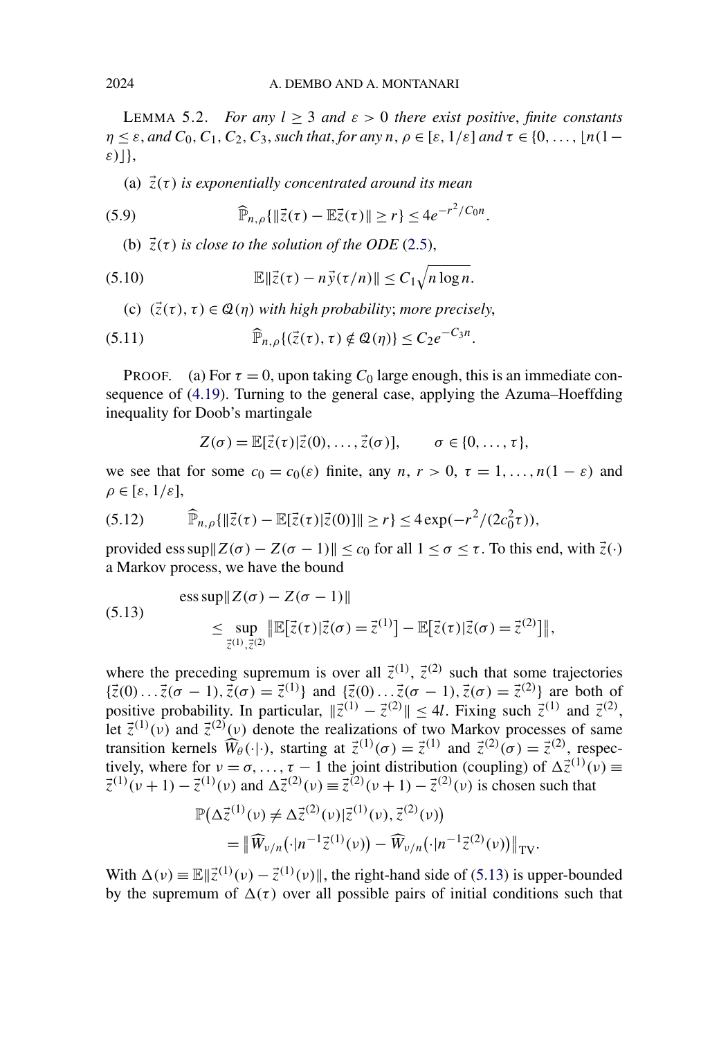<span id="page-31-0"></span>LEMMA 5.2. *For any*  $l \geq 3$  *and*  $\varepsilon > 0$  *there exist positive, finite constants*  $\eta \leq \varepsilon$ , and  $C_0, C_1, C_2, C_3$ , such that, for any  $n, \rho \in [\varepsilon, 1/\varepsilon]$  and  $\tau \in \{0, \ldots, \lfloor n(1-\varepsilon) \rfloor\}$ *ε)*},

(a)  $\vec{z}(\tau)$  *is exponentially concentrated around its mean* 

(5.9) 
$$
\widehat{\mathbb{P}}_{n,\rho}\{\|\vec{z}(\tau)-\mathbb{E}\vec{z}(\tau)\|\geq r\}\leq 4e^{-r^2/C_0n}.
$$

(b)  $\vec{z}(\tau)$  *is close to the solution of the ODE* [\(2.5\)](#page-5-0),

(5.10) 
$$
\mathbb{E} \|\vec{z}(\tau) - n\vec{y}(\tau/n)\| \leq C_1 \sqrt{n \log n}.
$$

(c)  $(\vec{z}(\tau), \tau) \in \mathcal{Q}(\eta)$  with high probability; more precisely,

(5.11) 
$$
\widehat{\mathbb{P}}_{n,\rho}\{(\vec{z}(\tau),\tau)\notin\mathcal{Q}(\eta)\}\leq C_2e^{-C_3n}.
$$

PROOF. (a) For  $\tau = 0$ , upon taking  $C_0$  large enough, this is an immediate consequence of [\(4.19\)](#page-22-0). Turning to the general case, applying the Azuma–Hoeffding inequality for Doob's martingale

$$
Z(\sigma) = \mathbb{E}[\vec{z}(\tau)|\vec{z}(0),\ldots,\vec{z}(\sigma)], \qquad \sigma \in \{0,\ldots,\tau\},\
$$

we see that for some  $c_0 = c_0(\varepsilon)$  finite, any  $n, r > 0, \tau = 1, \ldots, n(1 - \varepsilon)$  and  $\rho \in [\varepsilon, 1/\varepsilon],$ 

(5.12) 
$$
\widehat{\mathbb{P}}_{n,\rho}\{\|\vec{z}(\tau)-\mathbb{E}[\vec{z}(\tau)|\vec{z}(0)]\|\geq r\}\leq 4\exp(-r^2/(2c_0^2\tau)),
$$

provided ess sup $\|Z(\sigma) - Z(\sigma - 1)\| \leq c_0$  for all  $1 \leq \sigma \leq \tau$ . To this end, with  $\vec{z}(\cdot)$ a Markov process, we have the bound

(5.13) 
$$
\begin{aligned} \text{ess}\sup \|Z(\sigma) - Z(\sigma - 1)\| \\ &\leq \sup_{\vec{z}^{(1)}, \vec{z}^{(2)}} \|\mathbb{E}[\vec{z}(\tau)|\vec{z}(\sigma) = \vec{z}^{(1)}] - \mathbb{E}[\vec{z}(\tau)|\vec{z}(\sigma) = \vec{z}^{(2)}]\|, \end{aligned}
$$

where the preceding supremum is over all  $\vec{z}^{(1)}$ ,  $\vec{z}^{(2)}$  such that some trajectories  $\{\vec{z}(0) \dots \vec{z}(\sigma - 1), \vec{z}(\sigma) = \vec{z}^{(1)}\}$  and  $\{\vec{z}(0) \dots \vec{z}(\sigma - 1), \vec{z}(\sigma) = \vec{z}^{(2)}\}$  are both of positive probability. In particular,  $\|\vec{z}^{(1)} - \vec{z}^{(2)}\| \le 4l$ . Fixing such  $\vec{z}^{(1)}$  and  $\vec{z}^{(2)}$ , let  $\vec{z}^{(1)}(v)$  and  $\vec{z}^{(2)}(v)$  denote the realizations of two Markov processes of same transition kernels  $\widehat{W}_{\theta}(\cdot|\cdot)$ , starting at  $\vec{z}^{(1)}(\sigma) = \vec{z}^{(1)}$  and  $\vec{z}^{(2)}(\sigma) = \vec{z}^{(2)}$ , respectively, where for  $v = \sigma, \ldots, \tau - 1$  the joint distribution (coupling) of  $\Delta \vec{z}^{(1)}(v) \equiv$  $\vec{z}^{(1)}(\nu+1) - \vec{z}^{(1)}(\nu)$  and  $\Delta \vec{z}^{(2)}(\nu) \equiv \vec{z}^{(2)}(\nu+1) - \vec{z}^{(2)}(\nu)$  is chosen such that

$$
\mathbb{P}(\Delta \vec{z}^{(1)}(\nu) \neq \Delta \vec{z}^{(2)}(\nu) | \vec{z}^{(1)}(\nu), \vec{z}^{(2)}(\nu))
$$
  
=  $\|\widehat{W}_{\nu/n}(\cdot | n^{-1} \vec{z}^{(1)}(\nu)) - \widehat{W}_{\nu/n}(\cdot | n^{-1} \vec{z}^{(2)}(\nu))\|_{TV}.$ 

With  $\Delta(\nu) \equiv \mathbb{E} \|\vec{z}^{(1)}(\nu) - \vec{z}^{(1)}(\nu)\|$ , the right-hand side of (5.13) is upper-bounded by the supremum of  $\Delta(\tau)$  over all possible pairs of initial conditions such that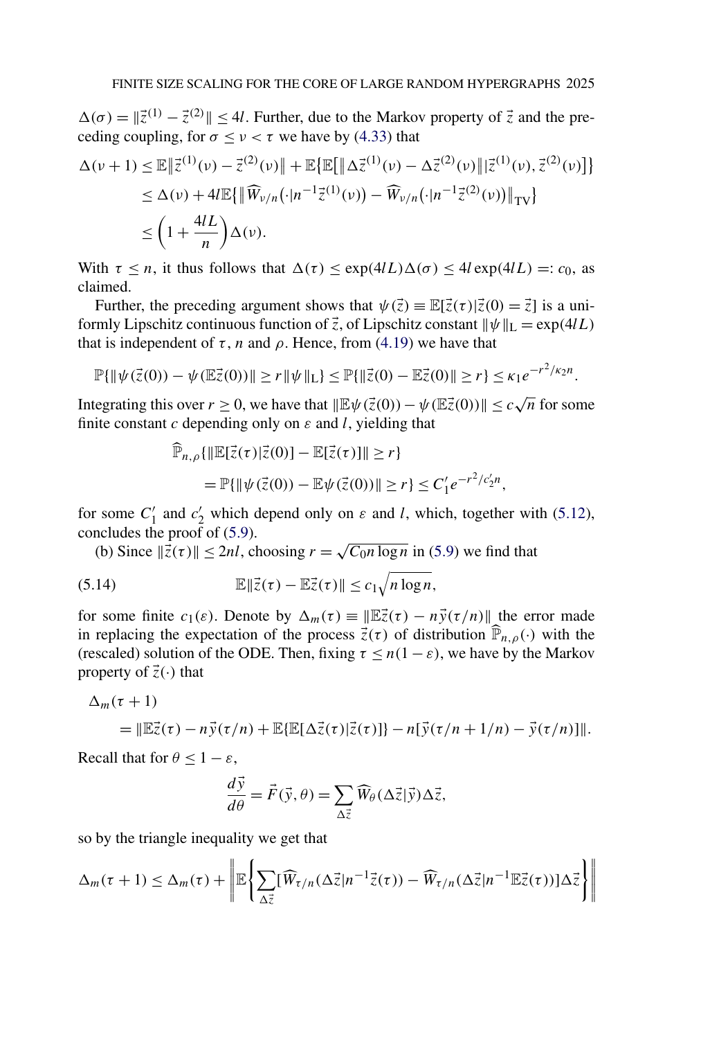<span id="page-32-0"></span> $\Delta(\sigma) = \|z^{(1)} - \bar{z}^{(2)}\| \le 4l$ . Further, due to the Markov property of  $\vec{z}$  and the preceding coupling, for  $\sigma \le v < \tau$  we have by [\(4.33\)](#page-27-0) that

$$
\Delta(\nu+1) \leq \mathbb{E} \left\| \vec{z}^{(1)}(\nu) - \vec{z}^{(2)}(\nu) \right\| + \mathbb{E} \left\{ \mathbb{E} \left[ \left\| \Delta \vec{z}^{(1)}(\nu) - \Delta \vec{z}^{(2)}(\nu) \right\| \left| \vec{z}^{(1)}(\nu), \vec{z}^{(2)}(\nu) \right| \right\} \right\}
$$
  
\n
$$
\leq \Delta(\nu) + 4l \mathbb{E} \left\{ \left\| \widehat{W}_{\nu/n}(\cdot | n^{-1} \vec{z}^{(1)}(\nu)) - \widehat{W}_{\nu/n}(\cdot | n^{-1} \vec{z}^{(2)}(\nu)) \right\|_{\text{TV}} \right\}
$$
  
\n
$$
\leq \left( 1 + \frac{4lL}{n} \right) \Delta(\nu).
$$

With  $\tau \leq n$ , it thus follows that  $\Delta(\tau) \leq \exp(4/L)\Delta(\sigma) \leq 4l \exp(4/L) =: c_0$ , as claimed.

Further, the preceding argument shows that  $\psi(\vec{z}) \equiv \mathbb{E}[\vec{z}(\tau)|\vec{z}(0) = \vec{z}]$  is a uniformly Lipschitz continuous function of  $\vec{z}$ , of Lipschitz constant  $\|\psi\|_{\mathcal{L}} = \exp(4lL)$ that is independent of  $τ$ , *n* and  $ρ$ . Hence, from [\(4.19\)](#page-22-0) we have that

$$
\mathbb{P}\{\|\psi(\vec{z}(0)) - \psi(\mathbb{E}\vec{z}(0))\| \ge r \|\psi\|_{\mathcal{L}}\} \le \mathbb{P}\{\|\vec{z}(0) - \mathbb{E}\vec{z}(0)\| \ge r\} \le \kappa_1 e^{-r^2/\kappa_2 n}.
$$

Integrating this over  $r \ge 0$ , we have that  $\|\mathbb{E}\psi(\vec{z}(0)) - \psi(\mathbb{E}\vec{z}(0))\| \le c\sqrt{n}$  for some finite constant *c* depending only on *ε* and *l*, yielding that

$$
\widehat{\mathbb{P}}_{n,\rho}\{\|\mathbb{E}[\vec{z}(\tau)|\vec{z}(0)] - \mathbb{E}[\vec{z}(\tau)]\| \ge r\}
$$
  
=  $\mathbb{P}\{\|\psi(\vec{z}(0)) - \mathbb{E}\psi(\vec{z}(0))\| \ge r\} \le C_1' e^{-r^2/c_2'n},$ 

for some  $C_1'$  and  $c_2'$  which depend only on  $\varepsilon$  and *l*, which, together with [\(5.12\)](#page-31-0), concludes the proof of [\(5.9\)](#page-31-0).

(b) Since  $\|\vec{z}(\tau)\|$  < 2*nl*, choosing  $r = \sqrt{C_0 n \log n}$  in [\(5.9\)](#page-31-0) we find that

(5.14) 
$$
\mathbb{E}\|\vec{z}(\tau)-\mathbb{E}\vec{z}(\tau)\| \leq c_1 \sqrt{n \log n},
$$

for some finite  $c_1(\varepsilon)$ . Denote by  $\Delta_m(\tau) \equiv ||\mathbb{E}(\tau) - n\vec{y}(\tau/n)||$  the error made in replacing the expectation of the process  $\vec{z}(\tau)$  of distribution  $\hat{\mathbb{P}}_{n,\rho}(\cdot)$  with the (rescaled) solution of the ODE. Then, fixing  $\tau \leq n(1 - \varepsilon)$ , we have by the Markov property of  $\vec{z}(\cdot)$  that

$$
\Delta_m(\tau+1) = \|\mathbb{E}\vec{z}(\tau) - n\vec{y}(\tau/n) + \mathbb{E}\{\mathbb{E}[\Delta\vec{z}(\tau)|\vec{z}(\tau)]\} - n[\vec{y}(\tau/n + 1/n) - \vec{y}(\tau/n)]\|.
$$

Recall that for  $\theta \leq 1 - \varepsilon$ ,

$$
\frac{d\vec{y}}{d\theta} = \vec{F}(\vec{y}, \theta) = \sum_{\Delta \vec{z}} \widehat{W}_{\theta}(\Delta \vec{z} | \vec{y}) \Delta \vec{z},
$$

so by the triangle inequality we get that

$$
\Delta_m(\tau+1) \leq \Delta_m(\tau) + \left\| \mathbb{E} \left\{ \sum_{\Delta \vec{z}} [\widehat{W}_{\tau/n}(\Delta \vec{z}|n^{-1}\vec{z}(\tau)) - \widehat{W}_{\tau/n}(\Delta \vec{z}|n^{-1}\mathbb{E}\vec{z}(\tau))] \Delta \vec{z} \right\} \right\|
$$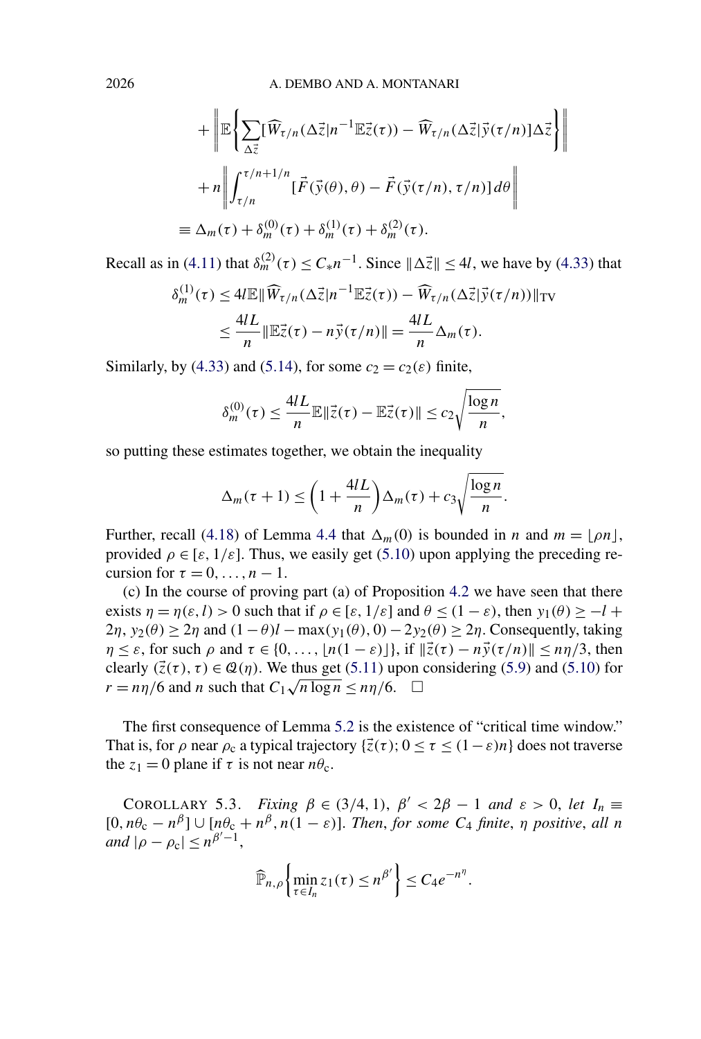<span id="page-33-0"></span>2026 A. DEMBO AND A. MONTANARI

$$
+ \left\| \mathbb{E} \left\{ \sum_{\Delta \vec{z}} [\widehat{W}_{\tau/n}(\Delta \vec{z}|n^{-1} \mathbb{E} \vec{z}(\tau)) - \widehat{W}_{\tau/n}(\Delta \vec{z}| \vec{y}(\tau/n)] \Delta \vec{z} \right\} \right\|
$$
  
+ 
$$
+ n \left\| \int_{\tau/n}^{\tau/n+1/n} [\vec{F}(\vec{y}(\theta), \theta) - \vec{F}(\vec{y}(\tau/n), \tau/n)] d\theta \right\|
$$
  

$$
\equiv \Delta_m(\tau) + \delta_m^{(0)}(\tau) + \delta_m^{(1)}(\tau) + \delta_m^{(2)}(\tau).
$$

Recall as in [\(4.11\)](#page-20-0) that  $\delta_m^{(2)}(\tau) \leq C_* n^{-1}$ . Since  $\|\Delta \vec{z}\| \leq 4l$ , we have by [\(4.33\)](#page-27-0) that

$$
\delta_m^{(1)}(\tau) \le 4l \mathbb{E} \|\widehat{W}_{\tau/n}(\Delta \vec{z}|n^{-1} \mathbb{E}\vec{z}(\tau)) - \widehat{W}_{\tau/n}(\Delta \vec{z}|\vec{y}(\tau/n))\|_{\text{TV}}
$$
  

$$
\le \frac{4lL}{n} \|\mathbb{E}\vec{z}(\tau) - n\vec{y}(\tau/n)\| = \frac{4lL}{n} \Delta_m(\tau).
$$

Similarly, by [\(4.33\)](#page-27-0) and [\(5.14\)](#page-32-0), for some  $c_2 = c_2(\varepsilon)$  finite,

$$
\delta_m^{(0)}(\tau) \le \frac{4lL}{n} \mathbb{E} \|\vec{z}(\tau) - \mathbb{E}\vec{z}(\tau)\| \le c_2 \sqrt{\frac{\log n}{n}},
$$

so putting these estimates together, we obtain the inequality

$$
\Delta_m(\tau+1) \le \left(1 + \frac{4lL}{n}\right) \Delta_m(\tau) + c_3 \sqrt{\frac{\log n}{n}}.
$$

Further, recall [\(4.18\)](#page-22-0) of Lemma [4.4](#page-22-0) that  $\Delta_m(0)$  is bounded in *n* and  $m = \lfloor \rho n \rfloor$ , provided  $\rho \in [\varepsilon, 1/\varepsilon]$ . Thus, we easily get [\(5.10\)](#page-31-0) upon applying the preceding recursion for  $\tau = 0, \ldots, n - 1$ .

(c) In the course of proving part (a) of Proposition [4.2](#page-16-0) we have seen that there exists  $\eta = \eta(\varepsilon, l) > 0$  such that if  $\rho \in [\varepsilon, 1/\varepsilon]$  and  $\theta \le (1 - \varepsilon)$ , then  $y_1(\theta) \ge -l +$  $2\eta$ ,  $y_2(\theta) \ge 2\eta$  and  $(1-\theta)l - \max(y_1(\theta), 0) - 2y_2(\theta) \ge 2\eta$ . Consequently, taking  $\eta \leq \varepsilon$ , for such  $\rho$  and  $\tau \in \{0, \ldots, |n(1-\varepsilon)|\}$ , if  $\|\vec{z}(\tau) - n\vec{y}(\tau/n)\| \leq n\eta/3$ , then clearly  $(\vec{z}(\tau), \tau) \in \mathcal{Q}(\eta)$ . We thus get [\(5.11\)](#page-31-0) upon considering [\(5.9\)](#page-31-0) and [\(5.10\)](#page-31-0) for *r* =  $n\eta/6$  and *n* such that  $C_1\sqrt{n \log n} \leq n\eta/6$ .  $\Box$ 

The first consequence of Lemma [5.2](#page-31-0) is the existence of "critical time window." That is, for  $\rho$  near  $\rho_c$  a typical trajectory  $\{\vec{z}(\tau)\colon 0 \le \tau \le (1-\varepsilon)n\}$  does not traverse the  $z_1 = 0$  plane if  $\tau$  is not near  $n\theta_c$ .

COROLLARY 5.3. *Fixing*  $\beta \in (3/4, 1)$ ,  $\beta' < 2\beta - 1$  *and*  $\varepsilon > 0$ , *let*  $I_n \equiv$  $[0, n\theta_c - n^{\beta}] \cup [n\theta_c + n^{\beta}, n(1 - \varepsilon)]$ . *Then, for some*  $C_4$  *finite,*  $\eta$  *positive, all n*  $|A \cap \rho - \rho_c| \leq n^{\beta'-1}$ ,

$$
\widehat{\mathbb{P}}_{n,\rho}\left\{\min_{\tau\in I_n}z_1(\tau)\leq n^{\beta'}\right\}\leq C_4e^{-n^{\eta}}.
$$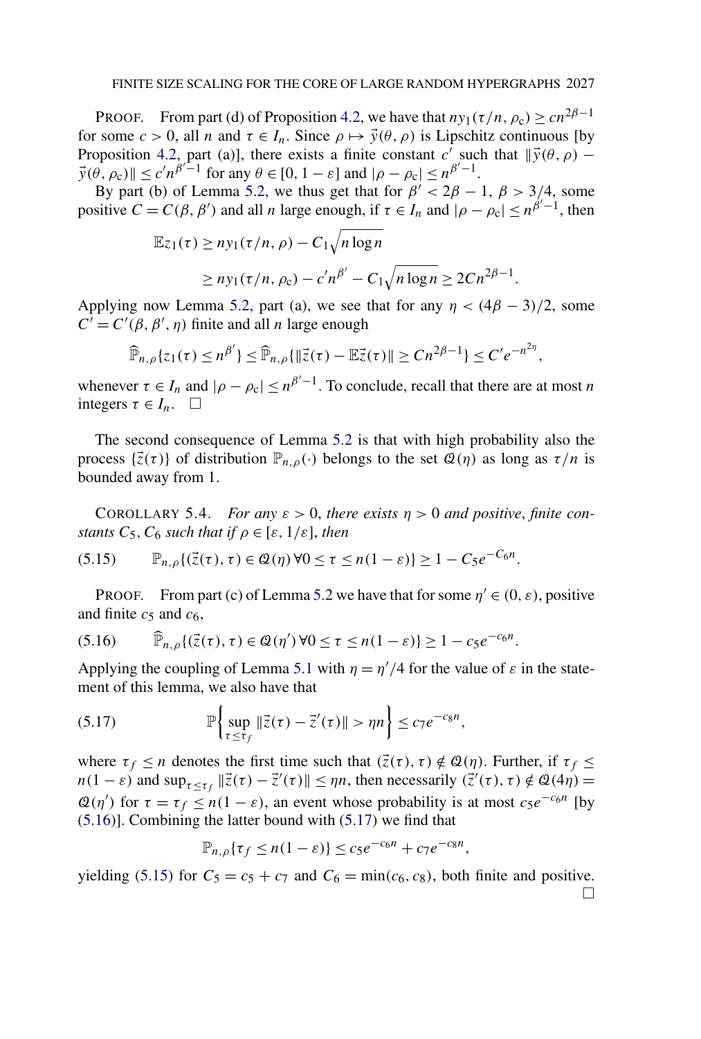<span id="page-34-0"></span>PROOF. From part (d) of Proposition [4.2,](#page-16-0) we have that  $n y_1(\tau/n, \rho_c) > c n^{2\beta - 1}$ for some  $c > 0$ , all *n* and  $\tau \in I_n$ . Since  $\rho \mapsto \vec{y}(\theta, \rho)$  is Lipschitz continuous [by Proposition [4.2,](#page-16-0) part (a)], there exists a finite constant  $c^{\prime}$  such that  $\|\vec{v}(\theta, \rho) \vec{y}(\theta, \rho_c)$   $\leq c'n^{\beta'-1}$  for any  $\theta \in [0, 1-\varepsilon]$  and  $|\rho - \rho_c| \leq n^{\beta'-1}$ .

By part (b) of Lemma [5.2,](#page-31-0) we thus get that for  $\beta' < 2\beta - 1$ ,  $\beta > 3/4$ , some positive  $C = C(\beta, \beta')$  and all *n* large enough, if  $\tau \in I_n$  and  $|\rho - \rho_c| \le n^{\beta'-1}$ , then

$$
\mathbb{E}z_1(\tau) \ge n y_1(\tau/n, \rho) - C_1 \sqrt{n \log n}
$$
  
 
$$
\ge n y_1(\tau/n, \rho_c) - c' n^{\beta'} - C_1 \sqrt{n \log n} \ge 2C n^{2\beta - 1}.
$$

Applying now Lemma [5.2,](#page-31-0) part (a), we see that for any  $\eta < (4\beta - 3)/2$ , some  $C' = C'(\beta, \beta', \eta)$  finite and all *n* large enough

$$
\widehat{\mathbb{P}}_{n,\rho}\lbrace z_{1}(\tau)\leq n^{\beta'}\rbrace \leq \widehat{\mathbb{P}}_{n,\rho}\lbrace \Vert \vec{z}(\tau)-\mathbb{E}\vec{z}(\tau)\Vert \geq Cn^{2\beta-1}\rbrace \leq C'e^{-n^{2\eta}},
$$

whenever  $\tau \in I_n$  and  $|\rho - \rho_c| \leq n^{\beta'-1}$ . To conclude, recall that there are at most *n* integers  $\tau \in I_n$ .  $\Box$ 

The second consequence of Lemma [5.2](#page-31-0) is that with high probability also the process  $\{\vec{z}(\tau)\}\$  of distribution  $\mathbb{P}_{n,\rho}(\cdot)$  belongs to the set  $\mathcal{Q}(\eta)$  as long as  $\tau/n$  is bounded away from 1.

COROLLARY 5.4. *For any*  $\varepsilon > 0$ , *there exists*  $\eta > 0$  *and positive*, *finite constants*  $C_5$ ,  $C_6$  *such that if*  $\rho \in [\varepsilon, 1/\varepsilon]$ , *then* 

$$
(5.15) \qquad \mathbb{P}_{n,\rho}\{(\vec{z}(\tau),\tau)\in\mathcal{Q}(\eta)\,\forall 0\leq\tau\leq n(1-\varepsilon)\}\geq 1-C_5e^{-C_6n}.
$$

PROOF. From part (c) of Lemma [5.2](#page-31-0) we have that for some  $\eta' \in (0, \varepsilon)$ , positive and finite  $c_5$  and  $c_6$ ,

$$
(5.16) \qquad \widehat{\mathbb{P}}_{n,\rho}\{(\vec{z}(\tau),\tau)\in\mathcal{Q}(\eta')\,\forall 0\leq\tau\leq n(1-\varepsilon)\}\geq 1-c_5e^{-c_6n}.
$$

Applying the coupling of Lemma [5.1](#page-29-0) with  $\eta = \frac{\eta'}{4}$  for the value of  $\varepsilon$  in the statement of this lemma, we also have that

P sup *τ*≤*τf z(τ )* − *z (τ ) > ηn* ≤ *c*7*e*−*c*8*<sup>n</sup>* (5.17) *,*

where  $\tau_f \le n$  denotes the first time such that  $(\vec{z}(\tau), \tau) \notin \mathcal{Q}(\eta)$ . Further, if  $\tau_f \le$  $n(1 - \varepsilon)$  and  $\sup_{\tau \leq \tau_f} ||\vec{z}(\tau) - \vec{z}'(\tau)|| \leq \eta n$ , then necessarily  $(\vec{z}'(\tau), \tau) \notin \mathcal{Q}(4\eta) =$  $\mathcal{Q}(\eta')$  for  $\tau = \tau_f \leq n(1 - \varepsilon)$ , an event whose probability is at most  $c_5e^{-c_6n}$  [by (5.16)]. Combining the latter bound with (5.17) we find that

$$
\mathbb{P}_{n,\rho}\{\tau_f \le n(1-\varepsilon)\} \le c_5 e^{-c_6 n} + c_7 e^{-c_8 n},
$$

yielding (5.15) for  $C_5 = c_5 + c_7$  and  $C_6 = \min(c_6, c_8)$ , both finite and positive.  $\Box$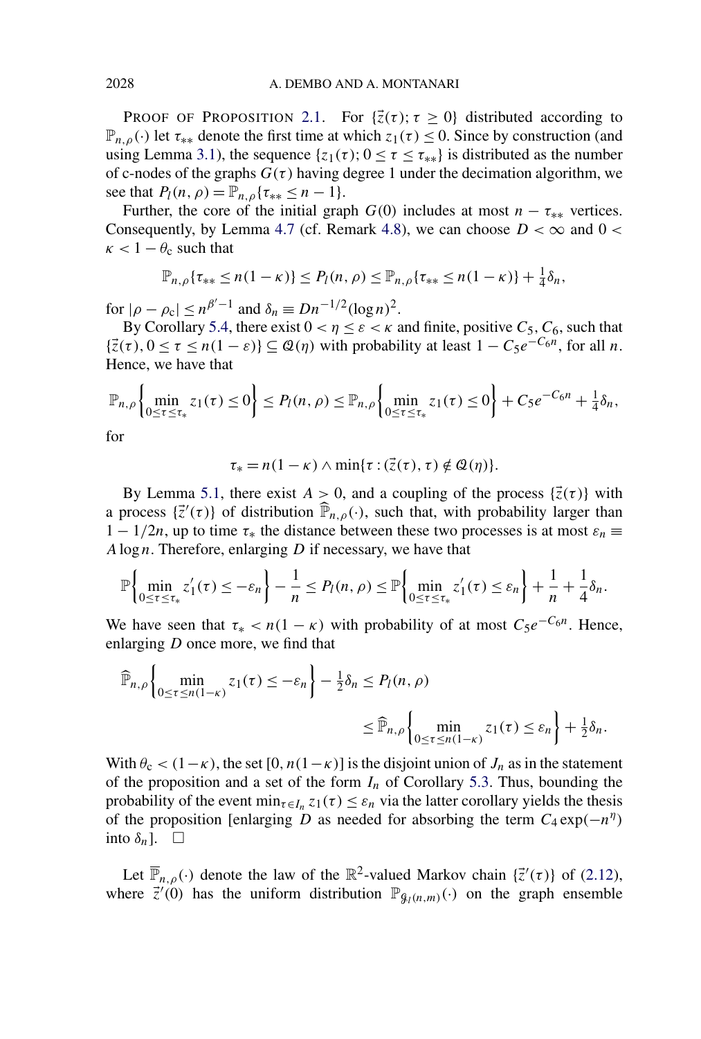**PROOF OF PROPOSITION [2.1.](#page-6-0)** For  $\{\vec{z}(\tau)\,;\,\tau \geq 0\}$  distributed according to  $\mathbb{P}_{n,\rho}(\cdot)$  let  $\tau_{**}$  denote the first time at which  $z_1(\tau) \leq 0$ . Since by construction (and using Lemma [3.1\)](#page-13-0), the sequence  $\{z_1(\tau); 0 \le \tau \le \tau_{**}\}\$ is distributed as the number of c-nodes of the graphs  $G(\tau)$  having degree 1 under the decimation algorithm, we see that  $P_l(n, \rho) = \mathbb{P}_{n,\rho} \{ \tau_{**} \leq n-1 \}.$ 

Further, the core of the initial graph  $G(0)$  includes at most  $n - \tau_{**}$  vertices. Consequently, by Lemma [4.7](#page-27-0) (cf. Remark [4.8\)](#page-28-0), we can choose  $D < \infty$  and  $0 <$  $\kappa$  < 1 –  $\theta_c$  such that

$$
\mathbb{P}_{n,\rho}\{\tau_{**}\leq n(1-\kappa)\}\leq P_l(n,\rho)\leq \mathbb{P}_{n,\rho}\{\tau_{**}\leq n(1-\kappa)\}+\tfrac{1}{4}\delta_n,
$$

for  $|\rho - \rho_c| \le n^{\beta'-1}$  and  $\delta_n \equiv Dn^{-1/2}(\log n)^2$ .

By Corollary [5.4,](#page-34-0) there exist  $0 < \eta \leq \varepsilon < \kappa$  and finite, positive  $C_5$ ,  $C_6$ , such that  $\{\vec{z}(\tau), 0 \le \tau \le n(1-\varepsilon)\}\subseteq \mathcal{Q}(\eta)$  with probability at least  $1 - C_5e^{-C_6n}$ , for all *n*. Hence, we have that

$$
\mathbb{P}_{n,\rho}\left\{\min_{0\leq\tau\leq\tau_*}z_1(\tau)\leq 0\right\}\leq P_l(n,\rho)\leq \mathbb{P}_{n,\rho}\left\{\min_{0\leq\tau\leq\tau_*}z_1(\tau)\leq 0\right\}+C_5e^{-C_6n}+\tfrac{1}{4}\delta_n,
$$

for

$$
\tau_* = n(1 - \kappa) \wedge \min{\tau : (\vec{z}(\tau), \tau) \notin \mathcal{Q}(\eta)}.
$$

By Lemma [5.1,](#page-29-0) there exist  $A > 0$ , and a coupling of the process  $\{\vec{z}(\tau)\}$  with a process  $\{\vec{z}'(\tau)\}$  of distribution  $\widehat{\mathbb{P}}_{n,\rho}(\cdot)$ , such that, with probability larger than  $1 - 1/2n$ , up to time  $\tau_*$  the distance between these two processes is at most  $\varepsilon_n \equiv$ *A*log *n*. Therefore, enlarging *D* if necessary, we have that

$$
\mathbb{P}\left\{\min_{0\leq\tau\leq\tau_*}z'_1(\tau)\leq-\varepsilon_n\right\}-\frac{1}{n}\leq P_l(n,\rho)\leq\mathbb{P}\left\{\min_{0\leq\tau\leq\tau_*}z'_1(\tau)\leq\varepsilon_n\right\}+\frac{1}{n}+\frac{1}{4}\delta_n.
$$

We have seen that  $\tau^*$  *< n*(1 − *κ*) with probability of at most  $C_5e^{-C_6n}$ . Hence, enlarging *D* once more, we find that

$$
\widehat{\mathbb{P}}_{n,\rho}\left\{\min_{0\leq\tau\leq n(1-\kappa)}z_1(\tau)\leq-\varepsilon_n\right\}-\frac{1}{2}\delta_n\leq P_l(n,\rho)\leq\widehat{\mathbb{P}}_{n,\rho}\left\{\min_{0\leq\tau\leq n(1-\kappa)}z_1(\tau)\leq\varepsilon_n\right\}+\frac{1}{2}\delta_n.
$$

With  $\theta_c < (1-\kappa)$ , the set  $[0, n(1-\kappa)]$  is the disjoint union of  $J_n$  as in the statement of the proposition and a set of the form  $I_n$  of Corollary [5.3.](#page-33-0) Thus, bounding the probability of the event  $\min_{\tau \in I_n} z_1(\tau) \leq \varepsilon_n$  via the latter corollary yields the thesis of the proposition [enlarging *D* as needed for absorbing the term  $C_4 \exp(-n^{\eta})$ into  $\delta_n$ ].  $\Box$ 

Let  $\overline{\mathbb{P}}_{n,\rho}(\cdot)$  denote the law of the  $\mathbb{R}^2$ -valued Markov chain  $\{\vec{z}'(\tau)\}\$  of [\(2.12\)](#page-7-0), where  $\vec{z}'(0)$  has the uniform distribution  $\mathbb{P}_{\mathcal{G}_l(n,m)}(\cdot)$  on the graph ensemble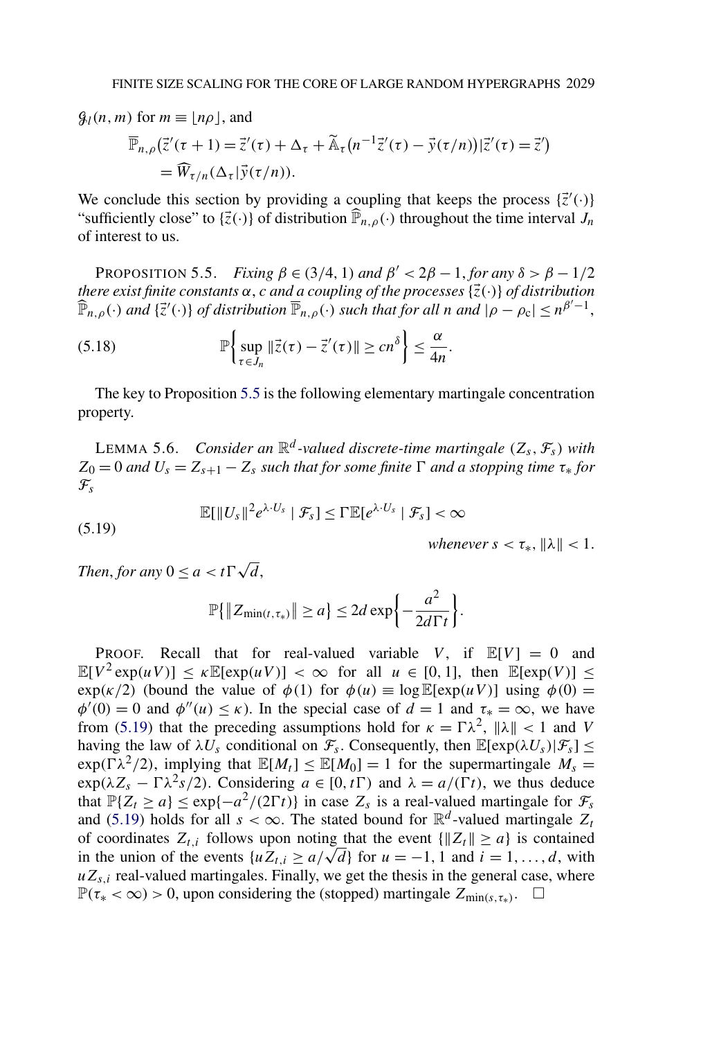<span id="page-36-0"></span> $\mathcal{G}_l(n,m)$  for  $m \equiv |n\rho|$ , and  $\overline{\mathbb{P}}_{n,\rho}(\overline{z}'(\tau+1)) = \overline{z}'(\tau) + \Delta_{\tau} + \widetilde{\mathbb{A}}_{\tau}(n^{-1}\overline{z}'(\tau) - \overline{y}(\tau/n))|\overline{z}'(\tau) = \overline{z}')$  $= \widehat{W}_{\tau/n}(\Delta_{\tau}|\vec{y}(\tau/n)).$ 

We conclude this section by providing a coupling that keeps the process  $\{\vec{z}'(\cdot)\}$ "sufficiently close" to  $\{\vec{z}(\cdot)\}$  of distribution  $\widehat{P}_{n,\rho}(\cdot)$  throughout the time interval  $J_n$ of interest to us.

PROPOSITION 5.5. *Fixing*  $\beta \in (3/4, 1)$  *and*  $\beta' < 2\beta - 1$ , *for any*  $\delta > \beta - 1/2$ *there exist finite constants*  $\alpha$ , *c and a coupling of the processes*  $\{\vec{z}(\cdot)\}$  *of distribution*  $\widehat{\mathbb{P}}_{n,\rho}(\cdot)$  *and*  $\{\vec{z}'(\cdot)\}\$  *of distribution*  $\overline{\mathbb{P}}_{n,\rho}(\cdot)$  *such that for all n and*  $|\rho - \rho_c| \leq n^{\beta'-1}$ ,

(5.18) 
$$
\mathbb{P}\left\{\sup_{\tau\in J_n} \|\vec{z}(\tau)-\vec{z}'(\tau)\| \ge cn^{\delta}\right\} \le \frac{\alpha}{4n}.
$$

The key to Proposition 5.5 is the following elementary martingale concentration property.

**LEMMA 5.6.** *Consider an*  $\mathbb{R}^d$ -valued discrete-time martingale  $(Z_s, \mathcal{F}_s)$  with  $Z_0 = 0$  *and*  $U_s = Z_{s+1} - Z_s$  *such that for some finite*  $\Gamma$  *and a stopping time*  $\tau_*$  *for*  $\mathcal{F}_s$ 

(5.19) 
$$
\mathbb{E}[\|U_s\|^2 e^{\lambda \cdot U_s} \mid \mathcal{F}_s] \le \Gamma \mathbb{E}[e^{\lambda \cdot U_s} \mid \mathcal{F}_s] < \infty
$$

*whenever*  $s < \tau_*$ *,*  $\|\lambda\| < 1$ *.* 

*Then, for any*  $0 \le a < t \Gamma \sqrt{d}$ ,

$$
\mathbb{P}\{\|Z_{\min(t,\tau_*)}\| \geq a\} \leq 2d \exp\left\{-\frac{a^2}{2d\Gamma t}\right\}.
$$

PROOF. Recall that for real-valued variable *V*, if  $\mathbb{E}[V] = 0$  and  $\mathbb{E}[V^2 \exp(uV)] \le \kappa \mathbb{E}[\exp(uV)] < \infty$  for all  $u \in [0,1]$ , then  $\mathbb{E}[\exp(V)] \le$ exp(k/2) (bound the value of  $\phi(1)$  for  $\phi(u) \equiv \log \mathbb{E}[\exp(uV)]$  using  $\phi(0) =$  $\phi'(0) = 0$  and  $\phi''(u) \leq \kappa$ ). In the special case of  $d = 1$  and  $\tau^* = \infty$ , we have from (5.19) that the preceding assumptions hold for  $\kappa = \Gamma \lambda^2$ ,  $\|\lambda\| < 1$  and *V* having the law of  $\lambda U_s$  conditional on  $\mathcal{F}_s$ . Consequently, then  $\mathbb{E}[\exp(\lambda U_s)|\mathcal{F}_s] \leq$  $\exp(\Gamma \lambda^2/2)$ , implying that  $\mathbb{E}[M_t] \leq \mathbb{E}[M_0] = 1$  for the supermartingale  $M_s =$  $\exp(\lambda Z_s - \Gamma \lambda^2 s/2)$ . Considering  $a \in [0, t]$  and  $\lambda = a/(\Gamma t)$ , we thus deduce that  $\mathbb{P}{Z_t \ge a} \le \exp{-a^2/(2\Gamma t)}$  in case  $Z_s$  is a real-valued martingale for  $\mathcal{F}_s$ and (5.19) holds for all  $s < \infty$ . The stated bound for  $\mathbb{R}^d$ -valued martingale  $Z_t$ of coordinates  $Z_{t,i}$  follows upon noting that the event  $\{|Z_t\| \ge a\}$  is contained in the union of the events  $\{uZ_{t,i} \ge a/\sqrt{d}\}\$  for  $u = -1, 1$  and  $i = 1, \ldots, d$ , with  $uZ_{s,i}$  real-valued martingales. Finally, we get the thesis in the general case, where  $\mathbb{P}(\tau_* < \infty) > 0$ , upon considering the (stopped) martingale  $Z_{\text{min}(s,\tau_*)}$ . □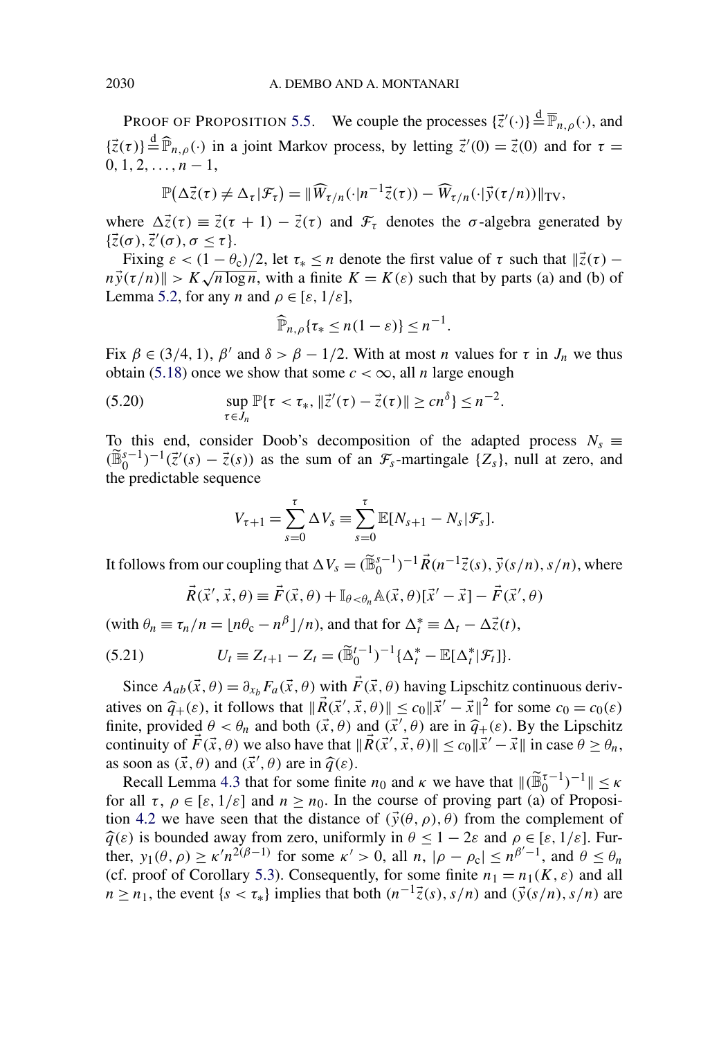<span id="page-37-0"></span>PROOF OF PROPOSITION [5.5.](#page-36-0) We couple the processes  $\{\vec{z}'(\cdot)\} \stackrel{d}{=} \overline{\mathbb{P}}_{n,\rho}(\cdot)$ , and  $\{\vec{z}(\tau)\}\stackrel{\text{d}}{=} \widehat{\mathbb{P}}_{n,\rho}(\cdot)$  in a joint Markov process, by letting  $\vec{z}'(0) = \vec{z}(0)$  and for  $\tau =$  $0, 1, 2, \ldots, n-1,$ 

$$
\mathbb{P}(\Delta \vec{z}(\tau) \neq \Delta_{\tau}|\mathcal{F}_{\tau}) = \|\widehat{W}_{\tau/n}(\cdot|n^{-1}\vec{z}(\tau)) - \widehat{W}_{\tau/n}(\cdot|\vec{y}(\tau/n))\|_{TV},
$$

where  $\Delta \vec{z}(\tau) = \vec{z}(\tau + 1) - \vec{z}(\tau)$  and  $\mathcal{F}_{\tau}$  denotes the  $\sigma$ -algebra generated by  $\{\vec{z}(\sigma), \vec{z}'(\sigma), \sigma \leq \tau\}.$ 

Fixing  $\varepsilon < (1 - \theta_c)/2$ , let  $\tau_* \leq n$  denote the first value of  $\tau$  such that  $\|\vec{z}(\tau) - \vec{z}\|$  $n\vec{y}(\tau/n)$   $\geq K\sqrt{n\log n}$ , with a finite  $K = K(\varepsilon)$  such that by parts (a) and (b) of Lemma [5.2,](#page-31-0) for any *n* and  $\rho \in [\varepsilon, 1/\varepsilon]$ ,

$$
\widehat{\mathbb{P}}_{n,\rho}\{\tau_* \leq n(1-\varepsilon)\} \leq n^{-1}.
$$

Fix  $\beta \in (3/4, 1)$ ,  $\beta'$  and  $\delta > \beta - 1/2$ . With at most *n* values for  $\tau$  in  $J_n$  we thus obtain [\(5.18\)](#page-36-0) once we show that some  $c < \infty$ , all *n* large enough

(5.20) 
$$
\sup_{\tau \in J_n} \mathbb{P}\{\tau < \tau_*, \|\vec{z}'(\tau) - \vec{z}(\tau)\| \ge c n^{\delta}\} \le n^{-2}.
$$

To this end, consider Doob's decomposition of the adapted process  $N_s \equiv$  $(\widetilde{\mathbb{B}}_0^{s-1})^{-1}(\vec{z}'(s) - \vec{z}(s))$  as the sum of an  $\mathcal{F}_s$ -martingale {*Z<sub>s</sub>*}, null at zero, and the predictable sequence

$$
V_{\tau+1} = \sum_{s=0}^{\tau} \Delta V_s \equiv \sum_{s=0}^{\tau} \mathbb{E}[N_{s+1} - N_s | \mathcal{F}_s].
$$

It follows from our coupling that  $\Delta V_s = (\widetilde{\mathbb{B}}_0^{s-1})^{-1} \vec{R}(n^{-1}\vec{z}(s), \vec{y}(s/n), s/n)$ , where

$$
\vec{R}(\vec{x}', \vec{x}, \theta) \equiv \vec{F}(\vec{x}, \theta) + \mathbb{I}_{\theta < \theta_n} \mathbb{A}(\vec{x}, \theta) [\vec{x}' - \vec{x}] - \vec{F}(\vec{x}', \theta)
$$

 $(\text{with } \theta_n \equiv \tau_n/n = \lfloor n\theta_c - n^{\beta} \rfloor/n)$ , and that for  $\Delta_t^* \equiv \Delta_t - \Delta_z^*(t)$ ,

(5.21) 
$$
U_t \equiv Z_{t+1} - Z_t = (\widetilde{\mathbb{B}}_0^{t-1})^{-1} {\{\Delta_t^* - \mathbb{E}[\Delta_t^* | \mathcal{F}_t]\}}.
$$

Since  $A_{ab}(\vec{x}, \theta) = \partial_{x_b} F_a(\vec{x}, \theta)$  with  $\vec{F}(\vec{x}, \theta)$  having Lipschitz continuous derivatives on  $\hat{q}_+(\varepsilon)$ , it follows that  $\|\vec{R}(\vec{x}', \vec{x}, \theta)\| \le c_0 \|\vec{x}' - \vec{x}\|^2$  for some  $c_0 = c_0(\varepsilon)$ finite, provided  $\theta < \theta_n$  and both  $(\vec{x}, \theta)$  and  $(\vec{x}', \theta)$  are in  $\hat{q}_+(\varepsilon)$ . By the Lipschitz continuity of  $\vec{E}(\vec{x}, \theta)$  we also have that  $\|\vec{B}(\vec{x}', \vec{z}, \theta)\| \le \varepsilon \|\vec{x}' - \vec{x}\|$  in ease  $\theta > \theta$ continuity of  $\vec{F}(\vec{x}, \theta)$  we also have that  $\|\vec{R}(\vec{x}', \vec{x}, \theta)\| \le c_0 \|\vec{x}' - \vec{x}\|$  in case  $\theta \ge \theta_n$ , as soon as  $(\vec{x}, \theta)$  and  $(\vec{x}', \theta)$  are in  $\hat{q}(\varepsilon)$ .<br>**Possil Lamma 4.3** that for some finitude

Recall Lemma [4.3](#page-19-0) that for some finite  $n_0$  and  $\kappa$  we have that  $\|(\widetilde{\mathbb{B}}_0^{\tau-1})^{-1}\| \leq \kappa$ for all  $\tau$ ,  $\rho \in [\varepsilon, 1/\varepsilon]$  and  $n \ge n_0$ . In the course of proving part (a) of Proposi-tion [4.2](#page-16-0) we have seen that the distance of  $(\vec{y}(\theta, \rho), \theta)$  from the complement of  $\hat{q}(\varepsilon)$  is bounded away from zero, uniformly in  $\theta \leq 1 - 2\varepsilon$  and  $\rho \in [\varepsilon, 1/\varepsilon]$ . Further,  $y_1(\theta, \rho) \ge \kappa' n^{2(\beta-1)}$  for some  $\kappa' > 0$ , all  $n, |\rho - \rho_c| \le n^{\beta'-1}$ , and  $\theta \le \theta_n$ (cf. proof of Corollary [5.3\)](#page-33-0). Consequently, for some finite  $n_1 = n_1(K, \varepsilon)$  and all  $n \ge n_1$ , the event  $\{s < \tau_*\}$  implies that both  $(n^{-1}\vec{z}(s), s/n)$  and  $(\vec{y}(s/n), s/n)$  are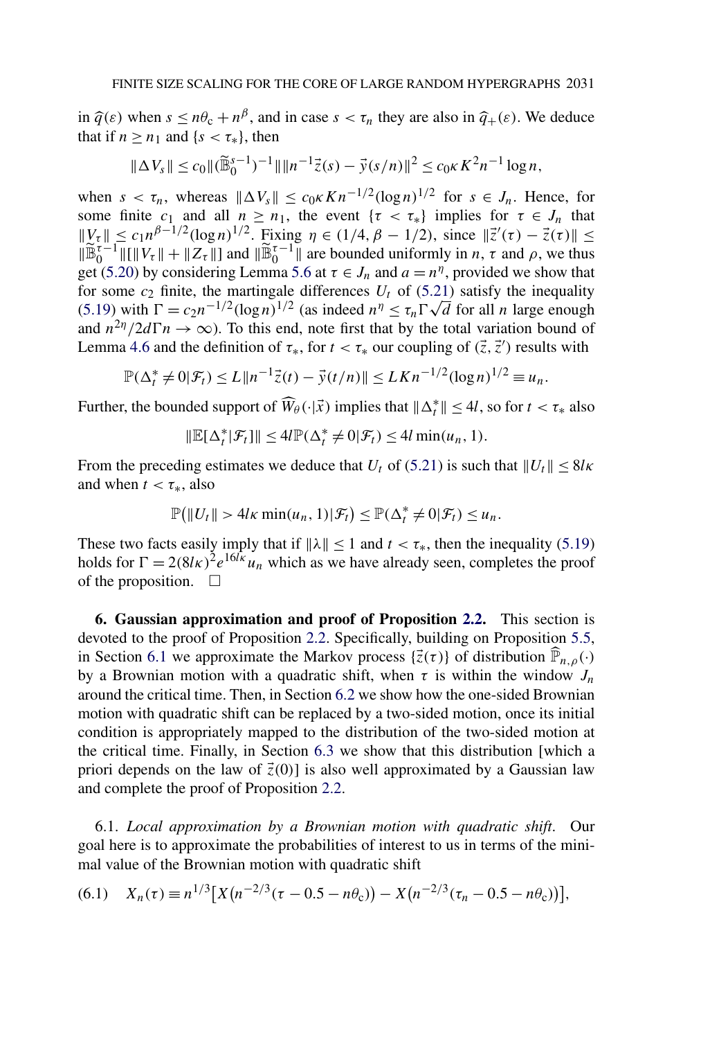<span id="page-38-0"></span>in  $\hat{q}(\varepsilon)$  when  $s \le n\theta_c + n^{\beta}$ , and in case  $s < \tau_n$  they are also in  $\hat{q}_+(\varepsilon)$ . We deduce that if  $n \geq n_1$  and  $\{s < \tau_*\}$ , then

$$
\|\Delta V_s\| \leq c_0 \|(\widetilde{\mathbb{B}}_0^{s-1})^{-1}\| \|n^{-1}\vec{z}(s) - \vec{y}(s/n)\|^2 \leq c_0 \kappa K^2 n^{-1} \log n,
$$

when  $s < \tau_n$ , whereas  $\|\Delta V_s\| \leq c_0 \kappa K n^{-1/2} (\log n)^{1/2}$  for  $s \in J_n$ . Hence, for some finite  $c_1$  and all  $n \geq n_1$ , the event  $\{\tau < \tau_*\}$  implies for  $\tau \in J_n$  that *W*<sub>τ</sub>  $\|V_{\tau}\|$  ≤ *c*<sub>1</sub> $n^{\beta-1/2}$ (log *n*)<sup>1/2</sup>. Fixing *η* ∈ (1/4*, β* − 1/2), since  $\|\vec{z}'(\tau) - \vec{z}(\tau)\|$  ≤  $\|\widetilde{\mathbb{B}}_0^{\tau-1}\| \|\mathbb{I}\| V_{\tau}\| + \|Z_{\tau}\|$  and  $\|\widetilde{\mathbb{B}}_0^{\tau-1}\|$  are bounded uniformly in *n*,  $\tau$  and  $\rho$ , we thus get [\(5.20\)](#page-37-0) by considering Lemma [5.6](#page-36-0) at  $\tau \in J_n$  and  $a = n^{\eta}$ , provided we show that for some  $c_2$  finite, the martingale differences  $U_t$  of [\(5.21\)](#page-37-0) satisfy the inequality for some  $c_2$  finite, the martingale differences  $U_t$  of (5.21) satisfy the inequality [\(5.19\)](#page-36-0) with  $\Gamma = c_2 n^{-1/2} (\log n)^{1/2}$  (as indeed  $n^{\eta} \le \tau_n \Gamma \sqrt{d}$  for all *n* large enough and  $n^{2\eta}/2d\Gamma n \to \infty$ ). To this end, note first that by the total variation bound of Lemma [4.6](#page-27-0) and the definition of  $\tau_*$ , for  $t < \tau_*$  our coupling of  $(\vec{z}, \vec{z}')$  results with

$$
\mathbb{P}(\Delta_t^* \neq 0 | \mathcal{F}_t) \leq L \| n^{-1} \vec{z}(t) - \vec{y}(t/n) \| \leq L K n^{-1/2} (\log n)^{1/2} \equiv u_n.
$$

Further, the bounded support of  $\widehat{W}_{\theta}(\cdot|\vec{x})$  implies that  $\|\Delta_t^*\| \leq 4l$ , so for  $t < \tau_*$  also

$$
\|\mathbb{E}[\Delta_t^*|\mathcal{F}_t]\| \le 4l \mathbb{P}(\Delta_t^* \neq 0|\mathcal{F}_t) \le 4l \min(u_n, 1).
$$

From the preceding estimates we deduce that  $U_t$  of [\(5.21\)](#page-37-0) is such that  $||U_t|| \leq 8*l*\kappa$ and when  $t < \tau_*$ , also

$$
\mathbb{P}\big(\|U_t\| > 4l\kappa \min(u_n, 1) | \mathcal{F}_t\big) \le \mathbb{P}(\Delta_t^* \neq 0 | \mathcal{F}_t) \le u_n.
$$

These two facts easily imply that if  $\|\lambda\| \le 1$  and  $t < \tau_*$ , then the inequality [\(5.19\)](#page-36-0) holds for  $\Gamma = 2(8l\kappa)^2 e^{16l\kappa}u_n$  which as we have already seen, completes the proof of the proposition.  $\Box$ 

**6. Gaussian approximation and proof of Proposition [2.2.](#page-7-0)** This section is devoted to the proof of Proposition [2.2.](#page-7-0) Specifically, building on Proposition [5.5,](#page-36-0) in Section 6.1 we approximate the Markov process  $\{\vec{z}(\tau)\}\$  of distribution  $\widehat{\mathbb{P}}_{n,\rho}(\cdot)$ by a Brownian motion with a quadratic shift, when  $\tau$  is within the window  $J_n$ around the critical time. Then, in Section [6.2](#page-41-0) we show how the one-sided Brownian motion with quadratic shift can be replaced by a two-sided motion, once its initial condition is appropriately mapped to the distribution of the two-sided motion at the critical time. Finally, in Section [6.3](#page-44-0) we show that this distribution [which a priori depends on the law of  $\vec{z}(0)$ ] is also well approximated by a Gaussian law and complete the proof of Proposition [2.2.](#page-7-0)

6.1. *Local approximation by a Brownian motion with quadratic shift*. Our goal here is to approximate the probabilities of interest to us in terms of the minimal value of the Brownian motion with quadratic shift

$$
(6.1) \tXn(\tau) \equiv n^{1/3} \big[ X(n^{-2/3}(\tau - 0.5 - n\theta_{c})) - X(n^{-2/3}(\tau_{n} - 0.5 - n\theta_{c})) \big],
$$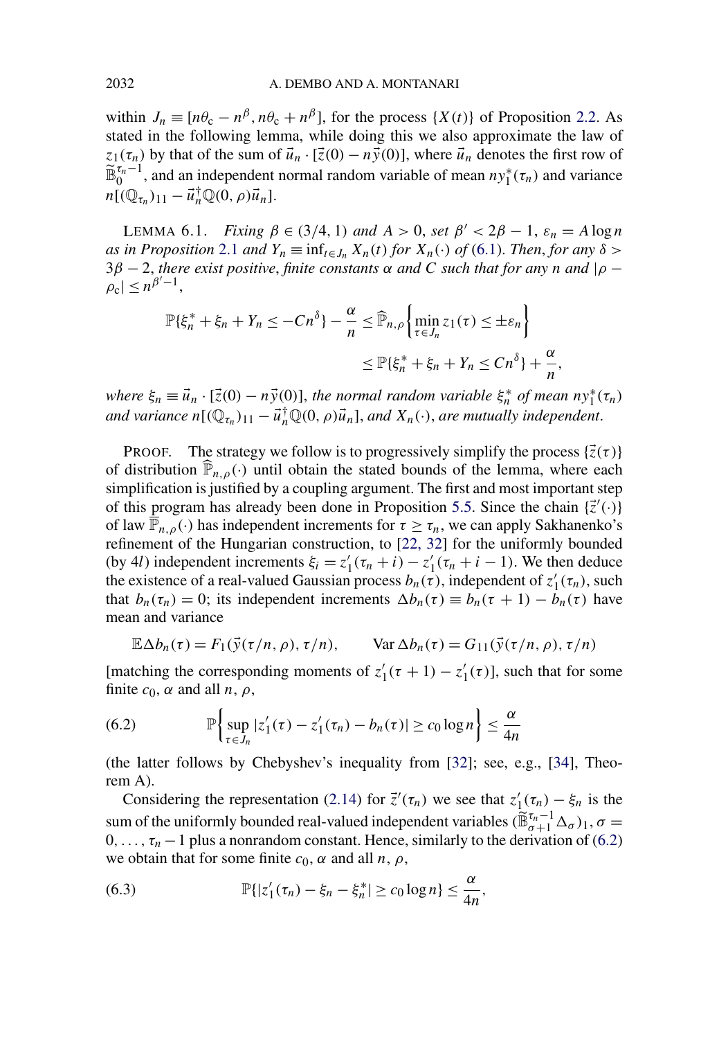<span id="page-39-0"></span>within  $J_n \equiv [n\theta_c - n^{\beta}, n\theta_c + n^{\beta}]$ , for the process  $\{X(t)\}\$  of Proposition [2.2.](#page-7-0) As stated in the following lemma, while doing this we also approximate the law of *z*<sub>1</sub>( $\tau_n$ ) by that of the sum of  $\vec{u}_n \cdot [\vec{z}(0) - n\vec{y}(0)]$ , where  $\vec{u}_n$  denotes the first row of  $\widetilde{\mathbb{B}}_0^{\tau_n-1}$ , and an independent normal random variable of mean  $ny_1^*(\tau_n)$  and variance  $n[(\mathbb{Q}_{\tau_n})_{11} - \vec{u}_n^{\dagger} \mathbb{Q}(0, \rho) \vec{u}_n].$ 

LEMMA 6.1. *Fixing*  $\beta \in (3/4, 1)$  *and*  $A > 0$ , *set*  $\beta' < 2\beta - 1$ ,  $\varepsilon_n = A \log n$  $a_n$  *as in Proposition* [2.1](#page-6-0) *and*  $Y_n \equiv \inf_{t \in J_n} X_n(t)$  *for*  $X_n(\cdot)$  *of* [\(6.1\)](#page-38-0). *Then, for any*  $\delta$ 3*β* − 2, *there exist positive*, *finite constants α and C such that for any n and* |*ρ* −  $\rho_c$ |  $\leq n^{\beta'-1}$ ,

$$
\mathbb{P}\{\xi_n^* + \xi_n + Y_n \le -Cn^{\delta}\} - \frac{\alpha}{n} \le \widehat{\mathbb{P}}_{n,\rho} \left\{ \min_{\tau \in J_n} z_1(\tau) \le \pm \varepsilon_n \right\}
$$

$$
\le \mathbb{P}\{\xi_n^* + \xi_n + Y_n \le Cn^{\delta}\} + \frac{\alpha}{n}
$$

*where*  $\xi_n \equiv \vec{u}_n \cdot [\vec{z}(0) - n\vec{y}(0)]$ , *the normal random variable*  $\xi_n^*$  *of mean*  $ny_1^*(\tau_n)$ *and variance*  $n[(\mathbb{Q}_{\tau_n})_{11} - \vec{u}_n^{\dagger} \mathbb{Q}(0, \rho) \vec{u}_n]$ , *and*  $X_n(\cdot)$ *, are mutually independent.* 

*,*

PROOF. The strategy we follow is to progressively simplify the process  $\{\vec{z}(\tau)\}$ of distribution  $\widehat{P}_{n,\rho}(\cdot)$  until obtain the stated bounds of the lemma, where each simplification is justified by a coupling argument. The first and most important step of this program has already been done in Proposition [5.5.](#page-36-0) Since the chain  $\{\vec{z}'(\cdot)\}$ of law  $\overline{\mathbb{P}}_{n,\rho}(\cdot)$  has independent increments for  $\tau \geq \tau_n$ , we can apply Sakhanenko's refinement of the Hungarian construction, to [\[22, 32\]](#page-46-0) for the uniformly bounded (by 4*l*) independent increments  $\xi_i = z'_1(\tau_n + i) - z'_1(\tau_n + i - 1)$ . We then deduce the existence of a real-valued Gaussian process  $b_n(\tau)$ , independent of  $z'_1(\tau_n)$ , such that  $b_n(\tau_n) = 0$ ; its independent increments  $\Delta b_n(\tau) \equiv b_n(\tau + 1) - b_n(\tau)$  have mean and variance

$$
\mathbb{E}\Delta b_n(\tau) = F_1(\vec{y}(\tau/n, \rho), \tau/n), \qquad \text{Var}\,\Delta b_n(\tau) = G_{11}(\vec{y}(\tau/n, \rho), \tau/n)
$$

[matching the corresponding moments of  $z'_1(\tau + 1) - z'_1(\tau)$ ], such that for some finite  $c_0$ ,  $\alpha$  and all  $n, \rho$ ,

(6.2) 
$$
\mathbb{P}\left\{\sup_{\tau \in J_n} |z'_1(\tau) - z'_1(\tau_n) - b_n(\tau)| \ge c_0 \log n\right\} \le \frac{\alpha}{4n}
$$

(the latter follows by Chebyshev's inequality from [\[32\]](#page-47-0); see, e.g., [\[34\]](#page-47-0), Theorem A).

Considering the representation [\(2.14\)](#page-8-0) for  $\vec{z}'(\tau_n)$  we see that  $z'_1(\tau_n) - \xi_n$  is the sum of the uniformly bounded real-valued independent variables  $(\widetilde{\mathbb{B}}_{\sigma+1}^{\tau_n-1} \Delta_{\sigma})_1$ ,  $\sigma =$  $0, \ldots, \tau_n - 1$  plus a nonrandom constant. Hence, similarly to the derivation of (6.2) we obtain that for some finite  $c_0$ ,  $\alpha$  and all  $n$ ,  $\rho$ ,

(6.3) 
$$
\mathbb{P}\{|z'_{1}(\tau_{n})-\xi_{n}-\xi_{n}^{*}| \geq c_{0}\log n\} \leq \frac{\alpha}{4n},
$$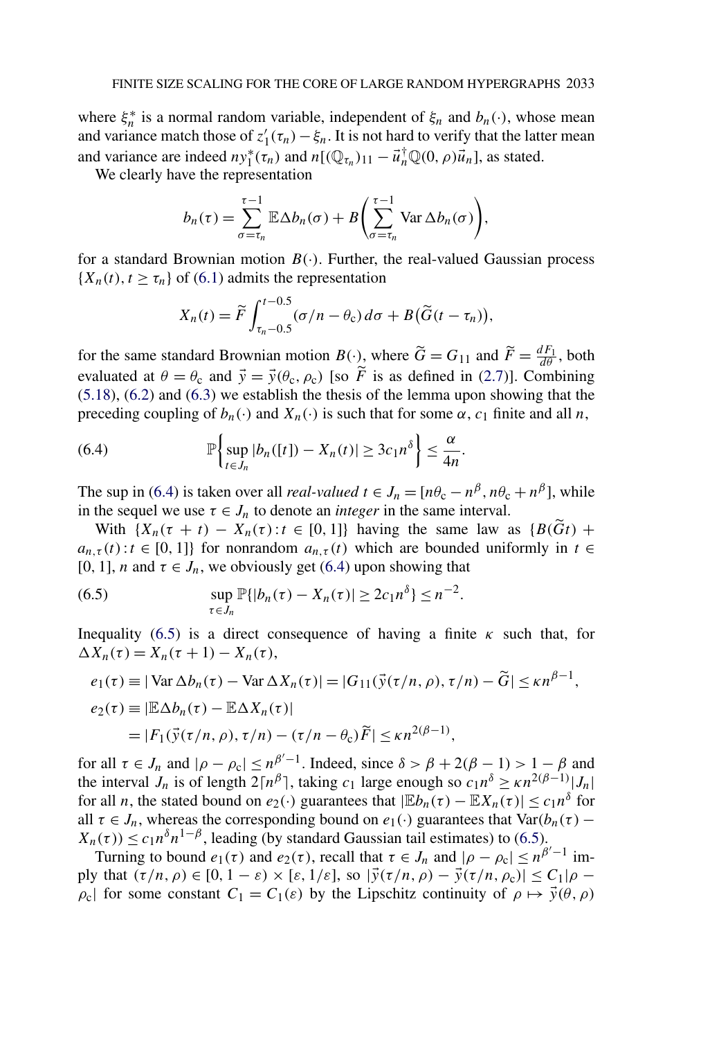where  $\xi_n^*$  is a normal random variable, independent of  $\xi_n$  and  $b_n(\cdot)$ , whose mean and variance match those of  $z'_1(\tau_n) - \xi_n$ . It is not hard to verify that the latter mean and variance are indeed  $ny_1^*(\tau_n)$  and  $n[(\mathbb{Q}_{\tau_n})_{11} - \vec{u}_n^{\dagger} \mathbb{Q}(0, \rho) \vec{u}_n]$ , as stated.

We clearly have the representation

$$
b_n(\tau) = \sum_{\sigma=\tau_n}^{\tau-1} \mathbb{E} \Delta b_n(\sigma) + B \bigg( \sum_{\sigma=\tau_n}^{\tau-1} \text{Var } \Delta b_n(\sigma) \bigg),
$$

for a standard Brownian motion  $B(\cdot)$ . Further, the real-valued Gaussian process  ${X_n(t), t \geq \tau_n}$  of [\(6.1\)](#page-38-0) admits the representation

$$
X_n(t) = \widetilde{F} \int_{\tau_n - 0.5}^{t - 0.5} (\sigma/n - \theta_c) d\sigma + B(\widetilde{G}(t - \tau_n)),
$$

for the same standard Brownian motion  $B(\cdot)$ , where  $\tilde{G} = G_{11}$  and  $\tilde{F} = \frac{dF_1}{d\theta}$ , both evaluated at  $\theta = \theta_c$  and  $\vec{y} = \vec{y}(\theta_c, \rho_c)$  [so *F* is as defined in [\(2.7\)](#page-6-0)]. Combining [\(5.18\)](#page-36-0), [\(6.2\)](#page-39-0) and [\(6.3\)](#page-39-0) we establish the thesis of the lemma upon showing that the preceding coupling of  $b_n(\cdot)$  and  $X_n(\cdot)$  is such that for some  $\alpha$ ,  $c_1$  finite and all *n*,

(6.4) 
$$
\mathbb{P}\left\{\sup_{t\in J_n}|b_n([t])-X_n(t)|\geq 3c_1n^{\delta}\right\}\leq \frac{\alpha}{4n}.
$$

The sup in (6.4) is taken over all *real-valued*  $t \in J_n = [n\theta_c - n^{\beta}, n\theta_c + n^{\beta}]$ , while in the sequel we use  $\tau \in J_n$  to denote an *integer* in the same interval.

With  $\{X_n(\tau + t) - X_n(\tau) : t \in [0, 1]\}$  having the same law as  $\{B(\tilde{G}t) +$  $a_{n,\tau}(t)$ :  $t \in [0,1]$ } for nonrandom  $a_{n,\tau}(t)$  which are bounded uniformly in  $t \in$ [0, 1], *n* and  $\tau \in J_n$ , we obviously get (6.4) upon showing that

(6.5) 
$$
\sup_{\tau \in J_n} \mathbb{P}\{|b_n(\tau) - X_n(\tau)| \geq 2c_1 n^{\delta}\} \leq n^{-2}.
$$

Inequality (6.5) is a direct consequence of having a finite  $\kappa$  such that, for  $\Delta X_n(\tau) = X_n(\tau + 1) - X_n(\tau),$ 

$$
e_1(\tau) \equiv |\text{Var }\Delta b_n(\tau) - \text{Var }\Delta X_n(\tau)| = |G_{11}(\vec{y}(\tau/n, \rho), \tau/n) - \tilde{G}| \le \kappa n^{\beta - 1},
$$
  
\n
$$
e_2(\tau) \equiv |\mathbb{E}\Delta b_n(\tau) - \mathbb{E}\Delta X_n(\tau)|
$$
  
\n
$$
= |F_1(\vec{y}(\tau/n, \rho), \tau/n) - (\tau/n - \theta_c)\tilde{F}| \le \kappa n^{2(\beta - 1)},
$$

for all  $\tau \in J_n$  and  $|\rho - \rho_c| \leq n^{\beta'-1}$ . Indeed, since  $\delta > \beta + 2(\beta - 1) > 1 - \beta$  and the interval *J<sub>n</sub>* is of length  $2\lceil n^{\beta} \rceil$ , taking  $c_1$  large enough so  $c_1 n^{\delta} \ge \kappa n^{2(\beta-1)} |J_n|$ for all *n*, the stated bound on  $e_2(\cdot)$  guarantees that  $|Eb_n(\tau) - EX_n(\tau)| \leq c_1 n^{\delta}$  for all  $\tau \in J_n$ , whereas the corresponding bound on  $e_1(\cdot)$  guarantees that Var $(b_n(\tau) X_n(\tau) \leq c_1 n^{\delta} n^{1-\beta}$ , leading (by standard Gaussian tail estimates) to (6.5).

Turning to bound  $e_1(\tau)$  and  $e_2(\tau)$ , recall that  $\tau \in J_n$  and  $|\rho - \rho_c| \leq n^{\beta'-1}$  imply that  $(\tau/n, \rho) \in [0, 1-\varepsilon) \times [\varepsilon, 1/\varepsilon]$ , so  $|\vec{y}(\tau/n, \rho) - \vec{y}(\tau/n, \rho_c)| \le C_1 |\rho - \rho|$ *ρ*<sub>c</sub> for some constant  $C_1 = C_1(\varepsilon)$  by the Lipschitz continuity of  $\rho \mapsto \vec{y}(\theta, \rho)$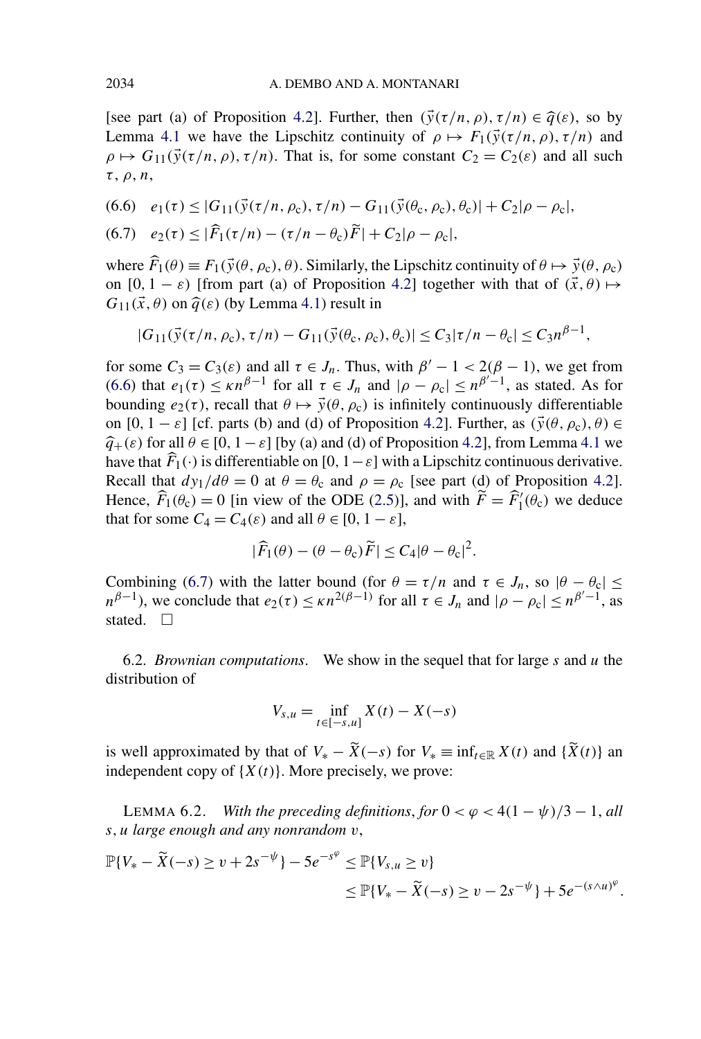<span id="page-41-0"></span>[see part (a) of Proposition [4.2\]](#page-16-0). Further, then  $(\vec{y}(\tau/n, \rho), \tau/n) \in \hat{q}(\varepsilon)$ , so by Lemma [4.1](#page-15-0) we have the Lipschitz continuity of  $\rho \mapsto F_1(\vec{y}(\tau/n, \rho), \tau/n)$  and  $\rho \mapsto G_{11}(\vec{y}(\tau/n, \rho), \tau/n)$ . That is, for some constant  $C_2 = C_2(\epsilon)$  and all such *τ* , *ρ*, *n*,

$$
(6.6) \quad e_1(\tau) \leq |G_{11}(\vec{y}(\tau/n, \rho_c), \tau/n) - G_{11}(\vec{y}(\theta_c, \rho_c), \theta_c)| + C_2|\rho - \rho_c|,
$$

(6.7) 
$$
e_2(\tau) \le |\widehat{F}_1(\tau/n) - (\tau/n - \theta_c)\widetilde{F}| + C_2|\rho - \rho_c|,
$$

where  $\hat{F}_1(\theta) \equiv F_1(\vec{y}(\theta, \rho_c), \theta)$ . Similarly, the Lipschitz continuity of  $\theta \mapsto \vec{y}(\theta, \rho_c)$ on  $[0, 1 - \varepsilon)$  [from part (a) of Proposition [4.2\]](#page-16-0) together with that of  $(\vec{x}, \theta) \mapsto$  $G_{11}(\vec{x},\theta)$  on  $\hat{q}(\varepsilon)$  (by Lemma [4.1\)](#page-15-0) result in

$$
|G_{11}(\vec{y}(\tau/n, \rho_c), \tau/n) - G_{11}(\vec{y}(\theta_c, \rho_c), \theta_c)| \le C_3 |\tau/n - \theta_c| \le C_3 n^{\beta - 1},
$$

for some  $C_3 = C_3(\varepsilon)$  and all  $\tau \in J_n$ . Thus, with  $\beta' - 1 < 2(\beta - 1)$ , we get from (6.6) that  $e_1(\tau) \le \kappa n^{\beta-1}$  for all  $\tau \in J_n$  and  $|\rho - \rho_c| \le n^{\beta-1}$ , as stated. As for bounding  $e_2(\tau)$ , recall that  $\theta \mapsto \vec{y}(\theta, \rho_c)$  is infinitely continuously differentiable on  $[0, 1 - \varepsilon]$  [cf. parts (b) and (d) of Proposition [4.2\]](#page-16-0). Further, as  $(\vec{y}(\theta, \rho_c), \theta) \in$  $\hat{q}_{+}(\varepsilon)$  for all  $\theta \in [0, 1-\varepsilon]$  [by (a) and (d) of Proposition [4.2\]](#page-16-0), from Lemma [4.1](#page-15-0) we have that  $\widehat{F}_1(\cdot)$  is differentiable on  $[0, 1-\varepsilon]$  with a Lipschitz continuous derivative. Recall that  $dy_1/d\theta = 0$  at  $\theta = \theta_c$  and  $\rho = \rho_c$  [see part (d) of Proposition [4.2\]](#page-16-0). Hence,  $\widehat{F}_1(\theta_c) = 0$  [in view of the ODE [\(2.5\)](#page-5-0)], and with  $\widetilde{F} = \widehat{F}_1'(\theta_c)$  we deduce that for some  $C_4 = C_4(\varepsilon)$  and all  $\theta \in [0, 1 - \varepsilon]$ ,

$$
|\widehat{F}_1(\theta) - (\theta - \theta_{\rm c})\widetilde{F}| \leq C_4 |\theta - \theta_{\rm c}|^2.
$$

Combining (6.7) with the latter bound (for  $\theta = \tau/n$  and  $\tau \in J_n$ , so  $|\theta - \theta_c| \le$  $n^{\beta-1}$ ), we conclude that  $e_2(\tau) \leq \kappa n^{2(\beta-1)}$  for all  $\tau \in J_n$  and  $|\rho - \rho_c| \leq n^{\beta'-1}$ , as stated.  $\Box$ 

6.2. *Brownian computations*. We show in the sequel that for large *s* and *u* the distribution of

$$
V_{s,u} = \inf_{t \in [-s,u]} X(t) - X(-s)
$$

is well approximated by that of  $V_* - \overline{X}(-s)$  for  $V_* \equiv \inf_{t \in \mathbb{R}} X(t)$  and  $\{\overline{X}(t)\}\$ an independent copy of  $\{X(t)\}\)$ . More precisely, we prove:

LEMMA 6.2. *With the preceding definitions, for*  $0 < \varphi < 4(1 - \psi)/3 - 1$ , *all s,u large enough and any nonrandom v*,

$$
\mathbb{P}{V_* - \tilde{X}(-s) \ge v + 2s^{-\psi}} - 5e^{-s^{\varphi}} \le \mathbb{P}{V_{s,u} \ge v}
$$
  
\$\le \mathbb{P}{V\_\* - \tilde{X}(-s) \ge v - 2s^{-\psi}} + 5e^{-(s\wedge u)^{\varphi}}\$.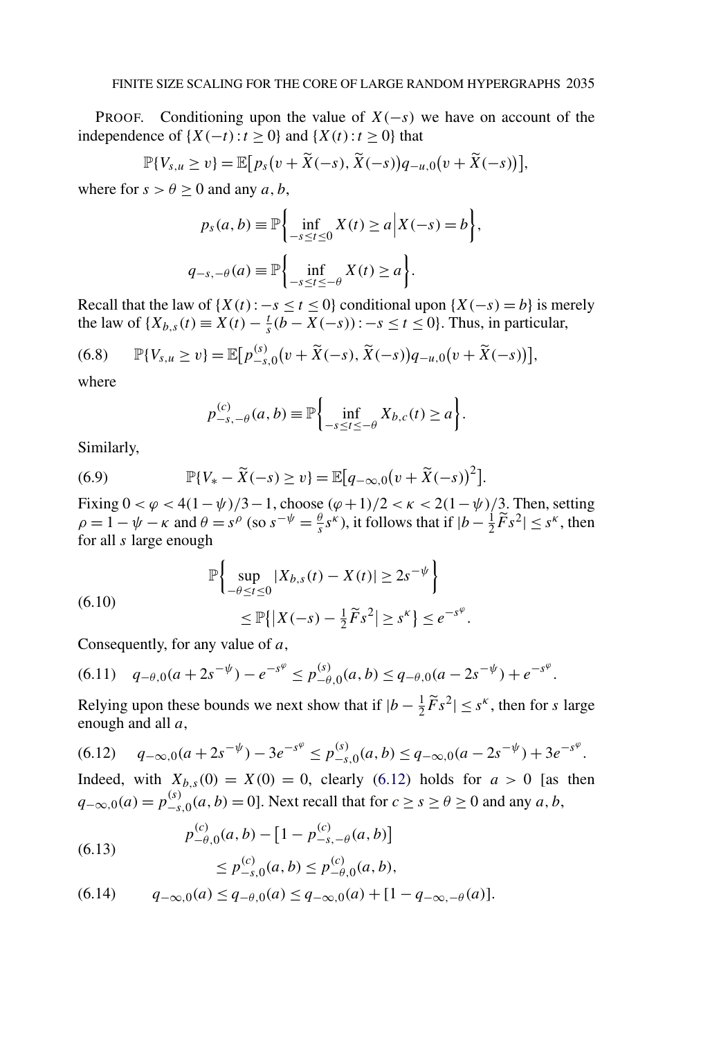<span id="page-42-0"></span>PROOF. Conditioning upon the value of *X(*−*s)* we have on account of the independence of {*X(*−*t)*:*t* ≥ 0} and {*X(t)*:*t* ≥ 0} that

$$
\mathbb{P}\{V_{s,u}\geq v\}=\mathbb{E}\big[p_s(v+\widetilde{X}(-s),\widetilde{X}(-s))q_{-u,0}(v+\widetilde{X}(-s))\big],
$$

where for  $s > \theta \ge 0$  and any *a*, *b*,

$$
p_s(a, b) \equiv \mathbb{P}\left\{\inf_{-s \le t \le 0} X(t) \ge a \, \big| \, X(-s) = b\right\},\newline q_{-s, -\theta}(a) \equiv \mathbb{P}\left\{\inf_{-s \le t \le -\theta} X(t) \ge a\right\}.
$$

Recall that the law of  $\{X(t): -s \le t \le 0\}$  conditional upon  $\{X(-s) = b\}$  is merely the law of {*X<sub>b,s</sub>*(*t*) ≡ *X*(*t*) −  $\frac{t}{s}$ (*b* − *X*(−*s*)):−*s* ≤ *t* ≤ 0}. Thus, in particular,

$$
(6.8) \qquad \mathbb{P}\{V_{s,u} \geq v\} = \mathbb{E}\big[p_{-s,0}^{(s)}(v+\widetilde{X}(-s),\widetilde{X}(-s))q_{-u,0}(v+\widetilde{X}(-s))\big],
$$

where

$$
p_{-s,-\theta}^{(c)}(a,b) \equiv \mathbb{P}\bigg\{\inf_{-s\leq t\leq -\theta} X_{b,c}(t) \geq a\bigg\}.
$$

Similarly,

(6.9) 
$$
\mathbb{P}\{V_* - \widetilde{X}(-s) \ge v\} = \mathbb{E}\big[q_{-\infty,0}(v + \widetilde{X}(-s))^2\big].
$$

Fixing  $0 < \varphi < 4(1 - \psi)/3 - 1$ , choose  $(\varphi + 1)/2 < \kappa < 2(1 - \psi)/3$ . Then, setting  $\rho = 1 - \psi - \kappa$  and  $\theta = s^{\rho}$  (so  $s^{-\psi} = \frac{\theta}{s} s^{\kappa}$ ), it follows that if  $|b - \frac{1}{2} \tilde{F} s^2| \leq s^{\kappa}$ , then for all *s* large enough

(6.10) 
$$
\mathbb{P}\left\{\sup_{-\theta \le t \le 0} |X_{b,s}(t) - X(t)| \ge 2s^{-\psi}\right\} \le \mathbb{P}\{|X(-s) - \frac{1}{2}\widetilde{F}s^2| \ge s^{\kappa}\} \le e^{-s^{\varphi}}.
$$

Consequently, for any value of *a*,

$$
(6.11) \quad q_{-\theta,0}(a+2s^{-\psi})-e^{-s^{\varphi}} \le p_{-\theta,0}^{(s)}(a,b) \le q_{-\theta,0}(a-2s^{-\psi})+e^{-s^{\varphi}}.
$$

Relying upon these bounds we next show that if  $|b - \frac{1}{2}\tilde{F}s^2| \leq s^k$ , then for *s* large enough and all *a*,

$$
(6.12) \quad q_{-\infty,0}(a+2s^{-\psi}) - 3e^{-s^{\varphi}} \le p_{-s,0}^{(s)}(a,b) \le q_{-\infty,0}(a-2s^{-\psi}) + 3e^{-s^{\varphi}}.
$$

Indeed, with  $X_{b,s}(0) = X(0) = 0$ , clearly (6.12) holds for  $a > 0$  [as then *q*−∞,0*(a)* =  $p_{-s,0}^{(s)}(a, b) = 0$ ]. Next recall that for *c* ≥ *s* ≥ *θ* ≥ 0 and any *a*, *b*,

(6.13) 
$$
p_{-\theta,0}^{(c)}(a,b) - [1 - p_{-s,-\theta}^{(c)}(a,b)] \le p_{-s,0}^{(c)}(a,b) \le p_{-\theta,0}^{(c)}(a,b),
$$

$$
(6.14) \tqquad q_{-\infty,0}(a) \le q_{-\theta,0}(a) \le q_{-\infty,0}(a) + [1 - q_{-\infty,-\theta}(a)].
$$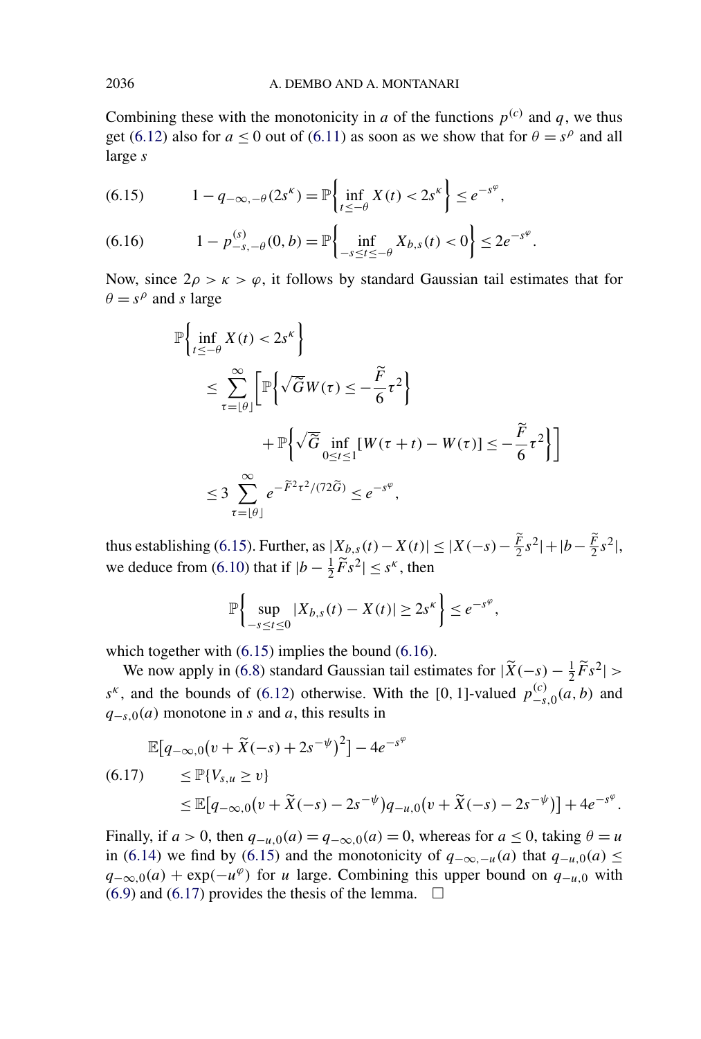Combining these with the monotonicity in *a* of the functions  $p^{(c)}$  and *q*, we thus get [\(6.12\)](#page-42-0) also for  $a < 0$  out of [\(6.11\)](#page-42-0) as soon as we show that for  $\theta = s^{\rho}$  and all large *s*

(6.15) 
$$
1 - q_{-\infty, -\theta}(2s^{\kappa}) = \mathbb{P}\left\{\inf_{t \le -\theta} X(t) < 2s^{\kappa}\right\} \le e^{-s^{\phi}},
$$

(6.16) 
$$
1 - p_{-s,-\theta}^{(s)}(0,b) = \mathbb{P}\left\{\inf_{-s \le t \le -\theta} X_{b,s}(t) < 0\right\} \le 2e^{-s^{\varphi}}.
$$

Now, since  $2\rho > \kappa > \varphi$ , it follows by standard Gaussian tail estimates that for  $\theta = s^{\rho}$  and *s* large

$$
\mathbb{P}\left\{\inf_{t\le-\theta} X(t) < 2s^k\right\}
$$
\n
$$
\le \sum_{\tau=\lfloor\theta\rfloor}^{\infty} \left[\mathbb{P}\left\{\sqrt{\widetilde{G}}W(\tau) \le -\frac{\widetilde{F}}{6}\tau^2\right\}\right]
$$
\n
$$
+\mathbb{P}\left\{\sqrt{\widetilde{G}}\inf_{0\le t\le 1} [W(\tau+t) - W(\tau)] \le -\frac{\widetilde{F}}{6}\tau^2\right\}\right]
$$
\n
$$
\le 3 \sum_{\tau=\lfloor\theta\rfloor}^{\infty} e^{-\widetilde{F}^2\tau^2/(72\widetilde{G})} \le e^{-s^{\varphi}},
$$

thus establishing (6.15). Further, as  $|X_{b,s}(t) - X(t)| \le |X(-s) - \frac{F}{2}s^2| + |b - \frac{F}{2}s^2|$ , we deduce from [\(6.10\)](#page-42-0) that if  $|b - \frac{1}{2}\tilde{F}s^2| \leq s^k$ , then

$$
\mathbb{P}\bigg\{\sup_{-s\leq t\leq 0}|X_{b,s}(t)-X(t)|\geq 2s^{\kappa}\bigg\}\leq e^{-s^{\varphi}},
$$

which together with  $(6.15)$  implies the bound  $(6.16)$ .

We now apply in [\(6.8\)](#page-42-0) standard Gaussian tail estimates for  $|\widetilde{X}(-s) - \frac{1}{2}\widetilde{F}s^2|$  > *s<sup><i>κ*</sup>, and the bounds of [\(6.12\)](#page-42-0) otherwise. With the [0, 1]-valued  $p_{-s,0}^{(c)}(a, b)$  and *q*−*s*,0*(a)* monotone in *s* and *a*, this results in

$$
\mathbb{E}[q_{-\infty,0}(v+\tilde{X}(-s)+2s^{-\psi})^2] - 4e^{-s^{\varphi}}
$$
  
(6.17) 
$$
\leq \mathbb{P}\{V_{s,u} \geq v\}
$$

$$
\leq \mathbb{E}[q_{-\infty,0}(v+\tilde{X}(-s)-2s^{-\psi})q_{-u,0}(v+\tilde{X}(-s)-2s^{-\psi})] + 4e^{-s^{\varphi}}.
$$

Finally, if  $a > 0$ , then  $q_{-u,0}(a) = q_{-\infty,0}(a) = 0$ , whereas for  $a \le 0$ , taking  $\theta = u$ in [\(6.14\)](#page-42-0) we find by (6.15) and the monotonicity of *q*−∞*,*<sup>−</sup>*u(a)* that *q*−*u,*0*(a)* ≤  $q_{-\infty,0}(a) + \exp(-u^{\varphi})$  for *u* large. Combining this upper bound on  $q_{-u,0}$  with  $(6.9)$  and  $(6.17)$  provides the thesis of the lemma.  $\Box$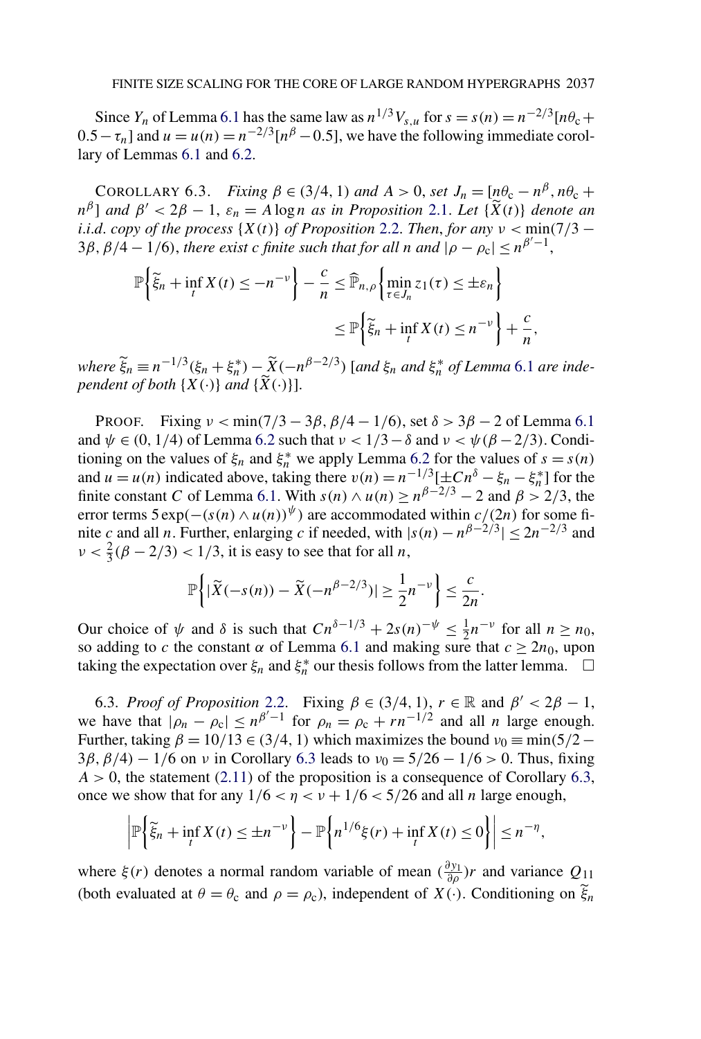<span id="page-44-0"></span>Since *Y<sub>n</sub>* of Lemma [6.1](#page-39-0) has the same law as  $n^{1/3}V_{s,u}$  for  $s = s(n) = n^{-2/3}[n\theta_c +$  $0.5 - \tau_n$  and  $u = u(n) = n^{-2/3} [n^{\beta} - 0.5]$ , we have the following immediate corollary of Lemmas [6.1](#page-39-0) and [6.2.](#page-41-0)

COROLLARY 6.3. *Fixing*  $\beta \in (3/4, 1)$  *and*  $A > 0$ , *set*  $J_n = [n\theta_c - n^{\beta}, n\theta_c +$  $n^{\beta}$ ] *and*  $\beta' < 2\beta - 1$ ,  $\varepsilon_n = A \log n$  *as in Proposition* [2.1.](#page-6-0) *Let* { $\widetilde{X}(t)$ } *denote an i*.*i.d. copy of the process*  $\{X(t)\}\$  *of Proposition* [2.2.](#page-7-0) *Then, for any*  $\nu < \min(7/3 - \min(7/3))$  $3\beta$ ,  $\beta/4 - 1/6$ , *there exist c finite such that for all n and*  $|\rho - \rho_c| \le n^{\beta'-1}$ ,

$$
\mathbb{P}\left\{\tilde{\xi}_n + \inf_t X(t) \le -n^{-\nu}\right\} - \frac{c}{n} \le \widehat{\mathbb{P}}_{n,\rho}\left\{\min_{\tau \in J_n} z_1(\tau) \le \pm \varepsilon_n\right\}
$$

$$
\le \mathbb{P}\left\{\tilde{\xi}_n + \inf_t X(t) \le n^{-\nu}\right\} + \frac{c}{n},
$$

where  $\widetilde{\xi}_n \equiv n^{-1/3}(\xi_n + \xi_n^*) - \widetilde{X}(-n^{\beta - 2/3})$  [and  $\xi_n$  and  $\xi_n^*$  of Lemma [6.1](#page-39-0) are inde*pendent of both*  $\{X(\cdot)\}\$  *and*  $\{\overline{X}(\cdot)\}\$ .

PROOF. Fixing *ν <* min*(*7*/*3 − 3*β,β/*4 − 1*/*6*)*, set *δ >* 3*β* − 2 of Lemma [6.1](#page-39-0) and  $\psi \in (0, 1/4)$  of Lemma [6.2](#page-41-0) such that  $\nu < 1/3 - \delta$  and  $\nu < \psi (\beta - 2/3)$ . Conditioning on the values of  $\xi_n$  and  $\xi_n^*$  we apply Lemma [6.2](#page-41-0) for the values of  $s = s(n)$ and  $u = u(n)$  indicated above, taking there  $v(n) = n^{-1/3}[\pm Cn^{\delta} - \xi_n - \xi_n^*]$  for the finite constant *C* of Lemma [6.1.](#page-39-0) With  $s(n) \wedge u(n) \ge n^{\beta - 2/3} - 2$  and  $\beta > 2/3$ , the error terms  $5 \exp(-(s(n) \wedge u(n))^{\psi})$  are accommodated within  $c/(2n)$  for some finite *c* and all *n*. Further, enlarging *c* if needed, with  $|s(n) - n^{\beta-2/3}| \le 2n^{-2/3}$  and  $\nu < \frac{2}{3}(\beta - 2/3) < 1/3$ , it is easy to see that for all *n*,

$$
\mathbb{P}\bigg\{\left|\widetilde{X}(-s(n))-\widetilde{X}(-n^{\beta-2/3})\right|\geq \frac{1}{2}n^{-\nu}\bigg\}\leq \frac{c}{2n}.
$$

Our choice of  $\psi$  and  $\delta$  is such that  $Cn^{\delta-1/3} + 2s(n)^{-\psi} \leq \frac{1}{2}n^{-\nu}$  for all  $n \geq n_0$ , so adding to *c* the constant  $\alpha$  of Lemma [6.1](#page-39-0) and making sure that  $c \ge 2n_0$ , upon taking the expectation over  $\xi_n$  and  $\xi_n^*$  our thesis follows from the latter lemma.  $\Box$ 

6.3. *Proof of Proposition* [2.2.](#page-7-0) Fixing  $\beta \in (3/4, 1)$ ,  $r \in \mathbb{R}$  and  $\beta' < 2\beta - 1$ , we have that  $|\rho_n - \rho_c| \le n^{\beta'-1}$  for  $\rho_n = \rho_c + rn^{-1/2}$  and all *n* large enough. Further, taking  $\beta = 10/13 \in (3/4, 1)$  which maximizes the bound  $v_0 = \min(5/2 -$ 3*β,β/*4*)* − 1*/*6 on *ν* in Corollary 6.3 leads to *ν*<sup>0</sup> = 5*/*26 − 1*/*6 *>* 0. Thus, fixing  $A > 0$ , the statement [\(2.11\)](#page-7-0) of the proposition is a consequence of Corollary 6.3, once we show that for any  $1/6 < \eta < \nu + 1/6 < 5/26$  and all *n* large enough,

$$
\left|\mathbb{P}\left\{\widetilde{\xi}_n + \inf_t X(t) \leq \pm n^{-\nu}\right\} - \mathbb{P}\left\{n^{1/6}\xi(r) + \inf_t X(t) \leq 0\right\}\right| \leq n^{-\eta},
$$

where  $\xi(r)$  denotes a normal random variable of mean  $(\frac{\partial y_1}{\partial \rho})r$  and variance  $Q_{11}$ (both evaluated at  $\theta = \theta_c$  and  $\rho = \rho_c$ ), independent of  $X(\cdot)$ . Conditioning on  $\tilde{\xi}_n$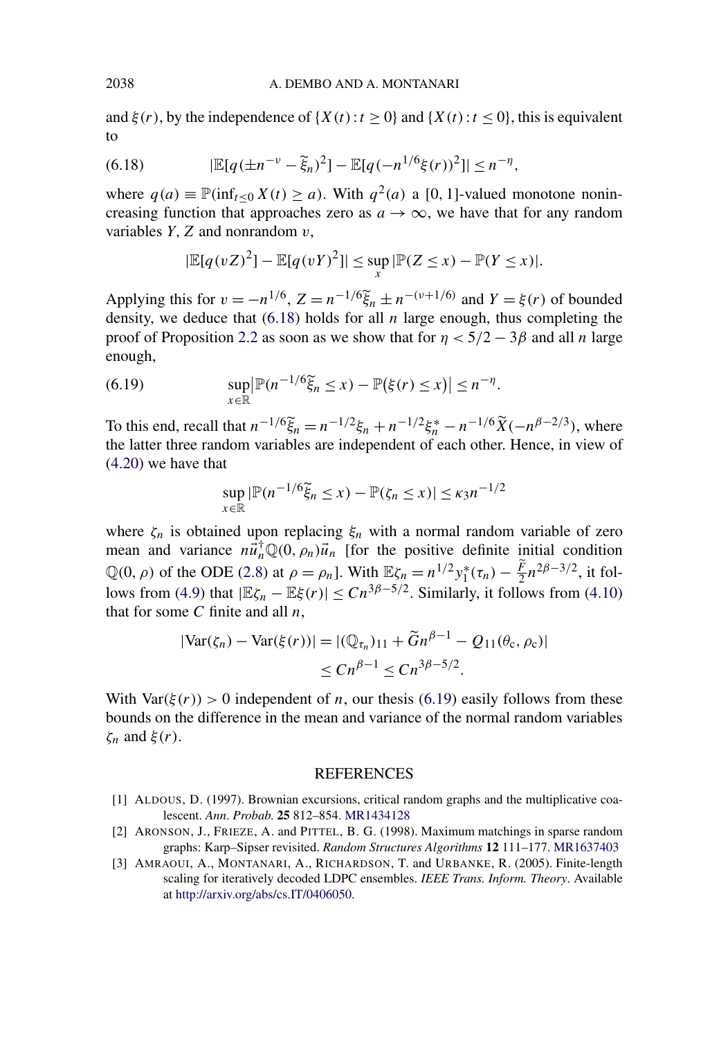<span id="page-45-0"></span>and  $\xi(r)$ , by the independence of  $\{X(t): t \ge 0\}$  and  $\{X(t): t \le 0\}$ , this is equivalent to

(6.18) 
$$
|\mathbb{E}[q(\pm n^{-\nu}-\tilde{\xi}_n)^2]-\mathbb{E}[q(-n^{1/6}\xi(r))^2]|\leq n^{-\eta},
$$

where  $q(a) \equiv \mathbb{P}(\inf_{t \leq 0} X(t) \geq a)$ . With  $q^2(a)$  a [0, 1]-valued monotone nonincreasing function that approaches zero as  $a \rightarrow \infty$ , we have that for any random variables  $Y$ ,  $Z$  and nonrandom  $v$ ,

$$
|\mathbb{E}[q(vZ)^{2}] - \mathbb{E}[q(vY)^{2}]| \leq \sup_{x} |\mathbb{P}(Z \leq x) - \mathbb{P}(Y \leq x)|.
$$

Applying this for  $v = -n^{1/6}$ ,  $Z = n^{-1/6} \tilde{\xi}_n \pm n^{-(\nu+1/6)}$  and  $Y = \xi(r)$  of bounded density, we deduce that (6.18) holds for all *n* large enough, thus completing the proof of Proposition [2.2](#page-7-0) as soon as we show that for  $\eta < 5/2 - 3\beta$  and all *n* large enough,

(6.19) 
$$
\sup_{x \in \mathbb{R}} |\mathbb{P}(n^{-1/6}\widetilde{\xi}_n \leq x) - \mathbb{P}(\xi(r) \leq x)| \leq n^{-\eta}.
$$

To this end, recall that  $n^{-1/6}\tilde{\xi}_n = n^{-1/2}\xi_n + n^{-1/2}\xi_n^* - n^{-1/6}\tilde{X}(-n^{\beta-2/3})$ , where the latter three random variables are independent of each other. Hence, in view of [\(4.20\)](#page-22-0) we have that

$$
\sup_{x \in \mathbb{R}} |\mathbb{P}(n^{-1/6}\tilde{\xi}_n \le x) - \mathbb{P}(\zeta_n \le x)| \le \kappa_3 n^{-1/2}
$$

where  $\zeta_n$  is obtained upon replacing  $\xi_n$  with a normal random variable of zero mean and variance  $n\vec{u}_n^{\dagger} \mathbb{Q}(0, \rho_n) \vec{u}_n$  [for the positive definite initial condition  $\mathbb{Q}(0, \rho)$  of the ODE [\(2.8\)](#page-6-0) at  $\rho = \rho_n$ . With  $\mathbb{E}\zeta_n = n^{1/2}y_1^*(\tau_n) - \frac{F}{2}n^{2\beta - 3/2}$ , it fol-lows from [\(4.9\)](#page-19-0) that  $|\mathbb{E}\zeta_n - \mathbb{E}\xi(r)| \leq Cn^{3\beta - 5/2}$ . Similarly, it follows from [\(4.10\)](#page-19-0) that for some *C* finite and all *n*,

$$
|\text{Var}(\zeta_n) - \text{Var}(\xi(r))| = |(\mathbb{Q}_{\tau_n})_{11} + \tilde{G}n^{\beta - 1} - Q_{11}(\theta_c, \rho_c)|
$$
  

$$
\le Cn^{\beta - 1} \le Cn^{3\beta - 5/2}.
$$

With Var $(\xi(r)) > 0$  independent of *n*, our thesis (6.19) easily follows from these bounds on the difference in the mean and variance of the normal random variables *ζn* and *ξ(r)*.

### REFERENCES

- [1] ALDOUS, D. (1997). Brownian excursions, critical random graphs and the multiplicative coalescent. *Ann*. *Probab*. **25** 812–854. [MR1434128](http://www.ams.org/mathscinet-getitem?mr=1434128)
- [2] ARONSON, J., FRIEZE, A. and PITTEL, B. G. (1998). Maximum matchings in sparse random graphs: Karp–Sipser revisited. *Random Structures Algorithms* **12** 111–177. [MR1637403](http://www.ams.org/mathscinet-getitem?mr=1637403)
- [3] AMRAOUI, A., MONTANARI, A., RICHARDSON, T. and URBANKE, R. (2005). Finite-length scaling for iteratively decoded LDPC ensembles. *IEEE Trans. Inform. Theory*. Available at [http://arxiv.org/abs/cs.IT/0406050.](http://arxiv.org/abs/cs.IT/0406050)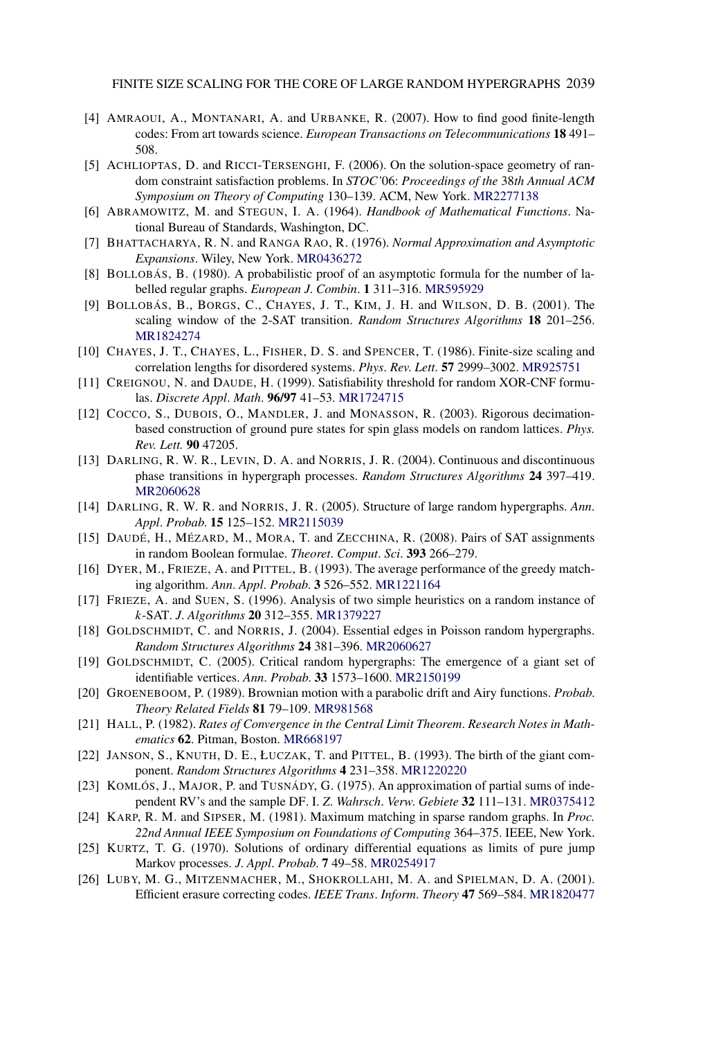<span id="page-46-0"></span>FINITE SIZE SCALING FOR THE CORE OF LARGE RANDOM HYPERGRAPHS 2039

- [4] AMRAOUI, A., MONTANARI, A. and URBANKE, R. (2007). How to find good finite-length codes: From art towards science. *European Transactions on Telecommunications* **18** 491– 508.
- [5] ACHLIOPTAS, D. and RICCI-TERSENGHI, F. (2006). On the solution-space geometry of random constraint satisfaction problems. In *STOC'*06: *Proceedings of the* 38*th Annual ACM Symposium on Theory of Computing* 130–139. ACM, New York. [MR2277138](http://www.ams.org/mathscinet-getitem?mr=2277138)
- [6] ABRAMOWITZ, M. and STEGUN, I. A. (1964). *Handbook of Mathematical Functions*. National Bureau of Standards, Washington, DC.
- [7] BHATTACHARYA, R. N. and RANGA RAO, R. (1976). *Normal Approximation and Asymptotic Expansions*. Wiley, New York. [MR0436272](http://www.ams.org/mathscinet-getitem?mr=0436272)
- [8] BOLLOBÁS, B. (1980). A probabilistic proof of an asymptotic formula for the number of labelled regular graphs. *European J*. *Combin*. **1** 311–316. [MR595929](http://www.ams.org/mathscinet-getitem?mr=595929)
- [9] BOLLOBÁS, B., BORGS, C., CHAYES, J. T., KIM, J. H. and WILSON, D. B. (2001). The scaling window of the 2-SAT transition. *Random Structures Algorithms* **18** 201–256. [MR1824274](http://www.ams.org/mathscinet-getitem?mr=1824274)
- [10] CHAYES, J. T., CHAYES, L., FISHER, D. S. and SPENCER, T. (1986). Finite-size scaling and correlation lengths for disordered systems. *Phys*. *Rev*. *Lett*. **57** 2999–3002. [MR925751](http://www.ams.org/mathscinet-getitem?mr=925751)
- [11] CREIGNOU, N. and DAUDE, H. (1999). Satisfiability threshold for random XOR-CNF formulas. *Discrete Appl*. *Math*. **96/97** 41–53. [MR1724715](http://www.ams.org/mathscinet-getitem?mr=1724715)
- [12] COCCO, S., DUBOIS, O., MANDLER, J. and MONASSON, R. (2003). Rigorous decimationbased construction of ground pure states for spin glass models on random lattices. *Phys. Rev. Lett.* **90** 47205.
- [13] DARLING, R. W. R., LEVIN, D. A. and NORRIS, J. R. (2004). Continuous and discontinuous phase transitions in hypergraph processes. *Random Structures Algorithms* **24** 397–419. [MR2060628](http://www.ams.org/mathscinet-getitem?mr=2060628)
- [14] DARLING, R. W. R. and NORRIS, J. R. (2005). Structure of large random hypergraphs. *Ann*. *Appl*. *Probab*. **15** 125–152. [MR2115039](http://www.ams.org/mathscinet-getitem?mr=2115039)
- [15] DAUDÉ, H., MÉZARD, M., MORA, T. and ZECCHINA, R. (2008). Pairs of SAT assignments in random Boolean formulae. *Theoret*. *Comput*. *Sci*. **393** 266–279.
- [16] DYER, M., FRIEZE, A. and PITTEL, B. (1993). The average performance of the greedy matching algorithm. *Ann*. *Appl*. *Probab*. **3** 526–552. [MR1221164](http://www.ams.org/mathscinet-getitem?mr=1221164)
- [17] FRIEZE, A. and SUEN, S. (1996). Analysis of two simple heuristics on a random instance of *k*-SAT. *J*. *Algorithms* **20** 312–355. [MR1379227](http://www.ams.org/mathscinet-getitem?mr=1379227)
- [18] GOLDSCHMIDT, C. and NORRIS, J. (2004). Essential edges in Poisson random hypergraphs. *Random Structures Algorithms* **24** 381–396. [MR2060627](http://www.ams.org/mathscinet-getitem?mr=2060627)
- [19] GOLDSCHMIDT, C. (2005). Critical random hypergraphs: The emergence of a giant set of identifiable vertices. *Ann*. *Probab*. **33** 1573–1600. [MR2150199](http://www.ams.org/mathscinet-getitem?mr=2150199)
- [20] GROENEBOOM, P. (1989). Brownian motion with a parabolic drift and Airy functions. *Probab*. *Theory Related Fields* **81** 79–109. [MR981568](http://www.ams.org/mathscinet-getitem?mr=981568)
- [21] HALL, P. (1982). *Rates of Convergence in the Central Limit Theorem*. *Research Notes in Mathematics* **62**. Pitman, Boston. [MR668197](http://www.ams.org/mathscinet-getitem?mr=668197)
- [22] JANSON, S., KNUTH, D. E., ŁUCZAK, T. and PITTEL, B. (1993). The birth of the giant component. *Random Structures Algorithms* **4** 231–358. [MR1220220](http://www.ams.org/mathscinet-getitem?mr=1220220)
- [23] KOMLÓS, J., MAJOR, P. and TUSNÁDY, G. (1975). An approximation of partial sums of independent RV's and the sample DF. I. *Z*. *Wahrsch*. *Verw*. *Gebiete* **32** 111–131. [MR0375412](http://www.ams.org/mathscinet-getitem?mr=0375412)
- [24] KARP, R. M. and SIPSER, M. (1981). Maximum matching in sparse random graphs. In *Proc. 22nd Annual IEEE Symposium on Foundations of Computing* 364–375. IEEE, New York.
- [25] KURTZ, T. G. (1970). Solutions of ordinary differential equations as limits of pure jump Markov processes. *J*. *Appl*. *Probab*. **7** 49–58. [MR0254917](http://www.ams.org/mathscinet-getitem?mr=0254917)
- [26] LUBY, M. G., MITZENMACHER, M., SHOKROLLAHI, M. A. and SPIELMAN, D. A. (2001). Efficient erasure correcting codes. *IEEE Trans*. *Inform*. *Theory* **47** 569–584. [MR1820477](http://www.ams.org/mathscinet-getitem?mr=1820477)